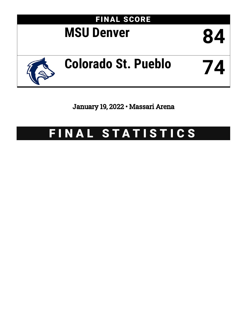

January 19, 2022 • Massari Arena

# FINAL STATISTICS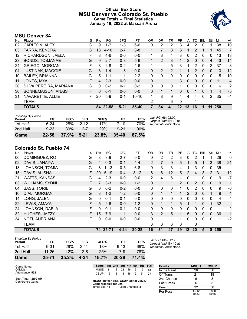# **Official Box Score MSU Denver vs Colorado St. Pueblo Game Totals -- Final Statistics January 19, 2022 at Massari Arena**



# **MSU Denver 84**

| No. | Player                  | S  | Pts      | FG       | 3FG      | FT        | 0R          | <b>DR</b>      | TR             | PF                | A        | TO           | <b>B</b> lk | Stl            | Min | $+/-$          |
|-----|-------------------------|----|----------|----------|----------|-----------|-------------|----------------|----------------|-------------------|----------|--------------|-------------|----------------|-----|----------------|
| 02  | CARLTON, ALEX           | G  | 9        | 1-7      | 1-3      | $6 - 6$   | 0           | 2              | 2              | 3                 | 4        | 2            | 0           |                | 38  | 10             |
| 03  | PARRA, KENDRA           | G  | 18       | $4 - 10$ | $2 - 7$  | $8 - 8$   | 1           |                | 8              | 3                 | 1        | 2            |             | 1              | 45  | 7              |
| 12  | RICHARDSON, JAELA       | F  | 8        | $4-6$    | $0 - 0$  | $0 - 0$   |             | 3              | 4              | 3                 | 0        | 2            | 0           | 0              | 13  | 13             |
| 23  | <b>BONDS, TOSJANAE</b>  | G  | 9        | $2 - 7$  | $0 - 3$  | $5-6$     | $\mathbf 1$ | 2              | 3              | 1                 | 2        | $\Omega$     | $\Omega$    | 4              | 43  | 14             |
| 24  | <b>GRIEGO, MORGAN</b>   | F  | 8        | $2 - 8$  | $0 - 2$  | $4-6$     | 1.          | 4              | 5              | 3                 |          | 2            | $\Omega$    | 2              | 37  | 8              |
| 04  | <b>JUSTINAK, MAGGIE</b> | G  | 3        | $1 - 4$  | $1 - 3$  | $0 - 0$   | 0           | $\overline{2}$ | $\overline{2}$ |                   |          | 2            | 0           | 0              | 13  | $-12$          |
| 10  | <b>BAILEY, BRIANNA</b>  | G  | 5        | 1-1      | $1 - 1$  | $2 - 2$   | 0           | $\Omega$       | 0              | 0                 | 0        | $\Omega$     | 0           | 0              | 5   | 10             |
| 11  | JONES, MYA              | F  | 4        | $2 - 3$  | $0 - 0$  | $0 - 0$   | 0           | 1              | 1              | 3                 | 0        | $\mathbf{0}$ | $\Omega$    | 0              | 11  | $\overline{4}$ |
| 20  | SILVA PEREIRA, MARIANA  | G  | $\Omega$ | $0 - 2$  | $0 - 1$  | $0 - 2$   | 0           | $\Omega$       | 0              | 1                 | 0        | $\Omega$     | 0           | $\Omega$       | 6   | 2              |
| 30  | BONNEMAISON, ANAIS      | F. | $\Omega$ | $0 - 1$  | $0 - 0$  | $0 - 0$   | $\Omega$    | $\mathbf 1$    | 1              | 0                 | $\Omega$ | 1            | 0           | 1              | 4   | $-5$           |
| 31  | NAVARETTE, ALLIE        | F  | 20       | $5-9$    | $0 - 1$  | $10 - 10$ |             | 8              | 9              | 4                 | 4        | 4            | $\Omega$    | $\overline{2}$ | 35  | $-4$           |
|     | TEAM                    |    |          |          |          |           | 2           | 4              | 6              | $\Omega$          |          | 1            |             |                |     |                |
|     | <b>TOTALS</b>           |    | 84       | 22-58    | $5 - 21$ | $35 - 40$ | 7           | 34             | 41             | $22 \overline{)}$ | 13       | 16           |             | 11             | 250 |                |

| <b>Shooting By Period</b><br>Period | FG       | FG%   | 3FG      | 3FG%  | FТ        | FT%   | Last FG: 6th-02:09<br>Largest lead: By 10 at |
|-------------------------------------|----------|-------|----------|-------|-----------|-------|----------------------------------------------|
| 1st Half                            | 6-24     | 25%   | $2 - 12$ | 17%   | 7-10      | 70%   | Technical Fouls: None.                       |
| 2nd Half                            | $9 - 23$ | 39%   | $2 - 7$  | 29%   | 19-21     | 90%   |                                              |
| Game                                | 22-58    | 37.9% | $5 - 21$ | 23.8% | $35 - 40$ | 87.5% |                                              |

# **Colorado St. Pueblo 74**

| No. | Player                 | S  | Pts | FG       | 3FG      | <b>FT</b> | 0R             | DR. | TR           | <b>PF</b> | A              | TO       | <b>B</b> lk  | Stl         | Min | $+/-$          |
|-----|------------------------|----|-----|----------|----------|-----------|----------------|-----|--------------|-----------|----------------|----------|--------------|-------------|-----|----------------|
| 00  | DOMINGUEZ, RO          | G  | 8   | $3-9$    | $2 - 7$  | $0 - 0$   | 0              | 2   | 2            | 3         | 0              | 2        |              | 1           | 26  | 0              |
| 02  | DAVIS, JANAIYA         | G  | 4   | $0 - 3$  | $0 - 1$  | $4 - 4$   | $\overline{2}$ | 7   | 9            | 5         |                | 5        |              | 3           | 38  | $-21$          |
| 13  | <b>JOHNSON, TOMIA</b>  | G  | 8   | $1 - 13$ | $0 - 5$  | $6 - 8$   | 0              | 3   | 3            | 4         |                | 3        | 0            | 0           | 35  |                |
| 15  | DAVIS, ALISHA          | F  | 20  | $6 - 19$ | $0 - 4$  | $8 - 12$  | 6              | 6   | 12           | 5.        | $\overline{2}$ | 4        | 3            | 2           | 31  | $-12$          |
| 21  | <b>WATTS, KANSAS</b>   | G  | 4   | $2 - 3$  | $0 - 0$  | $0-0$     | $\overline{2}$ | 4   | 6            | 1         | 0              |          | 0            | 0           | 19  | $-7$           |
| 03  | <b>WILLIAMS, SYDNI</b> | F  |     | $3 - 3$  | $0 - 0$  | $1 - 2$   | $\Omega$       | 1   | 1            | 2         | $\Omega$       | 2        | $\mathbf{0}$ | $\Omega$    | 9   | $\mathbf{1}$   |
| 04  | <b>BASS, TORIE</b>     | G  | 0   | $0 - 2$  | $0 - 2$  | $0 - 0$   | 0              | 0   | $\mathbf{0}$ | 1.        | 0              | 2        | $\Omega$     | $\mathbf 0$ | 9   | -6             |
| 10  | DIAL, MORGAN           | G  | 3   | $1 - 2$  | $1 - 2$  | $0 - 0$   | $\mathbf{0}$   | 1   | 1            | 1         | 2              | 0        | $\Omega$     | 1           | 9   | $\overline{4}$ |
| 14  | LONG, JALEN            | G  | 0   | $0 - 1$  | $0 - 1$  | $0-0$     | 0              | 0   | 0            | 0         | 0              | 0        | $\Omega$     | 0           | 4   | $-4$           |
| 22  | LEWIS, AMAYA           | F  | 5   | $2 - 6$  | $0 - 0$  | $1 - 2$   | 0              | 1   | $\mathbf{1}$ | 5         |                | 1        | $\Omega$     | 1           | 32  |                |
| 24  | JOHNSON, DAEJA         | F  | 0   | $0 - 1$  | $0 - 1$  | $0 - 0$   | $\Omega$       | 0   | 0            | 0         | 0              | 0        | $\Omega$     | 0           | 1   | $-2$           |
| 32  | HUGHES, JAZZY          | F. | 15  | $7-9$    | $1 - 1$  | $0 - 0$   | 3              | 2   | 5            | 1         | 5              | $\Omega$ | $\Omega$     | $\Omega$    | 36  | $\mathbf{1}$   |
| 34  | NOTI, AUBRIANA         | F  | 0   | $0 - 0$  | $0 - 0$  | $0 - 0$   | 0              | 1   |              |           | 0              | 0        | $\Omega$     | 0           | 1   | $-2$           |
|     | <b>TEAM</b>            |    |     |          |          |           | 3              | 3   | 6            | $\Omega$  |                | 0        |              |             |     |                |
|     | <b>TOTALS</b>          |    | 74  | 25-71    | $4 - 24$ | 20-28     | 16             | 31  | 47           | 29        | $12 \,$        | 20       | 5            | 8           | 250 |                |

| Game                                | $25 - 71$ | 35.2%      | 4-24     | 16.7% | 20-28    | 71.4% |          |
|-------------------------------------|-----------|------------|----------|-------|----------|-------|----------|
| 2nd Half                            | $11 - 26$ | 42%        | 2-8      | 25%   | 7-9      | 78%   |          |
| 1st Half                            | $9 - 31$  | <b>29%</b> | $2 - 11$ | 18%   | $9 - 13$ | 69%   | Тe       |
| <b>Shooting By Period</b><br>Period | FG        | FG%        | 3FG      | 3FG%  | FT       | FT%   | La<br>La |

*Last FG:* 6th-01:17 *Largest lead:* By 10 at *Technical Fouls:* None.

| Game Notes:     |
|-----------------|
| Officials:      |
| Attendance: 552 |

Start Time: **12:00 AM** Conference Game;

| <b>Points</b>     | <b>MSUD</b>    | <b>CSUP</b>    |
|-------------------|----------------|----------------|
| In the Paint      | 26             | 36             |
| Off Turns         | 21             | 18             |
| 2nd Chance        | 6              | 8              |
| <b>Fast Break</b> | 6              | 5              |
| Bench             | 32             | 30             |
| Per Poss          | 1.012<br>40/83 | 0.860<br>35/86 |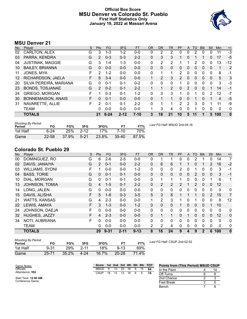# **Official Box Score MSU Denver vs Colorado St. Pueblo First Half Statistics Only January 19, 2022 at Massari Arena**



# **MSU Denver 21**

| No. | Player                    | S  | <b>Pts</b> | <b>FG</b> | 3FG      | <b>FT</b> | <b>OR</b> | <b>DR</b>   | <b>TR</b>      | PF             | A              | TO       | <b>Blk</b> | Stl      | Min | $+/-$    |
|-----|---------------------------|----|------------|-----------|----------|-----------|-----------|-------------|----------------|----------------|----------------|----------|------------|----------|-----|----------|
| 02  | CARLTON, ALEX             | G  | 3          | 1-3       | $1 - 2$  | $0-0$     | 0         | 2           | 2              | 0              | 0              | 2        | 0          | 0        | 11  | $-3$     |
| 03  | PARRA, KENDRA             | G  | 2          | $0 - 3$   | $0 - 3$  | $2 - 2$   | 0         | 3           | 3              | 1              | 0              |          |            | 0        | 17  | $-5$     |
| 04  | <b>JUSTINAK, MAGGIE</b>   | G  | 3          | $1 - 4$   | 1-3      | $0 - 0$   | 0         | 2           | 2              |                |                | 2        | 0          | 0        | 13  | $-12$    |
| 10  | <b>BAILEY, BRIANNA</b>    | G  | $\Omega$   | $0 - 0$   | $0 - 0$  | $0 - 0$   | 0         | $\Omega$    | $\mathbf{0}$   | 0              | 0              | 0        | 0          | 0        | 1   | 2        |
| 11  | JONES, MYA                | F  | 2          | $1 - 2$   | $0 - 0$  | $0 - 0$   | $\Omega$  | 1           | -1             | $\overline{2}$ | $\mathbf{0}$   | 0        | $\Omega$   | $\Omega$ | 8   | -1       |
| 12  | RICHARDSON, JAELA         | F. | 6          | $3 - 4$   | $0 - 0$  | $0 - 0$   |           | 2           | 3              | $\overline{2}$ | 0              | 0        | $\Omega$   | 0        | 5   | 3        |
| 20  | SILVA PEREIRA, MARIANA    | G  | 0          | $0 - 1$   | $0 - 1$  | $0 - 2$   | 0         | 0           | 0              | 1              | 0              | 0        | 0          | 0        | 3   | -3       |
| 23  | <b>BONDS, TOSJANAE</b>    | G  | 2          | $0 - 2$   | $0 - 1$  | $2 - 2$   |           | 1           | $\overline{2}$ | 0              | $\overline{2}$ | $\Omega$ | 0          |          | 14  | $-1$     |
| 24  | <b>GRIEGO, MORGAN</b>     | F  |            | $0 - 3$   | $0 - 1$  | $1 - 2$   | 0         | 3           | 3              |                | 0              |          | 0          | 2        | 12  | $-7$     |
| 30  | <b>BONNEMAISON, ANAIS</b> | F. | $\Omega$   | $0 - 1$   | $0 - 0$  | $0 - 0$   | 0         | $\mathbf 1$ | 1              | $\Omega$       | $\Omega$       |          | 0          | 1        | 4   | $-5$     |
| 31  | NAVARETTE, ALLIE          | F  | 2          | $0 - 1$   | $0 - 1$  | $2 - 2$   | 0         | 1           | 1              | 2              | 2              | 3        | $\Omega$   |          | 11  | -9       |
|     | TEAM                      |    | 0          | $0 - 0$   | $0 - 0$  | $0 - 0$   |           | 3           | 4              | 0              | 0              |          | $\Omega$   | 0        | 0   | 0        |
|     | <b>TOTALS</b>             |    | 21         | $6 - 24$  | $2 - 12$ | $7 - 10$  | 3         | 18          | 21             | 10             | 5              | 11       |            | 5        | 100 | $\bf{0}$ |

| <b>Shooting By Period</b><br>Period | FG        | FG%      | 3FG      | 3FG%  | <b>FT</b> | FT%   | Last FG Half: MSUD 2nd-04:16 |
|-------------------------------------|-----------|----------|----------|-------|-----------|-------|------------------------------|
| 1st Half                            | $6-24$    | 25%      | $2 - 12$ | 17%   | 7-10      | 70%   |                              |
| Game                                | $22 - 58$ | $37.9\%$ | $5-21$   | 23.8% | $35-40$   | 87.5% |                              |

# **Colorado St. Pueblo 29**

| No. | Player               | S  | Pts | <b>FG</b> | 3FG      | <b>FT</b> | <b>OR</b>    | <b>DR</b> | <b>TR</b> | PF | A        | TO | <b>Blk</b>   | Stl          | Min          | $+/-$            |
|-----|----------------------|----|-----|-----------|----------|-----------|--------------|-----------|-----------|----|----------|----|--------------|--------------|--------------|------------------|
| 00  | DOMINGUEZ, RO        | G  | 6   | $2 - 6$   | $2 - 5$  | $0-0$     | 0            |           |           | 0  | 0        | 2  |              | 0            | 14           | 7                |
| 02  | DAVIS, JANAIYA       | G  | 2   | $0 - 1$   | $0 - 0$  | $2 - 2$   | $\Omega$     | 6         | 6         |    |          | 0  |              | 2            | 16           | $-2$             |
| 03  | WILLIAMS, SYDNI      | F  |     | $0-0$     | $0 - 0$  | $1 - 2$   | 0            | 0         | 0         | 2  | 0        |    | 0            | $\Omega$     | 3            | $-1$             |
| 04  | <b>BASS, TORIE</b>   | G  | 0   | $0 - 1$   | $0 - 1$  | $0 - 0$   | $\Omega$     | 0         | 0         | 0  | 0        | 2  | 0            | 0            | 3            | $-1$             |
| 10  | DIAL, MORGAN         | G  | 0   | $0 - 1$   | $0 - 1$  | $0 - 0$   | $\mathbf{0}$ |           |           |    | 0        | 0  | 0            |              | 6            | 1                |
| 13  | JOHNSON, TOMIA       | G  | 4   | $1 - 5$   | $0 - 1$  | $2 - 2$   | $\mathbf{0}$ | 2         | 2         | 2  |          | 2  | $\mathbf{0}$ | $\mathbf{0}$ | 12           |                  |
| 14  | LONG, JALEN          | G  | 0   | $0-0$     | $0 - 0$  | $0 - 0$   | 0            | 0         | 0         | 0  | 0        | 0  | 0            | 0            | $\mathbf 0$  | 0                |
| 15  | DAVIS, ALISHA        | F  | 5   | $1 - 8$   | $0 - 3$  | $3-5$     | 5            | 3         | 8         |    |          |    | $\mathbf{0}$ | 2            | 15           | 7                |
| 21  | <b>WATTS, KANSAS</b> | G  | 4   | $2 - 3$   | $0 - 0$  | $0 - 0$   | 1            | 2         | 3         |    | 0        |    | 0            | 0            | 8            | 12               |
| 22  | LEWIS, AMAYA         | F  | 3   | $1 - 3$   | $0 - 0$  | $1 - 2$   | $\mathbf{0}$ | 0         | 0         |    | $\Omega$ | 0  | $\mathbf{0}$ |              | 10           |                  |
| 24  | JOHNSON, DAEJA       | F. | 0   | $0-0$     | $0 - 0$  | $0 - 0$   | $\Omega$     | 0         | $\Omega$  | 0  | $\Omega$ | 0  | 0            | $\Omega$     | $\mathbf{0}$ | 0                |
| 32  | HUGHES, JAZZY        | F  | 4   | $2 - 3$   | $0 - 0$  | $0 - 0$   | $\mathbf{0}$ |           | 1         | 0  |          | 0  | $\mathbf{0}$ | 0            | 12           | $\mathbf 0$      |
| 34  | NOTI, AUBRIANA       | F  | 0   | $0 - 0$   | $0 - 0$  | $0 - 0$   | 0            | 0         | $\Omega$  | 0  | $\Omega$ | 0  | $\Omega$     | $\Omega$     | $\mathbf{0}$ | $\mathbf 0$      |
|     | <b>TEAM</b>          |    | 0   | $0-0$     | $0 - 0$  | $0 - 0$   | 2            | 2         | 4         | 0  | 0        | 0  | 0            | 0            | 0            | 0                |
|     | <b>TOTALS</b>        |    | 29  | $9 - 31$  | $2 - 11$ | $9 - 13$  | 8            | 16        | 24        | 9  | 4        | 9  | $\mathbf{2}$ | 6            | 100          | $\boldsymbol{0}$ |
|     |                      |    |     |           |          |           |              |           |           |    |          |    |              |              |              |                  |

| <b>Shooting By Period</b><br>Period | FG       | FG%   | 3FG      | 3FG%  | FТ        | FT%   |
|-------------------------------------|----------|-------|----------|-------|-----------|-------|
| 1st Half                            | $9 - 31$ | 29%   | $2 - 11$ | 18%   | $9 - 13$  | 69%   |
| Game                                | 25-71    | 35.2% | 4-24     | 16.7% | $20 - 28$ | 71.4% |

*Last FG Half:* CSUP 2nd-02:52

| Game Notes:          | Score |    |    |    |    |   |    | 1st 2nd 3rd 4th 5th 6th TOT | <b>Points from (This Period) MSUD CSUP</b> |  |  |  |  |
|----------------------|-------|----|----|----|----|---|----|-----------------------------|--------------------------------------------|--|--|--|--|
| Officials:           | MSUD  |    | 13 | 23 | 16 | 9 | 15 | -84                         | In the Paint                               |  |  |  |  |
| Attendance: 552      | CSUP  | 16 | 13 | 13 | 18 | 9 | 5  | 74                          | Off Turns                                  |  |  |  |  |
| Start Time: 12:00 AM |       |    |    |    |    |   |    |                             | 2nd Chance                                 |  |  |  |  |
| Conference Game:     |       |    |    |    |    |   |    |                             | <b>Fast Break</b>                          |  |  |  |  |
|                      |       |    |    |    |    |   |    |                             | Bench                                      |  |  |  |  |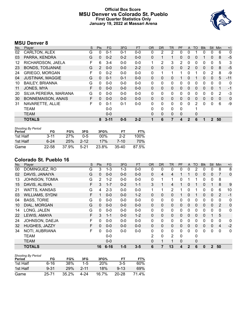# **Official Box Score MSU Denver vs Colorado St. Pueblo First Quarter Statistics Only January 19, 2022 at Massari Arena**



# **MSU Denver 8**

| No. | Player                    | S | <b>Pts</b> | <b>FG</b> | 3FG     | <b>FT</b> | 0R           | <b>DR</b>    | TR | PF       | A            | TO       | <b>BIK</b> | <b>Stl</b>   | Min          | $+/-$ |
|-----|---------------------------|---|------------|-----------|---------|-----------|--------------|--------------|----|----------|--------------|----------|------------|--------------|--------------|-------|
| 02  | CARLTON, ALEX             | G | 0          | $0 - 1$   | $0 - 1$ | $0 - 0$   | 0            | 2            | 2  | 0        | 0            |          | 0          | 0            | 6            | 0     |
| 03  | PARRA, KENDRA             | G | 0          | $0 - 2$   | $0 - 2$ | $0 - 0$   | $\mathbf{0}$ |              |    | 0        | $\mathbf{0}$ | 0        |            | 0            | 8            | $-5$  |
| 12  | RICHARDSON, JAELA         | F | 6          | $3 - 4$   | $0 - 0$ | $0-0$     | 1            | 2            | 3  | 2        | 0            | 0        | 0          | 0            | 5            | 3     |
| 23  | <b>BONDS, TOSJANAE</b>    | G | 2          | $0 - 0$   | $0 - 0$ | $2 - 2$   | $\mathbf{0}$ | 0            | 0  | 0        | 2            | 0        | 0          | $\mathbf{0}$ | 8            | $-5$  |
| 24  | <b>GRIEGO, MORGAN</b>     | F | 0          | $0 - 2$   | $0 - 0$ | $0-0$     | 0            | 1            | 1  | 1        | 0            |          | 0          | 2            | 8            | -9    |
| 04  | <b>JUSTINAK, MAGGIE</b>   | G | $\Omega$   | $0 - 1$   | $0 - 1$ | $0 - 0$   | $\mathbf{0}$ | $\mathbf{0}$ | 0  |          | $\mathbf{0}$ |          | 0          | $\mathbf{0}$ | 5            | $-11$ |
| 10  | <b>BAILEY, BRIANNA</b>    | G | 0          | $0 - 0$   | $0 - 0$ | $0 - 0$   | $\Omega$     | 0            | 0  | 0        | 0            | 0        | 0          | 0            | 0            | 0     |
| 11  | JONES, MYA                | F | $\Omega$   | $0 - 0$   | $0 - 0$ | $0 - 0$   | $\mathbf{0}$ | $\Omega$     | 0  | 0        | $\Omega$     | $\Omega$ | 0          | $\Omega$     | 1            | $-1$  |
| 20  | SILVA PEREIRA, MARIANA    | G | 0          | $0 - 0$   | $0 - 0$ | $0 - 0$   | $\Omega$     | 0            | 0  | 0        | 0            | 0        | 0          | 0            | 2            | $-3$  |
| 30  | <b>BONNEMAISON, ANAIS</b> | F | $\Omega$   | $0 - 0$   | $0 - 0$ | $0 - 0$   | $\Omega$     | $\Omega$     | 0  | 0        | $\Omega$     | 0        | 0          | $\Omega$     | $\mathbf{0}$ | 0     |
| 31  | NAVARETTE, ALLIE          | F | 0          | $0 - 1$   | $0 - 1$ | $0 - 0$   | $\Omega$     | 0            | 0  | 0        | $\Omega$     | 2        | 0          | 0            | 6            | -9    |
|     | <b>TEAM</b>               |   |            | $0 - 0$   |         |           | $\Omega$     | $\Omega$     | 0  | $\Omega$ |              |          |            |              |              |       |
|     | <b>TEAM</b>               |   |            | $0 - 0$   |         |           | $\Omega$     | 0            | 0  | $\Omega$ |              | 0        |            |              |              |       |
|     | <b>TOTALS</b>             |   | 8          | $3 - 11$  | $0 - 5$ | $2 - 2$   | 1            | 6            | 7  | 4        |              | 6        |            |              | 50           |       |

| <b>Shooting By Period</b><br>Period | FG       | FG%   | 3FG      | 3FG%   | FТ      | FT%     |
|-------------------------------------|----------|-------|----------|--------|---------|---------|
| 1st Half                            | $3 - 11$ | 27%   | ი-5      | $00\%$ | $2-2$   | $100\%$ |
| 1st Half                            | $6 - 24$ | 25%   | $2 - 12$ | 17%    | 7-10    | 70%     |
| Game                                | 22-58    | 37.9% | 5-21     | 23.8%  | $35-40$ | 87.5%   |

# **Colorado St. Pueblo 16**

| No. | Player                 | S | Pts          | <b>FG</b> | 3FG     | <b>FT</b> | <b>OR</b> | <b>DR</b>      | TR.            | <b>PF</b> | A            | <b>TO</b>    | <b>Blk</b>   | Stl          | Min            | $+/-$       |
|-----|------------------------|---|--------------|-----------|---------|-----------|-----------|----------------|----------------|-----------|--------------|--------------|--------------|--------------|----------------|-------------|
| 00  | DOMINGUEZ, RO          | G | 3            | $1 - 3$   | $1 - 3$ | $0-0$     | 0         | 0              | 0              | 0         | 0            | 2            | 0            | 0            | 8              | 8           |
| 02  | DAVIS, JANAIYA         | G | $\mathbf{0}$ | $0 - 0$   | $0 - 0$ | $0-0$     | $\Omega$  | $\overline{4}$ | $\overline{4}$ |           |              | $\mathbf{0}$ | $\mathbf{0}$ | $\mathbf 0$  | 7              | $\mathbf 0$ |
| 13  | JOHNSON, TOMIA         | G | 2            | $1 - 2$   | $0 - 0$ | $0-0$     | 0         | 1              | 1              | 0         | 1            |              | 0            | 0            | 8              |             |
| 15  | DAVIS, ALISHA          | F | 3            | $1 - 7$   | $0 - 2$ | $1 - 1$   | 3         | $\mathbf{1}$   | 4              |           | 0            |              | $\Omega$     | 1            | 8              | 9           |
| 21  | <b>WATTS, KANSAS</b>   | G | 4            | $2 - 3$   | $0-0$   | $0-0$     | 1         | 1              | $\overline{2}$ |           | 0            |              | $\Omega$     | 0            | $6\phantom{1}$ | 10          |
| 03  | <b>WILLIAMS, SYDNI</b> | F |              | $0 - 0$   | $0 - 0$ | $1 - 2$   | 0         | $\mathbf 0$    | $\mathbf{0}$   |           | 0            |              | 0            | $\mathbf 0$  | 2              | $-1$        |
| 04  | <b>BASS, TORIE</b>     | G | $\Omega$     | $0-0$     | $0-0$   | $0-0$     | 0         | $\mathbf{0}$   | $\mathbf{0}$   | 0         | $\mathbf{0}$ | 0            | $\mathbf{0}$ | $\mathbf{0}$ | 0              | 0           |
| 10  | DIAL, MORGAN           | G | $\Omega$     | $0 - 0$   | $0 - 0$ | $0 - 0$   | 0         | $\mathbf{0}$   | $\mathbf{0}$   | 0         | 0            | 0            | $\Omega$     | $\mathbf{0}$ | 2              | $\mathbf 0$ |
| 14  | LONG, JALEN            | G | 0            | $0 - 0$   | $0 - 0$ | $0-0$     | 0         | $\mathbf{0}$   | $\mathbf{0}$   | 0         | 0            | 0            | $\Omega$     | 0            | 0              | $\mathbf 0$ |
| 22  | LEWIS, AMAYA           | F | 3            | $1 - 1$   | $0-0$   | $1 - 2$   | $\Omega$  | $\mathbf{0}$   | $\mathbf{0}$   | 0         | 0            | $\Omega$     | $\mathbf{0}$ | 1            | 5              |             |
| 24  | JOHNSON, DAEJA         | F | 0            | $0 - 0$   | $0 - 0$ | $0-0$     | 0         | 0              | 0              | 0         | 0            | 0            | $\mathbf{0}$ | $\mathbf{0}$ | 0              | 0           |
| 32  | HUGHES, JAZZY          | F | $\mathbf{0}$ | $0 - 0$   | $0 - 0$ | $0 - 0$   | $\Omega$  | $\mathbf{0}$   | $\Omega$       | 0         | 0            | 0            | $\mathbf{0}$ | $\mathbf{0}$ | 4              | $-2$        |
| 34  | NOTI, AUBRIANA         | F | 0            | $0 - 0$   | $0 - 0$ | $0-0$     | 0         | $\mathbf{0}$   | $\mathbf{0}$   | 0         | 0            | $\Omega$     | $\Omega$     | $\Omega$     | $\mathbf 0$    | $\mathbf 0$ |
|     | TEAM                   |   |              | $0 - 0$   |         |           | 2         | 0              | $\overline{2}$ | $\Omega$  |              | 0            |              |              |                |             |
|     | <b>TEAM</b>            |   |              | $0-0$     |         |           | 0         | 1              |                | $\Omega$  |              | 0            |              |              |                |             |
|     | <b>TOTALS</b>          |   | 16           | $6 - 16$  | $1 - 5$ | $3 - 5$   | 6         | 7              | 13             | 4         | 2            | 6            | $\bf{0}$     | $\mathbf{2}$ | 50             |             |

| <b>Shooting By Period</b><br>Period | FG        | FG%   | 3FG      | 3FG%       | FТ        | FT%   |
|-------------------------------------|-----------|-------|----------|------------|-----------|-------|
| 1st Half                            | 6-16      | 38%   | $1 - 5$  | <b>20%</b> | $3 - 5$   | 60%   |
| 1st Half                            | $9 - 31$  | 29%   | $2 - 11$ | 18%        | $9 - 13$  | 69%   |
| Game                                | $25 - 71$ | 35.2% | 4-24     | 16.7%      | $20 - 28$ | 71.4% |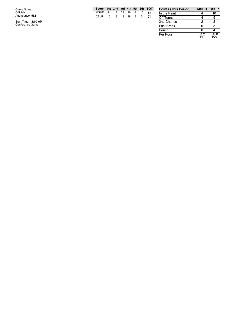G a m e N o t e s: Officials: Attendance: **5 5 2**

Start Time: 12:00 AM<br>Conference Game;

|     |  |  |  | Score 1st 2nd 3rd 4th 5th 6th TOT |
|-----|--|--|--|-----------------------------------|
|     |  |  |  | MSUD 8 13 23 16 9 15 84           |
| -74 |  |  |  | CSUP 16 13 13 18 9 5              |
|     |  |  |  |                                   |
|     |  |  |  |                                   |

| <b>Points (This Period)</b> | <b>MSUD CSUP</b> |               |
|-----------------------------|------------------|---------------|
| In the Paint                |                  | 10            |
| Off Turns                   |                  | 5             |
| 2nd Chance                  | 2                | 2             |
| <b>Fast Break</b>           |                  | з             |
| Bench                       | n                |               |
| Per Poss                    | 0.471<br>4/17    | 0.800<br>8/20 |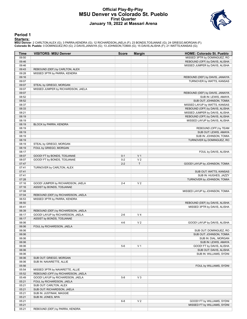### **Official Play-By-Play MSU Denver vs Colorado St. Pueblo First Quarter January 19, 2022 at Massari Arena**



### **Period 1**

#### **Starters:**

**MSU Denver**: 2 CARLTON,ALEX (G); 3 PARRA,KENDRA (G); 12 RICHARDSON,JAELA (F); 23 BONDS,TOSJANAE (G); 24 GRIEGO,MORGAN (F);<br>**Colorado St. Pueblo**: 0 DOMINGUEZ,RO (G); 2 DAVIS,JANAIYA (G); 13 JOHNSON,TOMIA (G); 15 DAVIS,ALI

| Time  | <b>VISITORS: MSU Denver</b>        | <b>Score</b> | <b>Margin</b>  | <b>HOME: Colorado St. Pueblo</b> |
|-------|------------------------------------|--------------|----------------|----------------------------------|
| 09:50 |                                    |              |                | MISSED 3PTR by DOMINGUEZ, RO     |
| 09:46 |                                    |              |                | REBOUND (OFF) by DAVIS, ALISHA   |
| 09:46 |                                    |              |                | MISSED JUMPER by DAVIS, ALISHA   |
| 09:43 | REBOUND (DEF) by CARLTON, ALEX     |              |                |                                  |
| 09:28 | MISSED 3PTR by PARRA, KENDRA       |              |                |                                  |
| 09:16 |                                    |              |                | REBOUND (DEF) by DAVIS, JANAIYA  |
| 09:07 |                                    |              |                | TURNOVER by WATTS, KANSAS        |
| 09:07 | STEAL by GRIEGO, MORGAN            |              |                |                                  |
| 09:07 | MISSED JUMPER by RICHARDSON, JAELA |              |                |                                  |
| 09:07 |                                    |              |                | REBOUND (DEF) by DAVIS, JANAIYA  |
| 08:52 |                                    |              |                | SUB IN: LEWIS, AMAYA             |
| 08:52 |                                    |              |                | SUB OUT: JOHNSON, TOMIA          |
| 08:37 |                                    |              |                | MISSED LAYUP by WATTS, KANSAS    |
| 08:33 |                                    |              |                | REBOUND (OFF) by DAVIS, ALISHA   |
| 08:21 |                                    |              |                | MISSED JUMPER by DAVIS, ALISHA   |
| 08:19 |                                    |              |                | REBOUND (OFF) by DAVIS, ALISHA   |
| 08:19 |                                    |              |                | MISSED LAYUP by DAVIS, ALISHA    |
| 08:19 | BLOCK by PARRA, KENDRA             |              |                |                                  |
| 08:19 |                                    |              |                | REBOUND (OFF) by TEAM            |
| 08:19 |                                    |              |                | SUB OUT: LEWIS, AMAYA            |
| 08:19 |                                    |              |                | SUB IN: JOHNSON, TOMIA           |
| 08:19 |                                    |              |                |                                  |
|       |                                    |              |                | TURNOVER by DOMINGUEZ, RO        |
| 08:19 | STEAL by GRIEGO, MORGAN            |              |                |                                  |
| 08:19 | FOUL by GRIEGO, MORGAN             |              |                |                                  |
| 08:17 |                                    |              |                | FOUL by DAVIS, ALISHA            |
| 08:07 | GOOD! FT by BONDS, TOSJANAE        | $0 - 1$      | V <sub>1</sub> |                                  |
| 08:07 | GOOD! FT by BONDS, TOSJANAE        | $0 - 2$      | V <sub>2</sub> |                                  |
| 07:47 |                                    | $2 - 2$      | T              | GOOD! LAYUP by JOHNSON, TOMIA    |
| 07:41 | TURNOVER by CARLTON, ALEX          |              |                |                                  |
| 07:41 |                                    |              |                | SUB OUT: WATTS, KANSAS           |
| 07:41 |                                    |              |                | SUB IN: HUGHES, JAZZY            |
| 07:28 |                                    |              |                | TURNOVER by JOHNSON, TOMIA       |
| 07:16 | GOOD! JUMPER by RICHARDSON, JAELA  | $2 - 4$      | V <sub>2</sub> |                                  |
| 07:16 | ASSIST by BONDS, TOSJANAE          |              |                |                                  |
| 07:08 |                                    |              |                | MISSED LAYUP by JOHNSON, TOMIA   |
| 07:04 | REBOUND (DEF) by RICHARDSON, JAELA |              |                |                                  |
| 06:53 | MISSED 3PTR by PARRA, KENDRA       |              |                |                                  |
| 06:50 |                                    |              |                | REBOUND (DEF) by DAVIS, ALISHA   |
| 06:41 |                                    |              |                | MISSED 3PTR by DAVIS, ALISHA     |
| 06:39 | REBOUND (DEF) by RICHARDSON, JAELA |              |                |                                  |
| 06:17 | GOOD! LAYUP by RICHARDSON, JAELA   | $2 - 6$      | V <sub>4</sub> |                                  |
| 06:17 | ASSIST by BONDS, TOSJANAE          |              |                |                                  |
| 06:06 |                                    | $4-6$        | V <sub>2</sub> | GOOD! LAYUP by DAVIS, ALISHA     |
| 06:06 | FOUL by RICHARDSON, JAELA          |              |                |                                  |
| 06:06 |                                    |              |                | SUB OUT: DOMINGUEZ, RO           |
| 06:06 |                                    |              |                | SUB OUT: JOHNSON, TOMIA          |
| 06:06 |                                    |              |                | SUB IN: DIAL, MORGAN             |
| 06:06 |                                    |              |                | SUB IN: LEWIS, AMAYA             |
| 06:06 |                                    | $5-6$        | V <sub>1</sub> | GOOD! FT by DAVIS, ALISHA        |
| 06:06 |                                    |              |                | SUB OUT: DAVIS, ALISHA           |
| 06:06 |                                    |              |                | SUB IN: WILLIAMS, SYDNI          |
| 06:06 | SUB OUT: GRIEGO, MORGAN            |              |                |                                  |
| 06:06 | SUB IN: NAVARETTE, ALLIE           |              |                |                                  |
| 05:56 |                                    |              |                | FOUL by WILLIAMS, SYDNI          |
| 05:54 | MISSED 3PTR by NAVARETTE, ALLIE    |              |                |                                  |
| 05:52 | REBOUND (OFF) by RICHARDSON, JAELA |              |                |                                  |
| 05:49 | GOOD! LAYUP by RICHARDSON, JAELA   | $5 - 8$      | $V_3$          |                                  |
| 05:21 | FOUL by RICHARDSON, JAELA          |              |                |                                  |
| 05:21 | SUB OUT: CARLTON, ALEX             |              |                |                                  |
| 05:21 | SUB OUT: RICHARDSON, JAELA         |              |                |                                  |
| 05:21 | SUB IN: JUSTINAK, MAGGIE           |              |                |                                  |
| 05:21 | SUB IN: JONES, MYA                 |              |                |                                  |
| 05:21 |                                    | $6 - 8$      | V <sub>2</sub> | GOOD! FT by WILLIAMS, SYDNI      |
| 05:21 |                                    |              |                | MISSED FT by WILLIAMS, SYDNI     |
| 05:21 | REBOUND (DEF) by PARRA, KENDRA     |              |                |                                  |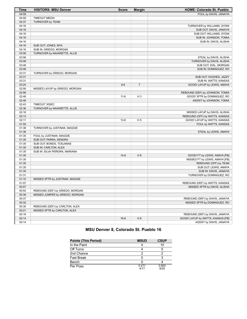| 04:59<br>FOUL by DAVIS, JANAIYA<br>04:59<br><b>TIMEOUT MEDIA</b><br>04:37<br>TURNOVER by TEAM<br>04:16<br>TURNOVER by WILLIAMS, SYDNI<br>04:16<br>SUB OUT: DAVIS, JANAIYA<br>04:16<br>SUB OUT: WILLIAMS, SYDNI<br>04:16<br>SUB IN: JOHNSON, TOMIA<br>04:16<br>SUB IN: DAVIS, ALISHA<br>04:16<br>SUB OUT: JONES, MYA<br>04:16<br>SUB IN: GRIEGO, MORGAN<br>03:58<br>TURNOVER by NAVARETTE, ALLIE<br>03:58<br>STEAL by DAVIS, ALISHA<br>03:48<br>TURNOVER by DAVIS, ALISHA<br>03:48<br>SUB OUT: DIAL, MORGAN<br>03:48<br>SUB IN: DOMINGUEZ, RO<br>03:31<br>TURNOVER by GRIEGO, MORGAN<br>03:31<br>SUB OUT: HUGHES, JAZZY<br>03:31<br>SUB IN: WATTS, KANSAS<br>$\mathsf T$<br>03:24<br>$8 - 8$<br>GOOD! LAYUP by LEWIS, AMAYA<br>02:59<br>MISSED LAYUP by GRIEGO, MORGAN<br>02:56<br>REBOUND (DEF) by JOHNSON, TOMIA<br>02:48<br>$11 - 8$<br>$H_3$<br>GOOD! 3PTR by DOMINGUEZ, RO<br>02:48<br>ASSIST by JOHNSON, TOMIA<br>02:43<br>TIMEOUT 30SEC<br>02:36<br>TURNOVER by NAVARETTE, ALLIE<br>02:16<br>MISSED LAYUP by DAVIS, ALISHA<br>02:13<br>REBOUND (OFF) by WATTS, KANSAS<br>02:11<br>$13 - 8$<br>H <sub>5</sub><br>GOOD! LAYUP by WATTS, KANSAS<br>01:55<br>FOUL by WATTS, KANSAS<br>01:38<br>TURNOVER by JUSTINAK, MAGGIE<br>01:38<br>STEAL by LEWIS, AMAYA<br>01:35<br>FOUL by JUSTINAK, MAGGIE<br>01:35<br>SUB OUT: PARRA, KENDRA<br>01:35<br>SUB OUT: BONDS, TOSJANAE<br>01:35<br>SUB IN: CARLTON, ALEX<br>01:35<br>SUB IN: SILVA PEREIRA, MARIANA<br>01:35<br>$14 - 8$<br>H <sub>6</sub><br>GOOD! FT by LEWIS, AMAYA [FB]<br>01:35<br>MISSED FT by LEWIS, AMAYA [FB]<br>01:35<br>REBOUND (OFF) by TEAM<br>01:35<br>SUB OUT: LEWIS, AMAYA<br>01:35<br>SUB IN: DAVIS, JANAIYA<br>01:31<br>TURNOVER by DOMINGUEZ, RO<br>01:10<br>MISSED 3PTR by JUSTINAK, MAGGIE<br>01:07<br>REBOUND (DEF) by WATTS, KANSAS<br>00:57<br>MISSED 3PTR by DAVIS, ALISHA<br>00:54<br>REBOUND (DEF) by GRIEGO, MORGAN<br>00:39<br>MISSED JUMPER by GRIEGO, MORGAN<br>00:37<br>REBOUND (DEF) by DAVIS, JANAIYA<br>00:32<br>MISSED 3PTR by DOMINGUEZ, RO<br>00:30<br>REBOUND (DEF) by CARLTON, ALEX<br>00:21<br>MISSED 3PTR by CARLTON, ALEX<br>00:18<br>REBOUND (DEF) by DAVIS, JANAIYA<br>H 8<br>GOOD! LAYUP by WATTS, KANSAS [FB]<br>00:14<br>$16 - 8$<br>ASSIST by DAVIS, JANAIYA<br>00:14 | <b>Time</b> | <b>VISITORS: MSU Denver</b> | <b>Score</b> | <b>Margin</b> | HOME: Colorado St. Pueblo |
|------------------------------------------------------------------------------------------------------------------------------------------------------------------------------------------------------------------------------------------------------------------------------------------------------------------------------------------------------------------------------------------------------------------------------------------------------------------------------------------------------------------------------------------------------------------------------------------------------------------------------------------------------------------------------------------------------------------------------------------------------------------------------------------------------------------------------------------------------------------------------------------------------------------------------------------------------------------------------------------------------------------------------------------------------------------------------------------------------------------------------------------------------------------------------------------------------------------------------------------------------------------------------------------------------------------------------------------------------------------------------------------------------------------------------------------------------------------------------------------------------------------------------------------------------------------------------------------------------------------------------------------------------------------------------------------------------------------------------------------------------------------------------------------------------------------------------------------------------------------------------------------------------------------------------------------------------------------------------------------------------------------------------------------------------------------------------------------------------------------------------------------------------------------------------------------------------------------------------------------------------------------------------|-------------|-----------------------------|--------------|---------------|---------------------------|
|                                                                                                                                                                                                                                                                                                                                                                                                                                                                                                                                                                                                                                                                                                                                                                                                                                                                                                                                                                                                                                                                                                                                                                                                                                                                                                                                                                                                                                                                                                                                                                                                                                                                                                                                                                                                                                                                                                                                                                                                                                                                                                                                                                                                                                                                              |             |                             |              |               |                           |
|                                                                                                                                                                                                                                                                                                                                                                                                                                                                                                                                                                                                                                                                                                                                                                                                                                                                                                                                                                                                                                                                                                                                                                                                                                                                                                                                                                                                                                                                                                                                                                                                                                                                                                                                                                                                                                                                                                                                                                                                                                                                                                                                                                                                                                                                              |             |                             |              |               |                           |
|                                                                                                                                                                                                                                                                                                                                                                                                                                                                                                                                                                                                                                                                                                                                                                                                                                                                                                                                                                                                                                                                                                                                                                                                                                                                                                                                                                                                                                                                                                                                                                                                                                                                                                                                                                                                                                                                                                                                                                                                                                                                                                                                                                                                                                                                              |             |                             |              |               |                           |
|                                                                                                                                                                                                                                                                                                                                                                                                                                                                                                                                                                                                                                                                                                                                                                                                                                                                                                                                                                                                                                                                                                                                                                                                                                                                                                                                                                                                                                                                                                                                                                                                                                                                                                                                                                                                                                                                                                                                                                                                                                                                                                                                                                                                                                                                              |             |                             |              |               |                           |
|                                                                                                                                                                                                                                                                                                                                                                                                                                                                                                                                                                                                                                                                                                                                                                                                                                                                                                                                                                                                                                                                                                                                                                                                                                                                                                                                                                                                                                                                                                                                                                                                                                                                                                                                                                                                                                                                                                                                                                                                                                                                                                                                                                                                                                                                              |             |                             |              |               |                           |
|                                                                                                                                                                                                                                                                                                                                                                                                                                                                                                                                                                                                                                                                                                                                                                                                                                                                                                                                                                                                                                                                                                                                                                                                                                                                                                                                                                                                                                                                                                                                                                                                                                                                                                                                                                                                                                                                                                                                                                                                                                                                                                                                                                                                                                                                              |             |                             |              |               |                           |
|                                                                                                                                                                                                                                                                                                                                                                                                                                                                                                                                                                                                                                                                                                                                                                                                                                                                                                                                                                                                                                                                                                                                                                                                                                                                                                                                                                                                                                                                                                                                                                                                                                                                                                                                                                                                                                                                                                                                                                                                                                                                                                                                                                                                                                                                              |             |                             |              |               |                           |
|                                                                                                                                                                                                                                                                                                                                                                                                                                                                                                                                                                                                                                                                                                                                                                                                                                                                                                                                                                                                                                                                                                                                                                                                                                                                                                                                                                                                                                                                                                                                                                                                                                                                                                                                                                                                                                                                                                                                                                                                                                                                                                                                                                                                                                                                              |             |                             |              |               |                           |
|                                                                                                                                                                                                                                                                                                                                                                                                                                                                                                                                                                                                                                                                                                                                                                                                                                                                                                                                                                                                                                                                                                                                                                                                                                                                                                                                                                                                                                                                                                                                                                                                                                                                                                                                                                                                                                                                                                                                                                                                                                                                                                                                                                                                                                                                              |             |                             |              |               |                           |
|                                                                                                                                                                                                                                                                                                                                                                                                                                                                                                                                                                                                                                                                                                                                                                                                                                                                                                                                                                                                                                                                                                                                                                                                                                                                                                                                                                                                                                                                                                                                                                                                                                                                                                                                                                                                                                                                                                                                                                                                                                                                                                                                                                                                                                                                              |             |                             |              |               |                           |
|                                                                                                                                                                                                                                                                                                                                                                                                                                                                                                                                                                                                                                                                                                                                                                                                                                                                                                                                                                                                                                                                                                                                                                                                                                                                                                                                                                                                                                                                                                                                                                                                                                                                                                                                                                                                                                                                                                                                                                                                                                                                                                                                                                                                                                                                              |             |                             |              |               |                           |
|                                                                                                                                                                                                                                                                                                                                                                                                                                                                                                                                                                                                                                                                                                                                                                                                                                                                                                                                                                                                                                                                                                                                                                                                                                                                                                                                                                                                                                                                                                                                                                                                                                                                                                                                                                                                                                                                                                                                                                                                                                                                                                                                                                                                                                                                              |             |                             |              |               |                           |
|                                                                                                                                                                                                                                                                                                                                                                                                                                                                                                                                                                                                                                                                                                                                                                                                                                                                                                                                                                                                                                                                                                                                                                                                                                                                                                                                                                                                                                                                                                                                                                                                                                                                                                                                                                                                                                                                                                                                                                                                                                                                                                                                                                                                                                                                              |             |                             |              |               |                           |
|                                                                                                                                                                                                                                                                                                                                                                                                                                                                                                                                                                                                                                                                                                                                                                                                                                                                                                                                                                                                                                                                                                                                                                                                                                                                                                                                                                                                                                                                                                                                                                                                                                                                                                                                                                                                                                                                                                                                                                                                                                                                                                                                                                                                                                                                              |             |                             |              |               |                           |
|                                                                                                                                                                                                                                                                                                                                                                                                                                                                                                                                                                                                                                                                                                                                                                                                                                                                                                                                                                                                                                                                                                                                                                                                                                                                                                                                                                                                                                                                                                                                                                                                                                                                                                                                                                                                                                                                                                                                                                                                                                                                                                                                                                                                                                                                              |             |                             |              |               |                           |
|                                                                                                                                                                                                                                                                                                                                                                                                                                                                                                                                                                                                                                                                                                                                                                                                                                                                                                                                                                                                                                                                                                                                                                                                                                                                                                                                                                                                                                                                                                                                                                                                                                                                                                                                                                                                                                                                                                                                                                                                                                                                                                                                                                                                                                                                              |             |                             |              |               |                           |
|                                                                                                                                                                                                                                                                                                                                                                                                                                                                                                                                                                                                                                                                                                                                                                                                                                                                                                                                                                                                                                                                                                                                                                                                                                                                                                                                                                                                                                                                                                                                                                                                                                                                                                                                                                                                                                                                                                                                                                                                                                                                                                                                                                                                                                                                              |             |                             |              |               |                           |
|                                                                                                                                                                                                                                                                                                                                                                                                                                                                                                                                                                                                                                                                                                                                                                                                                                                                                                                                                                                                                                                                                                                                                                                                                                                                                                                                                                                                                                                                                                                                                                                                                                                                                                                                                                                                                                                                                                                                                                                                                                                                                                                                                                                                                                                                              |             |                             |              |               |                           |
|                                                                                                                                                                                                                                                                                                                                                                                                                                                                                                                                                                                                                                                                                                                                                                                                                                                                                                                                                                                                                                                                                                                                                                                                                                                                                                                                                                                                                                                                                                                                                                                                                                                                                                                                                                                                                                                                                                                                                                                                                                                                                                                                                                                                                                                                              |             |                             |              |               |                           |
|                                                                                                                                                                                                                                                                                                                                                                                                                                                                                                                                                                                                                                                                                                                                                                                                                                                                                                                                                                                                                                                                                                                                                                                                                                                                                                                                                                                                                                                                                                                                                                                                                                                                                                                                                                                                                                                                                                                                                                                                                                                                                                                                                                                                                                                                              |             |                             |              |               |                           |
|                                                                                                                                                                                                                                                                                                                                                                                                                                                                                                                                                                                                                                                                                                                                                                                                                                                                                                                                                                                                                                                                                                                                                                                                                                                                                                                                                                                                                                                                                                                                                                                                                                                                                                                                                                                                                                                                                                                                                                                                                                                                                                                                                                                                                                                                              |             |                             |              |               |                           |
|                                                                                                                                                                                                                                                                                                                                                                                                                                                                                                                                                                                                                                                                                                                                                                                                                                                                                                                                                                                                                                                                                                                                                                                                                                                                                                                                                                                                                                                                                                                                                                                                                                                                                                                                                                                                                                                                                                                                                                                                                                                                                                                                                                                                                                                                              |             |                             |              |               |                           |
|                                                                                                                                                                                                                                                                                                                                                                                                                                                                                                                                                                                                                                                                                                                                                                                                                                                                                                                                                                                                                                                                                                                                                                                                                                                                                                                                                                                                                                                                                                                                                                                                                                                                                                                                                                                                                                                                                                                                                                                                                                                                                                                                                                                                                                                                              |             |                             |              |               |                           |
|                                                                                                                                                                                                                                                                                                                                                                                                                                                                                                                                                                                                                                                                                                                                                                                                                                                                                                                                                                                                                                                                                                                                                                                                                                                                                                                                                                                                                                                                                                                                                                                                                                                                                                                                                                                                                                                                                                                                                                                                                                                                                                                                                                                                                                                                              |             |                             |              |               |                           |
|                                                                                                                                                                                                                                                                                                                                                                                                                                                                                                                                                                                                                                                                                                                                                                                                                                                                                                                                                                                                                                                                                                                                                                                                                                                                                                                                                                                                                                                                                                                                                                                                                                                                                                                                                                                                                                                                                                                                                                                                                                                                                                                                                                                                                                                                              |             |                             |              |               |                           |
|                                                                                                                                                                                                                                                                                                                                                                                                                                                                                                                                                                                                                                                                                                                                                                                                                                                                                                                                                                                                                                                                                                                                                                                                                                                                                                                                                                                                                                                                                                                                                                                                                                                                                                                                                                                                                                                                                                                                                                                                                                                                                                                                                                                                                                                                              |             |                             |              |               |                           |
|                                                                                                                                                                                                                                                                                                                                                                                                                                                                                                                                                                                                                                                                                                                                                                                                                                                                                                                                                                                                                                                                                                                                                                                                                                                                                                                                                                                                                                                                                                                                                                                                                                                                                                                                                                                                                                                                                                                                                                                                                                                                                                                                                                                                                                                                              |             |                             |              |               |                           |
|                                                                                                                                                                                                                                                                                                                                                                                                                                                                                                                                                                                                                                                                                                                                                                                                                                                                                                                                                                                                                                                                                                                                                                                                                                                                                                                                                                                                                                                                                                                                                                                                                                                                                                                                                                                                                                                                                                                                                                                                                                                                                                                                                                                                                                                                              |             |                             |              |               |                           |
|                                                                                                                                                                                                                                                                                                                                                                                                                                                                                                                                                                                                                                                                                                                                                                                                                                                                                                                                                                                                                                                                                                                                                                                                                                                                                                                                                                                                                                                                                                                                                                                                                                                                                                                                                                                                                                                                                                                                                                                                                                                                                                                                                                                                                                                                              |             |                             |              |               |                           |
|                                                                                                                                                                                                                                                                                                                                                                                                                                                                                                                                                                                                                                                                                                                                                                                                                                                                                                                                                                                                                                                                                                                                                                                                                                                                                                                                                                                                                                                                                                                                                                                                                                                                                                                                                                                                                                                                                                                                                                                                                                                                                                                                                                                                                                                                              |             |                             |              |               |                           |
|                                                                                                                                                                                                                                                                                                                                                                                                                                                                                                                                                                                                                                                                                                                                                                                                                                                                                                                                                                                                                                                                                                                                                                                                                                                                                                                                                                                                                                                                                                                                                                                                                                                                                                                                                                                                                                                                                                                                                                                                                                                                                                                                                                                                                                                                              |             |                             |              |               |                           |
|                                                                                                                                                                                                                                                                                                                                                                                                                                                                                                                                                                                                                                                                                                                                                                                                                                                                                                                                                                                                                                                                                                                                                                                                                                                                                                                                                                                                                                                                                                                                                                                                                                                                                                                                                                                                                                                                                                                                                                                                                                                                                                                                                                                                                                                                              |             |                             |              |               |                           |
|                                                                                                                                                                                                                                                                                                                                                                                                                                                                                                                                                                                                                                                                                                                                                                                                                                                                                                                                                                                                                                                                                                                                                                                                                                                                                                                                                                                                                                                                                                                                                                                                                                                                                                                                                                                                                                                                                                                                                                                                                                                                                                                                                                                                                                                                              |             |                             |              |               |                           |
|                                                                                                                                                                                                                                                                                                                                                                                                                                                                                                                                                                                                                                                                                                                                                                                                                                                                                                                                                                                                                                                                                                                                                                                                                                                                                                                                                                                                                                                                                                                                                                                                                                                                                                                                                                                                                                                                                                                                                                                                                                                                                                                                                                                                                                                                              |             |                             |              |               |                           |
|                                                                                                                                                                                                                                                                                                                                                                                                                                                                                                                                                                                                                                                                                                                                                                                                                                                                                                                                                                                                                                                                                                                                                                                                                                                                                                                                                                                                                                                                                                                                                                                                                                                                                                                                                                                                                                                                                                                                                                                                                                                                                                                                                                                                                                                                              |             |                             |              |               |                           |
|                                                                                                                                                                                                                                                                                                                                                                                                                                                                                                                                                                                                                                                                                                                                                                                                                                                                                                                                                                                                                                                                                                                                                                                                                                                                                                                                                                                                                                                                                                                                                                                                                                                                                                                                                                                                                                                                                                                                                                                                                                                                                                                                                                                                                                                                              |             |                             |              |               |                           |
|                                                                                                                                                                                                                                                                                                                                                                                                                                                                                                                                                                                                                                                                                                                                                                                                                                                                                                                                                                                                                                                                                                                                                                                                                                                                                                                                                                                                                                                                                                                                                                                                                                                                                                                                                                                                                                                                                                                                                                                                                                                                                                                                                                                                                                                                              |             |                             |              |               |                           |
|                                                                                                                                                                                                                                                                                                                                                                                                                                                                                                                                                                                                                                                                                                                                                                                                                                                                                                                                                                                                                                                                                                                                                                                                                                                                                                                                                                                                                                                                                                                                                                                                                                                                                                                                                                                                                                                                                                                                                                                                                                                                                                                                                                                                                                                                              |             |                             |              |               |                           |
|                                                                                                                                                                                                                                                                                                                                                                                                                                                                                                                                                                                                                                                                                                                                                                                                                                                                                                                                                                                                                                                                                                                                                                                                                                                                                                                                                                                                                                                                                                                                                                                                                                                                                                                                                                                                                                                                                                                                                                                                                                                                                                                                                                                                                                                                              |             |                             |              |               |                           |
|                                                                                                                                                                                                                                                                                                                                                                                                                                                                                                                                                                                                                                                                                                                                                                                                                                                                                                                                                                                                                                                                                                                                                                                                                                                                                                                                                                                                                                                                                                                                                                                                                                                                                                                                                                                                                                                                                                                                                                                                                                                                                                                                                                                                                                                                              |             |                             |              |               |                           |
|                                                                                                                                                                                                                                                                                                                                                                                                                                                                                                                                                                                                                                                                                                                                                                                                                                                                                                                                                                                                                                                                                                                                                                                                                                                                                                                                                                                                                                                                                                                                                                                                                                                                                                                                                                                                                                                                                                                                                                                                                                                                                                                                                                                                                                                                              |             |                             |              |               |                           |
|                                                                                                                                                                                                                                                                                                                                                                                                                                                                                                                                                                                                                                                                                                                                                                                                                                                                                                                                                                                                                                                                                                                                                                                                                                                                                                                                                                                                                                                                                                                                                                                                                                                                                                                                                                                                                                                                                                                                                                                                                                                                                                                                                                                                                                                                              |             |                             |              |               |                           |
|                                                                                                                                                                                                                                                                                                                                                                                                                                                                                                                                                                                                                                                                                                                                                                                                                                                                                                                                                                                                                                                                                                                                                                                                                                                                                                                                                                                                                                                                                                                                                                                                                                                                                                                                                                                                                                                                                                                                                                                                                                                                                                                                                                                                                                                                              |             |                             |              |               |                           |
|                                                                                                                                                                                                                                                                                                                                                                                                                                                                                                                                                                                                                                                                                                                                                                                                                                                                                                                                                                                                                                                                                                                                                                                                                                                                                                                                                                                                                                                                                                                                                                                                                                                                                                                                                                                                                                                                                                                                                                                                                                                                                                                                                                                                                                                                              |             |                             |              |               |                           |
|                                                                                                                                                                                                                                                                                                                                                                                                                                                                                                                                                                                                                                                                                                                                                                                                                                                                                                                                                                                                                                                                                                                                                                                                                                                                                                                                                                                                                                                                                                                                                                                                                                                                                                                                                                                                                                                                                                                                                                                                                                                                                                                                                                                                                                                                              |             |                             |              |               |                           |
|                                                                                                                                                                                                                                                                                                                                                                                                                                                                                                                                                                                                                                                                                                                                                                                                                                                                                                                                                                                                                                                                                                                                                                                                                                                                                                                                                                                                                                                                                                                                                                                                                                                                                                                                                                                                                                                                                                                                                                                                                                                                                                                                                                                                                                                                              |             |                             |              |               |                           |
|                                                                                                                                                                                                                                                                                                                                                                                                                                                                                                                                                                                                                                                                                                                                                                                                                                                                                                                                                                                                                                                                                                                                                                                                                                                                                                                                                                                                                                                                                                                                                                                                                                                                                                                                                                                                                                                                                                                                                                                                                                                                                                                                                                                                                                                                              |             |                             |              |               |                           |
|                                                                                                                                                                                                                                                                                                                                                                                                                                                                                                                                                                                                                                                                                                                                                                                                                                                                                                                                                                                                                                                                                                                                                                                                                                                                                                                                                                                                                                                                                                                                                                                                                                                                                                                                                                                                                                                                                                                                                                                                                                                                                                                                                                                                                                                                              |             |                             |              |               |                           |
|                                                                                                                                                                                                                                                                                                                                                                                                                                                                                                                                                                                                                                                                                                                                                                                                                                                                                                                                                                                                                                                                                                                                                                                                                                                                                                                                                                                                                                                                                                                                                                                                                                                                                                                                                                                                                                                                                                                                                                                                                                                                                                                                                                                                                                                                              |             |                             |              |               |                           |
|                                                                                                                                                                                                                                                                                                                                                                                                                                                                                                                                                                                                                                                                                                                                                                                                                                                                                                                                                                                                                                                                                                                                                                                                                                                                                                                                                                                                                                                                                                                                                                                                                                                                                                                                                                                                                                                                                                                                                                                                                                                                                                                                                                                                                                                                              |             |                             |              |               |                           |
|                                                                                                                                                                                                                                                                                                                                                                                                                                                                                                                                                                                                                                                                                                                                                                                                                                                                                                                                                                                                                                                                                                                                                                                                                                                                                                                                                                                                                                                                                                                                                                                                                                                                                                                                                                                                                                                                                                                                                                                                                                                                                                                                                                                                                                                                              |             |                             |              |               |                           |
|                                                                                                                                                                                                                                                                                                                                                                                                                                                                                                                                                                                                                                                                                                                                                                                                                                                                                                                                                                                                                                                                                                                                                                                                                                                                                                                                                                                                                                                                                                                                                                                                                                                                                                                                                                                                                                                                                                                                                                                                                                                                                                                                                                                                                                                                              |             |                             |              |               |                           |
|                                                                                                                                                                                                                                                                                                                                                                                                                                                                                                                                                                                                                                                                                                                                                                                                                                                                                                                                                                                                                                                                                                                                                                                                                                                                                                                                                                                                                                                                                                                                                                                                                                                                                                                                                                                                                                                                                                                                                                                                                                                                                                                                                                                                                                                                              |             |                             |              |               |                           |
|                                                                                                                                                                                                                                                                                                                                                                                                                                                                                                                                                                                                                                                                                                                                                                                                                                                                                                                                                                                                                                                                                                                                                                                                                                                                                                                                                                                                                                                                                                                                                                                                                                                                                                                                                                                                                                                                                                                                                                                                                                                                                                                                                                                                                                                                              |             |                             |              |               |                           |

# **MSU Denver 8, Colorado St. Pueblo 16**

| <b>Points (This Period)</b> | <b>MSUD</b>   | <b>CSUP</b>   |
|-----------------------------|---------------|---------------|
| In the Paint                |               | 10            |
| Off Turns                   |               | 5             |
| 2nd Chance                  | ົ             |               |
| <b>Fast Break</b>           |               |               |
| Bench                       |               |               |
| Per Poss                    | 0.471<br>4/17 | 0.800<br>8/20 |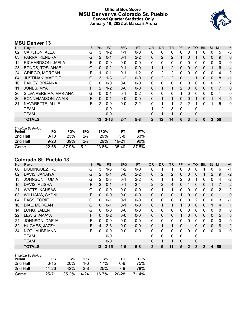# **Official Box Score MSU Denver vs Colorado St. Pueblo Second Quarter Statistics Only January 19, 2022 at Massari Arena**



# **MSU Denver 13**

| No. | Player                    | S | <b>Pts</b>    | <b>FG</b> | 3FG     | <b>FT</b> | 0R           | <b>DR</b> | TR | PF            | A            | TO           | <b>BIK</b> | <b>Stl</b>   | Min | $+/-$        |
|-----|---------------------------|---|---------------|-----------|---------|-----------|--------------|-----------|----|---------------|--------------|--------------|------------|--------------|-----|--------------|
| 02  | CARLTON, ALEX             | G | 3             | $1 - 2$   | 1-1     | $0 - 0$   | 0            | 0         | 0  | 0             | 0            |              | 0          | 0            | 5   | $-3$         |
| 03  | PARRA, KENDRA             | G | 2             | $0 - 1$   | $0 - 1$ | $2 - 2$   | $\Omega$     | 2         | 2  |               | $\mathbf{0}$ |              | 0          | 0            | 9   | 0            |
| 12  | RICHARDSON, JAELA         | F | 0             | $0 - 0$   | $0 - 0$ | $0-0$     | $\Omega$     | 0         | 0  | 0             | 0            | 0            | 0          | 0            | 0   | 0            |
| 23  | <b>BONDS, TOSJANAE</b>    | G | $\mathbf{0}$  | $0 - 2$   | $0 - 1$ | $0 - 0$   | 1            |           | 2  | 0             | $\mathbf{0}$ | 0            | 0          |              | 6   | 4            |
| 24  | <b>GRIEGO, MORGAN</b>     | F |               | $0 - 1$   | $0 - 1$ | $1 - 2$   | 0            | 2         | 2  | 0             | 0            | 0            | 0          | $\mathbf 0$  | 4   | 2            |
| 04  | <b>JUSTINAK, MAGGIE</b>   | G | 3             | $1 - 3$   | $1 - 2$ | $0 - 0$   | $\mathbf{0}$ | 2         | 2  | 0             |              |              | 0          | $\mathbf{0}$ | 8   | $-1$         |
| 10  | <b>BAILEY, BRIANNA</b>    | G | 0             | $0 - 0$   | $0 - 0$ | $0 - 0$   | $\Omega$     | $\Omega$  | 0  | 0             | 0            | 0            | 0          | $\mathbf 0$  | 1   | 2            |
| 11  | JONES, MYA                | F | $\mathcal{P}$ | $1 - 2$   | $0 - 0$ | $0 - 0$   | $\mathbf{0}$ |           | 1  | $\mathcal{P}$ | $\Omega$     | $\mathbf{0}$ | $\Omega$   | $\Omega$     | 7   | 0            |
| 20  | SILVA PEREIRA, MARIANA    | G | 0             | $0 - 1$   | $0 - 1$ | $0 - 2$   | $\Omega$     | $\Omega$  | 0  | 1             | 0            | 0            | 0          | $\Omega$     | 1   | 0            |
| 30  | <b>BONNEMAISON, ANAIS</b> | F | $\Omega$      | $0 - 1$   | $0 - 0$ | $0 - 0$   | $\Omega$     |           | 1  | 0             | $\Omega$     |              | 0          |              | 4   | $-5$         |
| 31  | NAVARETTE, ALLIE          | F | 2             | $0 - 0$   | $0 - 0$ | $2 - 2$   | $\Omega$     |           | 1  | $\mathcal{P}$ | 2            |              | 0          |              | 5   | $\mathbf{0}$ |
|     | <b>TEAM</b>               |   |               | $0 - 0$   |         |           |              | 2         | 3  | $\Omega$      |              | 0            |            |              |     |              |
|     | <b>TEAM</b>               |   |               | $0 - 0$   |         |           | $\Omega$     |           |    | 0             |              | 0            |            |              |     |              |
|     | <b>TOTALS</b>             |   | 13            | $3 - 13$  | $2 - 7$ | $5-8$     | $\mathbf{2}$ | 12        | 14 | 6             | 3            | 5            | 0          | 3            | 50  |              |

| <b>Shooting By Period</b><br>Period | FG        | FG%        | 3FG     | 3FG%       | FT        | FT%   |
|-------------------------------------|-----------|------------|---------|------------|-----------|-------|
| 2nd Half                            | $3-13$    | <b>23%</b> | 2-7     | <b>29%</b> | $5-8$     | 63%   |
| 2nd Half                            | $9 - 23$  | 39%        | $2 - 7$ | <b>29%</b> | 19-21     | 90%   |
| Game                                | $22 - 58$ | 37.9%      | $5-21$  | 23.8%      | $35 - 40$ | 87.5% |

# **Colorado St. Pueblo 13**

| No. | Player                 | S | Pts            | <b>FG</b> | 3FG     | <b>FT</b> | <b>OR</b>    | <b>DR</b>    | <b>TR</b>    | <b>PF</b>      | A            | <b>TO</b> | <b>Blk</b>   | Stl            | Min            | $+/-$          |
|-----|------------------------|---|----------------|-----------|---------|-----------|--------------|--------------|--------------|----------------|--------------|-----------|--------------|----------------|----------------|----------------|
| 00  | DOMINGUEZ, RO          | G | 3              | $1 - 3$   | $1 - 2$ | $0-0$     | 0            |              |              | 0              | 0            | 0         |              | 0              | 6              | $-1$           |
| 02  | DAVIS, JANAIYA         | G | $\overline{2}$ | $0 - 1$   | $0 - 0$ | $2 - 2$   | $\Omega$     | 2            | 2            | $\Omega$       | $\mathbf{0}$ | 0         |              | $\overline{2}$ | 9              | $-2$           |
| 13  | JOHNSON, TOMIA         | G | $\overline{2}$ | $0 - 3$   | $0 - 1$ | $2 - 2$   | 0            | 1            | 1            | $\overline{2}$ | $\mathbf{0}$ |           | 0            | 0              | 4              | $-2$           |
| 15  | DAVIS, ALISHA          | F | $\overline{2}$ | $0 - 1$   | $0 - 1$ | $2 - 4$   | 2            | 2            | 4            | 0              | 1            | 0         | $\Omega$     | 1              | $\overline{7}$ | $-2$           |
| 21  | <b>WATTS, KANSAS</b>   | G | 0              | $0 - 0$   | $0 - 0$ | $0-0$     | 0            | 1            | $\mathbf 1$  | 0              | $\mathbf{0}$ | 0         | $\Omega$     | 0              | 2              | $\overline{2}$ |
| 03  | <b>WILLIAMS, SYDNI</b> | F | $\Omega$       | $0 - 0$   | $0 - 0$ | $0 - 0$   | $\mathbf{0}$ | 0            | $\Omega$     |                | $\Omega$     | 0         | $\Omega$     | $\Omega$       |                | $\mathbf 0$    |
| 04  | <b>BASS, TORIE</b>     | G | $\Omega$       | $0 - 1$   | $0 - 1$ | $0 - 0$   | 0            | $\mathbf{0}$ | $\mathbf{0}$ | 0              | $\mathbf{0}$ | 2         | $\mathbf{0}$ | 0              | 3              | $-1$           |
| 10  | DIAL, MORGAN           | G | $\Omega$       | $0 - 1$   | $0 - 1$ | $0 - 0$   | $\Omega$     | 1            | 1            | 1              | $\mathbf{0}$ | $\Omega$  | $\Omega$     | 1              | 4              | 1              |
| 14  | LONG, JALEN            | G | 0              | $0 - 0$   | $0 - 0$ | $0 - 0$   | 0            | 0            | $\mathbf{0}$ | 0              | $\mathbf{0}$ | 0         | 0            | 0              | $\mathbf{0}$   | $\mathbf 0$    |
| 22  | LEWIS, AMAYA           | F | $\Omega$       | $0 - 2$   | $0 - 0$ | $0 - 0$   | $\mathbf{0}$ | $\Omega$     | $\mathbf{0}$ |                | $\mathbf{0}$ | 0         | $\mathbf{0}$ | $\Omega$       | 5              | 3              |
| 24  | JOHNSON, DAEJA         | F | 0              | $0 - 0$   | $0-0$   | $0 - 0$   | 0            | 0            | $\mathbf{0}$ | 0              | $\mathbf{0}$ | 0         | 0            | 0              | 0              | 0              |
| 32  | HUGHES, JAZZY          | F | 4              | $2 - 3$   | $0 - 0$ | $0 - 0$   | $\mathbf{0}$ | 1            | 1            | 0              | 1            | 0         | 0            | $\Omega$       | 8              | $\overline{2}$ |
| 34  | NOTI, AUBRIANA         | F | $\Omega$       | $0 - 0$   | $0 - 0$ | $0 - 0$   | 0            | 0            | $\Omega$     | $\Omega$       | $\Omega$     | 0         | $\Omega$     | 0              | 0              | $\mathbf{0}$   |
|     | <b>TEAM</b>            |   |                | $0-0$     |         |           | 0            | 0            | $\Omega$     | 0              |              | 0         |              |                |                |                |
|     | <b>TEAM</b>            |   |                | $0-0$     |         |           | 0            | 1            | $\mathbf 1$  | $\mathbf{0}$   |              | 0         |              |                |                |                |
|     | <b>TOTALS</b>          |   | 13             | $3 - 15$  | $1 - 6$ | $6 - 8$   | $\mathbf{2}$ | 9            | 11           | 5              | $\mathbf{2}$ | 3         | $\mathbf{2}$ | 4              | 50             |                |

| <b>Shooting By Period</b><br>Period | FG       | FG%   | 3FG     | 3FG%  | FТ        | FT%   |
|-------------------------------------|----------|-------|---------|-------|-----------|-------|
| 2nd Half                            | $3 - 15$ | 20%   | 1-6     | 17%   | $6 - 8$   | 75%   |
| 2nd Half                            | 11-26    | 42%   | $2 - 8$ | 25%   | 7-9       | 78%   |
| Game                                | 25-71    | 35.2% | 4-24    | 16.7% | $20 - 28$ | 71.4% |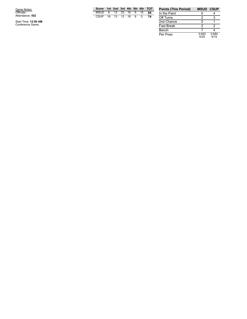G a m e N o t e s: Officials: Attendance: **5 5 2**

Start Time: 12:00 AM<br>Conference Game;

|     |  |  |  | Score 1st 2nd 3rd 4th 5th 6th TOT |
|-----|--|--|--|-----------------------------------|
|     |  |  |  | MSUD 8 13 23 16 9 15 84           |
| -74 |  |  |  | CSUP 16 13 13 18 9 5              |
|     |  |  |  |                                   |
|     |  |  |  |                                   |

| <b>Points (This Period)</b> | <b>MSUD CSUP</b> |               |
|-----------------------------|------------------|---------------|
| In the Paint                |                  |               |
| Off Turns                   | 2                |               |
| 2nd Chance                  |                  |               |
| <b>Fast Break</b>           | 2                | 2             |
| Bench                       |                  |               |
| Per Poss                    | 0.650<br>6/20    | 0.684<br>6/19 |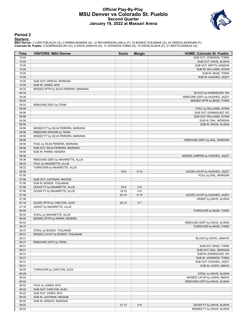### **Official Play-By-Play MSU Denver vs Colorado St. Pueblo Second Quarter January 19, 2022 at Massari Arena**



### **Period 2**

#### **Starters:**

**MSU Denver**: 2 CARLTON,ALEX (G); 3 PARRA,KENDRA (G); 12 RICHARDSON,JAELA (F); 23 BONDS,TOSJANAE (G); 24 GRIEGO,MORGAN (F);<br>**Colorado St. Pueblo**: 0 DOMINGUEZ,RO (G); 2 DAVIS,JANAIYA (G); 13 JOHNSON,TOMIA (G); 15 DAVIS,ALI

| Time           | <b>VISITORS: MSU Denver</b>                                   | <b>Score</b> | <b>Margin</b> | <b>HOME: Colorado St. Pueblo</b> |
|----------------|---------------------------------------------------------------|--------------|---------------|----------------------------------|
| 10:00          |                                                               |              |               | SUB OUT: JOHNSON, TOMIA          |
| 10:00          |                                                               |              |               | SUB OUT: DAVIS, ALISHA           |
| 10:00          |                                                               |              |               | SUB OUT: WATTS, KANSAS           |
| 10:00          |                                                               |              |               | SUB IN: WILLIAMS, SYDNI          |
| 10:00          |                                                               |              |               | SUB IN: BASS, TORIE              |
| 10:00          |                                                               |              |               | SUB IN: HUGHES, JAZZY            |
| 10:00<br>10:00 | SUB OUT: GRIEGO, MORGAN                                       |              |               |                                  |
| 09:33          | SUB IN: JONES, MYA<br>MISSED 3PTR by SILVA PEREIRA, MARIANA   |              |               |                                  |
| 09:33          |                                                               |              |               | BLOCK by DOMINGUEZ, RO           |
| 09:28          |                                                               |              |               | REBOUND (DEF) by HUGHES, JAZZY   |
| 09:25          |                                                               |              |               | MISSED 3PTR by BASS, TORIE       |
| 09:23          | REBOUND (DEF) by TEAM                                         |              |               |                                  |
| 08:56          |                                                               |              |               | FOUL by WILLIAMS, SYDNI          |
| 08:56          |                                                               |              |               | SUB OUT: DOMINGUEZ, RO           |
| 08:56          |                                                               |              |               | SUB OUT: WILLIAMS, SYDNI         |
| 08:56          |                                                               |              |               | SUB IN: DIAL, MORGAN             |
| 08:56          |                                                               |              |               | SUB IN: DAVIS, ALISHA            |
| 08:56          | MISSED FT by SILVA PEREIRA, MARIANA                           |              |               |                                  |
| 08:56          | REBOUND (DEADB) by TEAM                                       |              |               |                                  |
| 08:56          | MISSED FT by SILVA PEREIRA, MARIANA                           |              |               |                                  |
| 08:56          |                                                               |              |               | REBOUND (DEF) by DIAL, MORGAN    |
| 08:56          | FOUL by SILVA PEREIRA, MARIANA                                |              |               |                                  |
| 08:56          | SUB OUT: SILVA PEREIRA, MARIANA                               |              |               |                                  |
| 08:56          | SUB IN: PARRA, KENDRA                                         |              |               |                                  |
| 08:39          |                                                               |              |               | MISSED JUMPER by HUGHES, JAZZY   |
| 08:36<br>08:22 | REBOUND (DEF) by NAVARETTE, ALLIE<br>FOUL by NAVARETTE, ALLIE |              |               |                                  |
| 08:22          | TURNOVER by NAVARETTE, ALLIE                                  |              |               |                                  |
| 08:08          |                                                               | $18 - 8$     | H 10          | GOOD! LAYUP by HUGHES, JAZZY     |
| 07:56          |                                                               |              |               | FOUL by DIAL, MORGAN             |
| 07:56          | SUB OUT: JUSTINAK, MAGGIE                                     |              |               |                                  |
| 07:56          | SUB IN: BONDS, TOSJANAE                                       |              |               |                                  |
| 07:56          | GOOD! FT by NAVARETTE, ALLIE                                  | $18-9$       | H9            |                                  |
| 07:56          | GOOD! FT by NAVARETTE, ALLIE                                  | $18 - 10$    | H 8           |                                  |
| 07:39          |                                                               | $20 - 10$    | H 10          | GOOD! LAYUP by HUGHES, JAZZY     |
| 07:39          |                                                               |              |               | ASSIST by DAVIS, ALISHA          |
| 07:16          | GOOD! 3PTR by CARLTON, ALEX                                   | $20-13$      | H 7           |                                  |
| 07:16          | ASSIST by NAVARETTE, ALLIE                                    |              |               |                                  |
| 06:55          |                                                               |              |               | TURNOVER by BASS, TORIE          |
| 06:55          | STEAL by NAVARETTE, ALLIE                                     |              |               |                                  |
| 06:45          | MISSED 3PTR by PARRA, KENDRA                                  |              |               |                                  |
| 06:42          |                                                               |              |               | REBOUND (DEF) by DAVIS, ALISHA   |
| 06:37          |                                                               |              |               | TURNOVER by BASS, TORIE          |
| 06:37          | STEAL by BONDS, TOSJANAE                                      |              |               |                                  |
| 06:31          | MISSED LAYUP by BONDS, TOSJANAE                               |              |               |                                  |
| 06:31<br>06:31 |                                                               |              |               | BLOCK by DAVIS, JANAIYA          |
| 06:31          | REBOUND (OFF) by TEAM                                         |              |               | SUB OUT: BASS, TORIE             |
| 06:31          |                                                               |              |               | SUB OUT: DIAL, MORGAN            |
| 06:31          |                                                               |              |               | SUB IN: DOMINGUEZ, RO            |
| 06:31          |                                                               |              |               | SUB IN: JOHNSON, TOMIA           |
| 06:31          |                                                               |              |               | SUB OUT: HUGHES, JAZZY           |
| 06:31          |                                                               |              |               | SUB IN: LEWIS, AMAYA             |
| 06:29          | TURNOVER by CARLTON, ALEX                                     |              |               |                                  |
| 06:29          |                                                               |              |               | STEAL by DAVIS, ALISHA           |
| 06:04          |                                                               |              |               | MISSED LAYUP by LEWIS, AMAYA     |
| 06:02          |                                                               |              |               | REBOUND (OFF) by DAVIS, ALISHA   |
| 06:02          | FOUL by JONES, MYA                                            |              |               |                                  |
| 06:02          | SUB OUT: CARLTON, ALEX                                        |              |               |                                  |
| 06:02          | SUB OUT: JONES, MYA                                           |              |               |                                  |
| 06:02          | SUB IN: JUSTINAK, MAGGIE                                      |              |               |                                  |
| 06:02          | SUB IN: GRIEGO, MORGAN                                        |              |               |                                  |
| 06:02          |                                                               | $21 - 13$    | H 8           | GOOD! FT by DAVIS, ALISHA        |
| 06:02          |                                                               |              |               | MISSED FT by DAVIS, ALISHA       |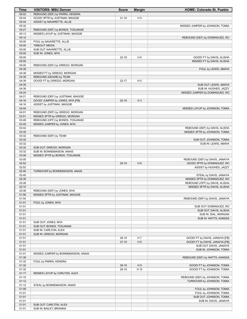| Time           | <b>VISITORS: MSU Denver</b>                                    | <b>Score</b> | <b>Margin</b>  | <b>HOME: Colorado St. Pueblo</b>                                |
|----------------|----------------------------------------------------------------|--------------|----------------|-----------------------------------------------------------------|
| 06:02          | REBOUND (DEF) by PARRA, KENDRA                                 |              |                |                                                                 |
| 05:44          | GOOD! 3PTR by JUSTINAK, MAGGIE                                 | $21 - 16$    | H <sub>5</sub> |                                                                 |
| 05:44          | ASSIST by NAVARETTE, ALLIE                                     |              |                |                                                                 |
| 05:32<br>05:27 | REBOUND (DEF) by BONDS, TOSJANAE                               |              |                | MISSED JUMPER by JOHNSON, TOMIA                                 |
| 05:13          | MISSED LAYUP by JUSTINAK, MAGGIE                               |              |                |                                                                 |
| 05:10          |                                                                |              |                | REBOUND (DEF) by DOMINGUEZ, RO                                  |
| 05:00          | FOUL by NAVARETTE, ALLIE                                       |              |                |                                                                 |
| 05:00          | <b>TIMEOUT MEDIA</b>                                           |              |                |                                                                 |
| 05:00          | SUB OUT: NAVARETTE, ALLIE                                      |              |                |                                                                 |
| 05:00          | SUB IN: JONES, MYA                                             |              |                |                                                                 |
| 05:00          |                                                                | $22 - 16$    | H <sub>6</sub> | GOOD! FT by DAVIS, ALISHA                                       |
| 05:00<br>05:00 | REBOUND (DEF) by GRIEGO, MORGAN                                |              |                | MISSED FT by DAVIS, ALISHA                                      |
| 04:39          |                                                                |              |                | FOUL by LEWIS, AMAYA                                            |
| 04:39          | MISSED FT by GRIEGO, MORGAN                                    |              |                |                                                                 |
| 04:39          | REBOUND (DEADB) by TEAM                                        |              |                |                                                                 |
| 04:39          | GOOD! FT by GRIEGO, MORGAN                                     | $22 - 17$    | H <sub>5</sub> |                                                                 |
| 04:39          |                                                                |              |                | SUB OUT: LEWIS, AMAYA                                           |
| 04:39          |                                                                |              |                | SUB IN: HUGHES, JAZZY                                           |
| 04:24<br>04:21 | REBOUND (DEF) by JUSTINAK, MAGGIE                              |              |                | MISSED JUMPER by DOMINGUEZ, RO                                  |
| 04:16          | GOOD! JUMPER by JONES, MYA [FB]                                | $22 - 19$    | $H_3$          |                                                                 |
| 04:16          | ASSIST by JUSTINAK, MAGGIE                                     |              |                |                                                                 |
| 04:04          |                                                                |              |                | MISSED LAYUP by JOHNSON, TOMIA                                  |
| 04:01          | REBOUND (DEF) by GRIEGO, MORGAN                                |              |                |                                                                 |
| 03:51          | MISSED 3PTR by GRIEGO, MORGAN                                  |              |                |                                                                 |
| 03:49          | REBOUND (OFF) by BONDS, TOSJANAE                               |              |                |                                                                 |
| 03:45          | MISSED JUMPER by JONES, MYA                                    |              |                |                                                                 |
| 03:42<br>03:35 |                                                                |              |                | REBOUND (DEF) by DAVIS, ALISHA<br>MISSED 3PTR by JOHNSON, TOMIA |
| 03:32          | REBOUND (DEF) by TEAM                                          |              |                |                                                                 |
| 03:32          |                                                                |              |                | SUB OUT: JOHNSON, TOMIA                                         |
| 03:32          |                                                                |              |                | SUB IN: LEWIS, AMAYA                                            |
| 03:32          | SUB OUT: GRIEGO, MORGAN                                        |              |                |                                                                 |
| 03:32          | SUB IN: BONNEMAISON, ANAIS                                     |              |                |                                                                 |
| 03:08          | MISSED 3PTR by BONDS, TOSJANAE                                 |              |                |                                                                 |
| 03:05<br>02:52 |                                                                |              | H <sub>6</sub> | REBOUND (DEF) by DAVIS, JANAIYA                                 |
| 02:52          |                                                                | $25-19$      |                | GOOD! 3PTR by DOMINGUEZ, RO<br>ASSIST by HUGHES, JAZZY          |
| 02:40          | TURNOVER by BONNEMAISON, ANAIS                                 |              |                |                                                                 |
| 02:40          |                                                                |              |                | STEAL by DAVIS, JANAIYA                                         |
| 02:30          |                                                                |              |                | MISSED 3PTR by DOMINGUEZ, RO                                    |
| 02:28          |                                                                |              |                | REBOUND (OFF) by DAVIS, ALISHA                                  |
| 02:10          |                                                                |              |                | MISSED 3PTR by DAVIS, ALISHA                                    |
| 02:08<br>01:56 | REBOUND (DEF) by JONES, MYA<br>MISSED 3PTR by JUSTINAK, MAGGIE |              |                |                                                                 |
| 01:54          |                                                                |              |                | REBOUND (DEF) by DAVIS, JANAIYA                                 |
| 01:51          | FOUL by JONES, MYA                                             |              |                |                                                                 |
| 01:51          |                                                                |              |                | SUB OUT: DOMINGUEZ, RO                                          |
| 01:51          |                                                                |              |                | SUB OUT: DAVIS, ALISHA                                          |
| 01:51          |                                                                |              |                | SUB IN: DIAL, MORGAN                                            |
| 01:51          |                                                                |              |                | SUB IN: WATTS, KANSAS                                           |
| 01:51          | SUB OUT: JONES, MYA                                            |              |                |                                                                 |
| 01:51<br>01:51 | SUB OUT: BONDS, TOSJANAE<br>SUB IN: CARLTON, ALEX              |              |                |                                                                 |
| 01:51          | SUB IN: GRIEGO, MORGAN                                         |              |                |                                                                 |
| 01:51          |                                                                | $26-19$      | H 7            | GOOD! FT by DAVIS, JANAIYA [FB]                                 |
| 01:51          |                                                                | $27-19$      | H 8            | GOOD! FT by DAVIS, JANAIYA [FB]                                 |
| 01:51          |                                                                |              |                | SUB OUT: DAVIS, JANAIYA                                         |
| 01:51          |                                                                |              |                | SUB IN: JOHNSON, TOMIA                                          |
| 01:41          | MISSED JUMPER by BONNEMAISON, ANAIS                            |              |                |                                                                 |
| 01:39<br>01:32 | FOUL by PARRA, KENDRA                                          |              |                | REBOUND (DEF) by WATTS, KANSAS                                  |
| 01:32          |                                                                | 28-19        | H9             | GOOD! FT by JOHNSON, TOMIA                                      |
| 01:32          |                                                                | 29-19        | H 10           | GOOD! FT by JOHNSON, TOMIA                                      |
| 01:17          | MISSED LAYUP by CARLTON, ALEX                                  |              |                |                                                                 |
| 01:15          |                                                                |              |                | REBOUND (DEF) by JOHNSON, TOMIA                                 |
| 01:12          |                                                                |              |                | TURNOVER by JOHNSON, TOMIA                                      |
| 01:12          | STEAL by BONNEMAISON, ANAIS                                    |              |                |                                                                 |
| 01:09          |                                                                |              |                | FOUL by JOHNSON, TOMIA                                          |
| 01:01          |                                                                |              |                | FOUL by JOHNSON, TOMIA                                          |
| 01:01<br>01:01 |                                                                |              |                | SUB OUT: JOHNSON, TOMIA<br>SUB IN: DAVIS, JANAIYA               |
| 01:01          | SUB OUT: CARLTON, ALEX                                         |              |                |                                                                 |
| 01:01          | SUB IN: BAILEY, BRIANNA                                        |              |                |                                                                 |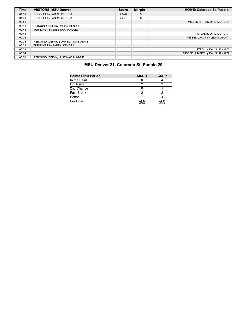| <b>Time</b> | <b>VISITORS: MSU Denver</b>         | <b>Score</b> | <b>Margin</b> | <b>HOME: Colorado St. Pueblo</b> |
|-------------|-------------------------------------|--------------|---------------|----------------------------------|
| 01:01       | GOOD! FT by PARRA, KENDRA           | 29-20        | H9            |                                  |
| 01:01       | GOOD! FT by PARRA, KENDRA           | 29-21        | H 8           |                                  |
| 00:50       |                                     |              |               | MISSED 3PTR by DIAL, MORGAN      |
| 00:48       | REBOUND (DEF) by PARRA, KENDRA      |              |               |                                  |
| 00:45       | TURNOVER by JUSTINAK, MAGGIE        |              |               |                                  |
| 00:45       |                                     |              |               | STEAL by DIAL, MORGAN            |
| 00:36       |                                     |              |               | MISSED LAYUP by LEWIS, AMAYA     |
| 00:33       | REBOUND (DEF) by BONNEMAISON, ANAIS |              |               |                                  |
| 00:29       | TURNOVER by PARRA, KENDRA           |              |               |                                  |
| 00:29       |                                     |              |               | STEAL by DAVIS, JANAIYA          |
| 00:04       |                                     |              |               | MISSED JUMPER by DAVIS, JANAIYA  |
| 00:00       | REBOUND (DEF) by JUSTINAK, MAGGIE   |              |               |                                  |

# **MSU Denver 21, Colorado St. Pueblo 29**

| <b>Points (This Period)</b> | <b>MSUD</b>   | <b>CSUP</b>   |
|-----------------------------|---------------|---------------|
| In the Paint                |               |               |
| Off Turns                   |               |               |
| 2nd Chance                  |               |               |
| <b>Fast Break</b>           |               |               |
| Bench                       |               |               |
| Per Poss                    | 0.650<br>6/20 | 0.684<br>6/19 |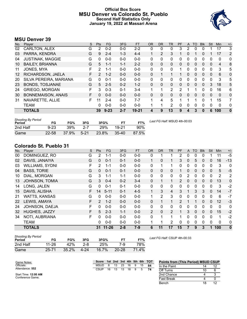# **Official Box Score MSU Denver vs Colorado St. Pueblo Second Half Statistics Only January 19, 2022 at Massari Arena**



# **MSU Denver 39**

| No. | Player                    | S  | <b>Pts</b>    | FG       | 3FG     | <b>FT</b> | <b>OR</b> | <b>DR</b> | <b>TR</b>      | PF | A | TO       | <b>Blk</b>   | Stl          | Min            | $+/-$          |
|-----|---------------------------|----|---------------|----------|---------|-----------|-----------|-----------|----------------|----|---|----------|--------------|--------------|----------------|----------------|
| 02  | CARLTON, ALEX             | G  | 2             | $0 - 2$  | $0-0$   | $2 - 2$   | 0         | 0         | 0              | 3  | 2 | 0        |              |              | 17             | 3              |
| 03  | PARRA, KENDRA             | G  | 9             | $2 - 4$  | $1 - 3$ | $4 - 4$   |           | 2         | 3              | 1  | 0 |          | 0            |              | 17             | $\overline{2}$ |
| 04  | <b>JUSTINAK, MAGGIE</b>   | G  | 0             | $0 - 0$  | $0 - 0$ | $0 - 0$   | 0         | 0         | 0              | 0  | 0 | 0        | 0            | 0            | 0              | 0              |
| 10  | <b>BAILEY, BRIANNA</b>    | G  | 5             | $1 - 1$  | $1 - 1$ | $2 - 2$   | 0         | $\Omega$  | $\mathbf{0}$   | 0  | 0 | $\Omega$ | 0            | $\mathbf{0}$ | $\overline{4}$ | 8              |
| 11  | JONES, MYA                | F  | 2             | $1 - 1$  | $0 - 0$ | $0 - 0$   | 0         | $\Omega$  | 0              | 1  | 0 | 0        | $\Omega$     | 0            | 3              | 5              |
| 12  | RICHARDSON, JAELA         | F  | $\mathcal{P}$ | $1 - 2$  | $0 - 0$ | $0 - 0$   | 0         |           |                |    | 0 | 0        | $\Omega$     | 0            | 6              | 0              |
| 20  | SILVA PEREIRA, MARIANA    | G  | 0             | $0 - 1$  | $0 - 0$ | $0 - 0$   | 0         | $\Omega$  | 0              | 0  | 0 | 0        | $\Omega$     | $\Omega$     | 3              | 5              |
| 23  | <b>BONDS, TOSJANAE</b>    | G  | 5             | $2 - 5$  | $0 - 2$ | $1 - 2$   | 0         | $\Omega$  | $\mathbf{0}$   | 0  | 0 | $\Omega$ | $\mathbf{0}$ | 3            | 18             | 5              |
| 24  | <b>GRIEGO, MORGAN</b>     | F  | 3             | $0 - 3$  | $0 - 1$ | $3 - 4$   |           | 1         | $\overline{2}$ | 2  |   |          | 0            | 0            | 16             | 6              |
| 30  | <b>BONNEMAISON, ANAIS</b> | F. | $\Omega$      | $0 - 0$  | $0 - 0$ | $0 - 0$   | 0         | 0         | 0              | 0  | 0 | $\Omega$ | $\Omega$     | $\Omega$     | $\mathbf{0}$   | 0              |
| 31  | NAVARETTE, ALLIE          | F. | 11            | $2 - 4$  | $0 - 0$ | $7 - 7$   | 1         | 4         | 5              |    |   |          | 0            | 1            | 15             | 7              |
|     | <b>TEAM</b>               |    | 0             | $0 - 0$  | $0 - 0$ | $0 - 0$   |           | 1         | $\overline{2}$ | 0  | 0 | 0        | $\Omega$     | 0            | 0              | 0              |
|     | <b>TOTALS</b>             |    | 39            | $9 - 23$ | $2 - 7$ | 19-21     | 4         | 9         | 13             | 9  | 4 | 3        | 0            | 6            | 100            | $\bf{0}$       |

| <b>Shooting By Period</b><br>Period | FG        | FG%   | 3FG     | 3FG%  | <b>FT</b> | FT%   | Last FG Half: MSUD 4th-00:03 |
|-------------------------------------|-----------|-------|---------|-------|-----------|-------|------------------------------|
| 2nd Half                            | $9 - 23$  | 39%   | $2 - 7$ | 29%   | 19-21     | 90%   |                              |
| Game                                | $22 - 58$ | 37.9% | $5-21$  | 23.8% | $35 - 40$ | 87.5% |                              |

# **Colorado St. Pueblo 31**

| No. | Player                 | S | <b>Pts</b>     | <b>FG</b> | 3FG     | <b>FT</b> | <b>OR</b>    | <b>DR</b> | <b>TR</b>      | PF             | A              | TO       | <b>Blk</b>   | Stl      | <b>Min</b>     | $+/-$        |
|-----|------------------------|---|----------------|-----------|---------|-----------|--------------|-----------|----------------|----------------|----------------|----------|--------------|----------|----------------|--------------|
| 00  | DOMINGUEZ, RO          | G | $\overline{2}$ | $1 - 1$   | $0 - 0$ | $0-0$     | 0            |           |                | 2              | 0              | 0        | 0            |          | 11             | $-5$         |
| 02  | DAVIS, JANAIYA         | G | 0              | $0 - 1$   | $0 - 1$ | $0-0$     | $\mathbf 1$  | 0         |                | 3              | 0              | 5        | 0            | 0        | 16             | $-13$        |
| 03  | <b>WILLIAMS, SYDNI</b> | F | 2              | $1 - 1$   | $0 - 0$ | $0-0$     | 0            |           |                | 0              | 0              | 0        | 0            | 0        | 3              | 0            |
| 04  | <b>BASS, TORIE</b>     | G | 0              | $0 - 1$   | $0 - 1$ | $0 - 0$   | $\mathbf{0}$ | 0         | 0              |                | $\mathbf{0}$   | 0        | $\mathbf{0}$ | 0        | 5              | $-5$         |
| 10  | DIAL, MORGAN           | G | 3              | $1 - 1$   | $1 - 1$ | $0-0$     | $\mathbf{0}$ | 0         | $\mathbf{0}$   | 0              | $\overline{2}$ | 0        | 0            | 0        | $\overline{2}$ | 2            |
| 13  | <b>JOHNSON, TOMIA</b>  | G | 3              | $0 - 4$   | $0 - 2$ | $3 - 4$   | $\mathbf{0}$ | 1         | 1              | $\overline{2}$ | 0              | 0        | $\mathbf{0}$ | 0        | 13             | $\mathbf 0$  |
| 14  | LONG, JALEN            | G | $\Omega$       | $0 - 1$   | $0 - 1$ | $0 - 0$   | $\Omega$     | 0         | $\mathbf{0}$   | 0              | 0              | 0        | $\mathbf{0}$ | $\Omega$ | 3              | $-2$         |
| 15  | DAVIS, ALISHA          | F | 14             | $5 - 11$  | $0 - 1$ | $4 - 5$   | 1            | 3         | 4              | 3              | 1              | 3        | 3            | 0        | 14             | $-7$         |
| 21  | <b>WATTS, KANSAS</b>   | G | $\Omega$       | $0-0$     | $0 - 0$ | $0-0$     | 1            | 2         | 3              | 0              | 0              | 0        | 0            | 0        | 6              | $-7$         |
| 22  | LEWIS, AMAYA           | F | $\mathcal{P}$  | $1 - 2$   | $0 - 0$ | $0 - 0$   | $\mathbf{0}$ | 1         | 1.             | $\mathcal{P}$  | 1              | 1        | $\mathbf{0}$ | $\Omega$ | 12             | $-3$         |
| 24  | JOHNSON, DAEJA         | F | 0              | $0 - 0$   | $0 - 0$ | $0 - 0$   | $\mathbf{0}$ | 0         | 0              | 0              | 0              | 0        | 0            | 0        | $\mathbf{0}$   | $\mathbf{0}$ |
| 32  | HUGHES, JAZZY          | F | 5              | $2 - 3$   | $1 - 1$ | $0 - 0$   | 2            | 0         | $\overline{2}$ |                | 3              | $\Omega$ | $\mathbf{0}$ | $\Omega$ | 15             | $-2$         |
| 34  | NOTI, AUBRIANA         | F | 0              | $0 - 0$   | $0 - 0$ | $0 - 0$   | $\Omega$     | 1         | 1              |                | $\Omega$       | 0        | 0            | $\Omega$ | 1              | $-2$         |
|     | <b>TEAM</b>            |   | 0              | $0 - 0$   | $0 - 0$ | $0 - 0$   | 1            |           | 2              | 0              | 0              | 0        | 0            | 0        | $\mathbf{0}$   | 0            |
|     | <b>TOTALS</b>          |   |                | 31 11-26  | $2 - 8$ | $7 - 9$   | 6            | 11        | 17             | 15             | 7              | 9        | 3            | 1        | 100            | $\mathbf{0}$ |

| Shooting By Period<br>Period | FG        | FG%      | 3FG     | 3FG%  |           | FT%   |
|------------------------------|-----------|----------|---------|-------|-----------|-------|
| 2nd Half                     | 11-26     | 42%      | $2 - 8$ | 25%   | 7-9       | 78%   |
| Game                         | $25 - 71$ | $35.2\%$ | 4-24    | 16.7% | $20 - 28$ | 71.4% |

*Last FG Half:* CSUP 4th-00:33

| Game Notes:          | <b>Score</b> |    |    |    |    |   |    | 1st 2nd 3rd 4th 5th 6th TOT | <b>Points from (This Period) MSUD CSUP</b> |    |
|----------------------|--------------|----|----|----|----|---|----|-----------------------------|--------------------------------------------|----|
| Officials:           | MSUD         |    | 13 | 23 | 16 | 9 | 15 | 84                          | In the Paint                               | 12 |
| Attendance: 552      | CSUP         | 16 | 13 | 13 | 18 | 9 | 5  | 74                          | Off Turns                                  |    |
| Start Time: 12:00 AM |              |    |    |    |    |   |    |                             | 2nd Chance                                 |    |
| Conference Game:     |              |    |    |    |    |   |    |                             | <b>Fast Break</b>                          |    |
|                      |              |    |    |    |    |   |    |                             | Bench                                      | 12 |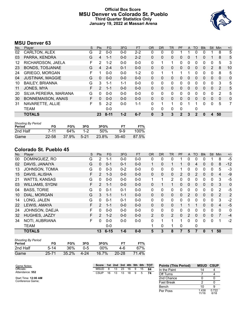# **Official Box Score MSU Denver vs Colorado St. Pueblo Third Quarter Statistics Only January 19, 2022 at Massari Arena**



# **MSU Denver 63**

| No. | Plaver                    | S | <b>Pts</b>    | <b>FG</b> | 3FG     | <b>FT</b> | 0R           | <b>DR</b>    | TR       | <b>PF</b>    | $\mathsf{A}$ | TO       | <b>BIK</b> | <b>Stl</b>  | Min            | $+/-$ |
|-----|---------------------------|---|---------------|-----------|---------|-----------|--------------|--------------|----------|--------------|--------------|----------|------------|-------------|----------------|-------|
| 02  | CARLTON, ALEX             | G | 2             | $0 - 0$   | $0 - 0$ | $2 - 2$   | 0            | 0            | 0        |              |              | O        | 0          |             | 8              | 5     |
| 03  | PARRA, KENDRA             | G | 4             | $1 - 1$   | $0 - 0$ | $2 - 2$   | $\mathbf{0}$ | $\mathbf{0}$ | 0        | 0            | $\Omega$     |          | 0          |             | 8              | 5     |
| 12  | RICHARDSON, JAELA         | F | 2             | $1 - 2$   | $0 - 0$ | $0 - 0$   | 0            |              |          | 0            | 0            | 0        | 0          | 0           | 5              | 3     |
| 23  | <b>BONDS, TOSJANAE</b>    | G | 4             | $2 - 4$   | $0 - 1$ | $0 - 0$   | $\Omega$     | 0            | 0        | 0            | $\Omega$     | $\Omega$ | $\Omega$   | 2           | 8              | 10    |
| 24  | <b>GRIEGO, MORGAN</b>     | F |               | $0 - 0$   | $0 - 0$ | $1 - 2$   | $\Omega$     | 1            | 1        | 1            |              | 0        | 0          | $\mathbf 0$ | 8              | 5     |
| 04  | <b>JUSTINAK, MAGGIE</b>   | G | $\Omega$      | $0 - 0$   | $0 - 0$ | $0 - 0$   | $\mathbf{0}$ | 0            | 0        | 0            | $\Omega$     | 0        | 0          | $\Omega$    | $\mathbf{0}$   | 0     |
| 10  | <b>BAILEY, BRIANNA</b>    | G | 3             | 1-1       | $1 - 1$ | $0 - 0$   | $\Omega$     | 0            | 0        | 0            | 0            | 0        | 0          | 0           | 3              | 5     |
| 11  | JONES, MYA                | F | $\mathcal{P}$ | $1 - 1$   | $0 - 0$ | $0 - 0$   | $\Omega$     | $\Omega$     | $\Omega$ | 0            | $\Omega$     | 0        | 0          | $\Omega$    | $\overline{2}$ | 5     |
| 20  | SILVA PEREIRA, MARIANA    | G | 0             | $0 - 0$   | $0 - 0$ | $0 - 0$   | $\Omega$     | 0            | 0        | 0            | $\Omega$     | 0        | 0          | $\Omega$    | $\overline{2}$ | 5     |
| 30  | <b>BONNEMAISON, ANAIS</b> | F | 0             | $0 - 0$   | $0 - 0$ | $0 - 0$   | $\Omega$     | 0            | 0        | 0            | $\Omega$     | 0        | 0          | 0           | $\mathbf{0}$   | 0     |
| 31  | NAVARETTE, ALLIE          | F | 5             | $2 - 2$   | $0 - 0$ | $1 - 1$   | $\Omega$     |              | 1        | 0            |              |          | 0          | 0           | 5              | 7     |
|     | <b>TEAM</b>               |   |               | $0 - 0$   |         |           | $\Omega$     | 0            | 0        | 0            |              | 0        |            |             |                |       |
|     | <b>TOTALS</b>             |   | 23            | $8 - 11$  | $1 - 2$ | $6 - 7$   | $\bf{0}$     | 3            | 3        | $\mathbf{2}$ | 3            | 2        | 0          | 4           | 50             |       |

| <b>Shooting By Period</b><br>Period | FG        | FG%   | 3FG    | 3FG%  | FТ        | FT%   |
|-------------------------------------|-----------|-------|--------|-------|-----------|-------|
| 2nd Half                            | 7-11      | 64%   | $1-2$  | 50%   | 9-9       | 100%  |
| Game                                | $22 - 58$ | 37.9% | $5-21$ | 23.8% | $35 - 40$ | 87.5% |

# **Colorado St. Pueblo 45**

| No. | Player                 | S | Pts            | <b>FG</b> | 3FG     | FT      | 0R           | <b>DR</b> | <b>TR</b>      | PF       | A              | TO       | <b>Blk</b> | Stl          | Min            | $+/-$       |
|-----|------------------------|---|----------------|-----------|---------|---------|--------------|-----------|----------------|----------|----------------|----------|------------|--------------|----------------|-------------|
| 00  | DOMINGUEZ, RO          | G | 2              | $1 - 1$   | $0 - 0$ | $0-0$   | 0            | 0         | 0              |          | 0              | 0        | 0          |              | 8              | $-5$        |
| 02  | DAVIS, JANAIYA         | G | $\Omega$       | $0 - 1$   | $0 - 1$ | $0-0$   | $\mathbf{1}$ | 0         | 1              |          | 0              | 4        | 0          | $\mathbf{0}$ | 8              | $-12$       |
| 13  | JOHNSON, TOMIA         | G | $\mathbf{0}$   | $0 - 3$   | $0 - 2$ | $0-0$   | 0            | 0         | 0              |          | 0              | 0        | 0          | 0            | 5              | -3          |
| 15  | DAVIS, ALISHA          | F | $\overline{2}$ | $1 - 3$   | $0 - 0$ | $0 - 0$ | $\Omega$     | 0         | $\mathbf{0}$   | 2        | 0              | 2        | $\Omega$   | $\Omega$     | 4              | $-9$        |
| 21  | <b>WATTS, KANSAS</b>   | G | $\Omega$       | $0-0$     | $0 - 0$ | $0-0$   | $\mathbf{1}$ | 1         | $\overline{2}$ | 0        | 0              | $\Omega$ | 0          | $\mathbf{0}$ | 3              | -5          |
| 03  | <b>WILLIAMS, SYDNI</b> | F | 2              | $1 - 1$   | $0 - 0$ | $0 - 0$ | 0            |           | 1              | 0        | $\mathbf{0}$   | 0        | 0          | $\mathbf{0}$ | 3              | $\mathbf 0$ |
| 04  | <b>BASS, TORIE</b>     | G | $\Omega$       | $0 - 1$   | $0 - 1$ | $0-0$   | 0            | 0         | $\mathbf{0}$   | 0        | 0              | $\Omega$ | $\Omega$   | $\Omega$     | 2              | -5          |
| 10  | DIAL, MORGAN           | G | 3              | $1 - 1$   | $1 - 1$ | $0 - 0$ | 0            | 0         | $\Omega$       | 0        | 2              | $\Omega$ | $\Omega$   | $\mathbf{0}$ | $\overline{2}$ | 2           |
| 14  | LONG, JALEN            | G | $\Omega$       | $0 - 1$   | $0 - 1$ | $0-0$   | 0            | 0         | 0              | 0        | 0              | $\Omega$ | 0          | 0            | 3              | $-2$        |
| 22  | LEWIS, AMAYA           | F | $\mathcal{P}$  | $1 - 1$   | $0 - 0$ | $0 - 0$ | $\Omega$     | 0         | $\mathbf{0}$   |          |                |          | $\Omega$   | $\Omega$     | $\overline{4}$ | $-5$        |
| 24  | JOHNSON, DAEJA         | F | 0              | $0 - 0$   | $0 - 0$ | $0-0$   | 0            | 0         | $\mathbf{0}$   | 0        | 0              | 0        | 0          | 0            | 0              | 0           |
| 32  | HUGHES, JAZZY          | F | 2              | $1 - 2$   | $0 - 0$ | $0 - 0$ | 2            | $\Omega$  | 2              | $\Omega$ | $\overline{2}$ | $\Omega$ | $\Omega$   | $\Omega$     | 7              | $-4$        |
| 34  | NOTI, AUBRIANA         | F | 0              | $0-0$     | $0 - 0$ | $0 - 0$ | 0            | 1         | 1              | 1        | 0              | 0        | 0          | 0            |                | $-2$        |
|     | <b>TEAM</b>            |   |                | $0 - 0$   |         |         | 1            | 0         | 1              | 0        |                | 0        |            |              |                |             |
|     | <b>TOTALS</b>          |   | 13             | $6 - 15$  | $1 - 6$ | $0 - 0$ | 5            | 3         | 8              | 7        | 5              |          | 0          |              | 50             |             |

| Shooting By Period<br>Period | FG       | FG%   | 3FG     | 3FG%  | FТ        | FT%   |
|------------------------------|----------|-------|---------|-------|-----------|-------|
| 2nd Half                     | $5 - 14$ | 36%   | $0 - 5$ | 00%   | 4-6       | 67%   |
| Game                         | 25-71    | 35.2% | 4-24    | 16.7% | $20 - 28$ | 71.4% |

| Game Notes:          | <b>Score</b> |    |    |    |    |   |    | 1st 2nd 3rd 4th 5th 6th TOT | <b>Points (This Period)</b> | <b>MSUD CSUP</b> |  |
|----------------------|--------------|----|----|----|----|---|----|-----------------------------|-----------------------------|------------------|--|
| Officials:           | <b>MSUD</b>  | 8  | 13 | 23 | 16 | 9 | 15 | 84                          | In the Paint                | 14               |  |
| Attendance: 552      | CSUP         | 16 | 13 | 13 | 18 | 9 | 5  | 74                          | Off Turns                   |                  |  |
| Start Time: 12:00 AM |              |    |    |    |    |   |    |                             | 2nd Chance                  |                  |  |
| Conference Game;     |              |    |    |    |    |   |    |                             | Fast Break                  |                  |  |
|                      |              |    |    |    |    |   |    |                             | Bench                       |                  |  |

Per Poss

1.438<br>11/16

0.722 6/18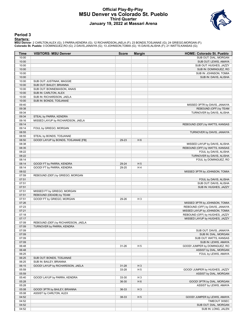### **Official Play-By-Play MSU Denver vs Colorado St. Pueblo Third Quarter January 19, 2022 at Massari Arena**



### **Period 3**

#### **Starters:**

**MSU Denver**: 2 CARLTON,ALEX (G); 3 PARRA,KENDRA (G); 12 RICHARDSON,JAELA (F); 23 BONDS,TOSJANAE (G); 24 GRIEGO,MORGAN (F);<br>**Colorado St. Pueblo**: 0 DOMINGUEZ,RO (G); 2 DAVIS,JANAIYA (G); 13 JOHNSON,TOMIA (G); 15 DAVIS,ALI

| Time           | <b>VISITORS: MSU Denver</b>                          | <b>Score</b> | <b>Margin</b>  | <b>HOME: Colorado St. Pueblo</b> |
|----------------|------------------------------------------------------|--------------|----------------|----------------------------------|
| 10:00          |                                                      |              |                | SUB OUT: DIAL, MORGAN            |
| 10:00          |                                                      |              |                | SUB OUT: LEWIS, AMAYA            |
| 10:00          |                                                      |              |                | SUB OUT: HUGHES, JAZZY           |
| 10:00          |                                                      |              |                | SUB IN: DOMINGUEZ, RO            |
| 10:00          |                                                      |              |                | SUB IN: JOHNSON, TOMIA           |
| 10:00          |                                                      |              |                | SUB IN: DAVIS, ALISHA            |
| 10:00          | SUB OUT: JUSTINAK, MAGGIE                            |              |                |                                  |
| 10:00          | SUB OUT: BAILEY, BRIANNA                             |              |                |                                  |
| 10:00          | SUB OUT: BONNEMAISON, ANAIS                          |              |                |                                  |
| 10:00<br>10:00 | SUB IN: CARLTON, ALEX                                |              |                |                                  |
| 10:00          | SUB IN: RICHARDSON, JAELA<br>SUB IN: BONDS, TOSJANAE |              |                |                                  |
| 09:40          |                                                      |              |                | MISSED 3PTR by DAVIS, JANAIYA    |
| 09:38          |                                                      |              |                | REBOUND (OFF) by TEAM            |
| 09:34          |                                                      |              |                | TURNOVER by DAVIS, ALISHA        |
| 09:34          | STEAL by PARRA, KENDRA                               |              |                |                                  |
| 09:16          | MISSED LAYUP by RICHARDSON, JAELA                    |              |                |                                  |
| 09:14          |                                                      |              |                | REBOUND (DEF) by WATTS, KANSAS   |
| 09:14          | FOUL by GRIEGO, MORGAN                               |              |                |                                  |
| 08:55          |                                                      |              |                | TURNOVER by DAVIS, JANAIYA       |
| 08:55          | STEAL by BONDS, TOSJANAE                             |              |                |                                  |
| 08:50          | GOOD! LAYUP by BONDS, TOSJANAE [FB]                  | 29-23        | H <sub>6</sub> |                                  |
| 08:38          |                                                      |              |                | MISSED LAYUP by DAVIS, ALISHA    |
| 08:35          |                                                      |              |                | REBOUND (OFF) by WATTS, KANSAS   |
| 08:22          |                                                      |              |                | FOUL by DAVIS, ALISHA            |
| 08:22          |                                                      |              |                | TURNOVER by DAVIS, ALISHA        |
| 08:14          |                                                      |              |                | FOUL by DOMINGUEZ, RO            |
| 08:14          | GOOD! FT by PARRA, KENDRA                            | 29-24        | H <sub>5</sub> |                                  |
| 08:14          | GOOD! FT by PARRA, KENDRA                            | 29-25        | H4             |                                  |
| 08:02          |                                                      |              |                | MISSED 3PTR by JOHNSON, TOMIA    |
| 07:59          | REBOUND (DEF) by GRIEGO, MORGAN                      |              |                |                                  |
| 07:51          |                                                      |              |                | FOUL by DAVIS, ALISHA            |
| 07:51          |                                                      |              |                | SUB OUT: DAVIS, ALISHA           |
| 07:51          |                                                      |              |                | SUB IN: HUGHES, JAZZY            |
| 07:51          | MISSED FT by GRIEGO, MORGAN                          |              |                |                                  |
| 07:51          | REBOUND (DEADB) by TEAM                              |              |                |                                  |
| 07:51          | GOOD! FT by GRIEGO, MORGAN                           | 29-26        | $H_3$          |                                  |
| 07:26          |                                                      |              |                | MISSED 3PTR by JOHNSON, TOMIA    |
| 07:23          |                                                      |              |                | REBOUND (OFF) by DAVIS, JANAIYA  |
| 07:21          |                                                      |              |                | MISSED LAYUP by JOHNSON, TOMIA   |
| 07:18          |                                                      |              |                | REBOUND (OFF) by HUGHES, JAZZY   |
| 07:17          |                                                      |              |                | MISSED LAYUP by HUGHES, JAZZY    |
| 07:09          | REBOUND (DEF) by RICHARDSON, JAELA                   |              |                |                                  |
| 07:09          | TURNOVER by PARRA, KENDRA                            |              |                |                                  |
| 07:09          |                                                      |              |                | SUB OUT: DAVIS, JANAIYA          |
| 07:09          |                                                      |              |                | SUB IN: DIAL, MORGAN             |
| 07:09          |                                                      |              |                | SUB OUT: WATTS, KANSAS           |
| 07:09          |                                                      |              |                | SUB IN: LEWIS, AMAYA             |
| 06:48          |                                                      | $31 - 26$    | H <sub>5</sub> | GOOD! JUMPER by DOMINGUEZ, RO    |
| 06:48          |                                                      |              |                | ASSIST by DIAL, MORGAN           |
| 06:25          |                                                      |              |                | FOUL by LEWIS, AMAYA             |
| 06:25          | SUB OUT: BONDS, TOSJANAE                             |              |                |                                  |
| 06:25          | SUB IN: BAILEY, BRIANNA                              |              |                |                                  |
| 06:15          | GOOD! LAYUP by RICHARDSON, JAELA                     | $31 - 28$    | $H_3$          |                                  |
| 05:59          |                                                      | 33-28        | H <sub>5</sub> | GOOD! JUMPER by HUGHES, JAZZY    |
| 05:59          |                                                      |              |                | ASSIST by DIAL, MORGAN           |
| 05:40          | GOOD! LAYUP by PARRA, KENDRA                         | 33-30        | H <sub>3</sub> |                                  |
| 05:28          |                                                      | 36-30        | H <sub>6</sub> | GOOD! 3PTR by DIAL, MORGAN       |
| 05:28          |                                                      |              |                | ASSIST by LEWIS, AMAYA           |
| 05:08          | GOOD! 3PTR by BAILEY, BRIANNA                        | 36-33        | $H_3$          |                                  |
| 05:08          | ASSIST by CARLTON, ALEX                              |              |                |                                  |
| 04:52          |                                                      | 38-33        | H <sub>5</sub> | GOOD! JUMPER by LEWIS, AMAYA     |
| 04:52          |                                                      |              |                | TIMEOUT 30SEC                    |
| 04:52          |                                                      |              |                | SUB OUT: DIAL, MORGAN            |
| 04:52          |                                                      |              |                | SUB IN: LONG, JALEN              |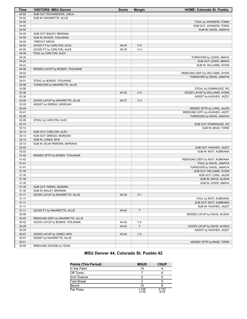| Time           | <b>VISITORS: MSU Denver</b>       | <b>Score</b> | <b>Margin</b>  | <b>HOME: Colorado St. Pueblo</b> |
|----------------|-----------------------------------|--------------|----------------|----------------------------------|
| 04:52          | SUB OUT: RICHARDSON, JAELA        |              |                |                                  |
| 04:52          | SUB IN: NAVARETTE, ALLIE          |              |                |                                  |
| 04:50          |                                   |              |                | FOUL by JOHNSON, TOMIA           |
| 04:50          |                                   |              |                | SUB OUT: JOHNSON, TOMIA          |
| 04:50          |                                   |              |                | SUB IN: DAVIS, JANAIYA           |
| 04:50          | SUB OUT: BAILEY, BRIANNA          |              |                |                                  |
| 04:50          | SUB IN: BONDS, TOSJANAE           |              |                |                                  |
| 04:50          | <b>TIMEOUT MEDIA</b>              |              |                |                                  |
| 04:50          | GOOD! FT by CARLTON, ALEX         | 38-34        | H4             |                                  |
| 04:50          | GOOD! FT by CARLTON, ALEX         | 38-35        | H <sub>3</sub> |                                  |
| 04:39          | FOUL by CARLTON, ALEX             |              |                |                                  |
| 04:35          |                                   |              |                | TURNOVER by LEWIS, AMAYA         |
| 04:22          |                                   |              |                | SUB OUT: LEWIS, AMAYA            |
| 04:22          |                                   |              |                | SUB IN: WILLIAMS, SYDNI          |
| 04:06          | MISSED LAYUP by BONDS, TOSJANAE   |              |                |                                  |
| 04:03          |                                   |              |                | REBOUND (DEF) by WILLIAMS, SYDNI |
| 04:01          |                                   |              |                | TURNOVER by DAVIS, JANAIYA       |
| 04:01          | STEAL by BONDS, TOSJANAE          |              |                |                                  |
| 03:56          | TURNOVER by NAVARETTE, ALLIE      |              |                |                                  |
| 03:56          |                                   |              |                | STEAL by DOMINGUEZ, RO           |
| 03:36          |                                   | 40-35        | H <sub>5</sub> | GOOD! LAYUP by WILLIAMS, SYDNI   |
| 03:36          |                                   |              |                | ASSIST by HUGHES, JAZZY          |
| 03:09          | GOOD! LAYUP by NAVARETTE, ALLIE   | 40-37        | $H_3$          |                                  |
| 03:09          | ASSIST by GRIEGO, MORGAN          |              |                |                                  |
| 02:44          |                                   |              |                | MISSED 3PTR by LONG, JALEN       |
| 02:41          |                                   |              |                | REBOUND (OFF) by HUGHES, JAZZY   |
| 02:28          |                                   |              |                | TURNOVER by DAVIS, JANAIYA       |
| 02:28          | STEAL by CARLTON, ALEX            |              |                |                                  |
| 02:14          |                                   |              |                | SUB OUT: DOMINGUEZ, RO           |
| 02:14          |                                   |              |                | SUB IN: BASS, TORIE              |
| 02:14          | SUB OUT: CARLTON, ALEX            |              |                |                                  |
| 02:14          | SUB OUT: GRIEGO, MORGAN           |              |                |                                  |
| 02:14          | SUB IN: JONES, MYA                |              |                |                                  |
| 02:14          | SUB IN: SILVA PEREIRA, MARIANA    |              |                |                                  |
| 02:02          |                                   |              |                | SUB OUT: HUGHES, JAZZY           |
| 02:02          |                                   |              |                | SUB IN: NOTI, AUBRIANA           |
| 01:42          | MISSED 3PTR by BONDS, TOSJANAE    |              |                |                                  |
| 01:42          |                                   |              |                | REBOUND (DEF) by NOTI, AUBRIANA  |
| 01:41          |                                   |              |                | FOUL by DAVIS, JANAIYA           |
| 01:41          |                                   |              |                | TURNOVER by DAVIS, JANAIYA       |
| 01:35          |                                   |              |                | SUB OUT: WILLIAMS, SYDNI         |
| 01:35          |                                   |              |                | SUB OUT: LONG, JALEN             |
| 01:35          |                                   |              |                | SUB IN: DAVIS, ALISHA            |
| 01:35          |                                   |              |                | SUB IN: LEWIS, AMAYA             |
| 01:35          | SUB OUT: PARRA, KENDRA            |              |                |                                  |
| 01:35          | SUB IN: BAILEY, BRIANNA           |              |                |                                  |
| 01:11          | GOOD! LAYUP by NAVARETTE, ALLIE   | 40-39        | H 1            |                                  |
| 01:11          |                                   |              |                | FOUL by NOTI, AUBRIANA           |
| 01:11          |                                   |              |                | SUB OUT: NOTI, AUBRIANA          |
| 01:11          |                                   |              |                | SUB IN: HUGHES, JAZZY            |
| 01:11          | GOOD! FT by NAVARETTE, ALLIE      | 40-40        | T              |                                  |
| 00:59          |                                   |              |                | MISSED LAYUP by DAVIS, ALISHA    |
| 00:55          | REBOUND (DEF) by NAVARETTE, ALLIE |              |                |                                  |
| 00:42          | GOOD! LAYUP by BONDS, TOSJANAE    | 40-42        | V <sub>2</sub> |                                  |
| 00:29          |                                   | 42-42        | T              | GOOD! LAYUP by DAVIS, ALISHA     |
| 00:29          |                                   |              |                | ASSIST by HUGHES, JAZZY          |
| 00:07          | GOOD! LAYUP by JONES, MYA         | 42-44        | V <sub>2</sub> |                                  |
|                |                                   |              |                |                                  |
| 00:07<br>00:01 | ASSIST by NAVARETTE, ALLIE        |              |                |                                  |
| 00:00          | REBOUND (DEADB) by TEAM           |              |                | MISSED 3PTR by BASS, TORIE       |
|                |                                   |              |                |                                  |

# **MSU Denver 44, Colorado St. Pueblo 42**

| <b>Points (This Period)</b> | <b>MSUD</b>    | <b>CSUP</b>   |
|-----------------------------|----------------|---------------|
| In the Paint                | 14             |               |
| Off Turns                   |                |               |
| 2nd Chance                  |                |               |
| <b>Fast Break</b>           |                |               |
| Bench                       | 10             |               |
| Per Poss                    | 1.438<br>11/16 | 0.722<br>6/18 |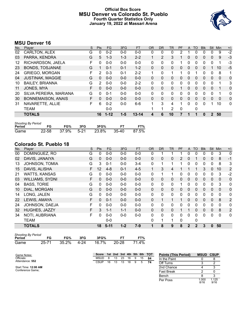# **Official Box Score MSU Denver vs Colorado St. Pueblo Fourth Quarter Statistics Only January 19, 2022 at Massari Arena**



# **MSU Denver 16**

| No. | Player                  | S | <b>Pts</b>    | <b>FG</b> | 3FG     | <b>FT</b> | <b>OR</b>    | <b>DR</b>    | TR | PF | A            | TO       | <b>BIK</b> | <b>Stl</b>     | Min          | $+/-$ |
|-----|-------------------------|---|---------------|-----------|---------|-----------|--------------|--------------|----|----|--------------|----------|------------|----------------|--------------|-------|
| 02  | CARLTON, ALEX           | G | 0             | $0 - 2$   | $0 - 0$ | $0 - 0$   | 0            | 0            | 0  | 2  |              | O        | 0          | 0              | 9            | $-2$  |
| 03  | PARRA, KENDRA           | G | 5             | $1 - 3$   | $1 - 3$ | $2 - 2$   | 1            | 2            | 3  | 1  | $\Omega$     | 0        | 0          | $\mathbf{0}$   | 9            | $-3$  |
| 12  | RICHARDSON, JAELA       | F | 0             | $0 - 0$   | $0 - 0$ | $0 - 0$   | $\mathbf{0}$ | 0            | 0  |    | $\mathbf{0}$ | 0        | 0          | $\mathbf 0$    | 1            | $-3$  |
| 23  | <b>BONDS, TOSJANAE</b>  | G |               | $0 - 1$   | $0 - 1$ | $1 - 2$   | $\Omega$     | $\mathbf{0}$ | 0  | 0  | $\Omega$     | 0        | 0          |                | 10           | $-5$  |
| 24  | <b>GRIEGO, MORGAN</b>   | F | 2             | $0 - 3$   | $0 - 1$ | $2 - 2$   | 1            | $\Omega$     | 1  |    | 0            |          | 0          | 0              | 8            | 1     |
| 04  | <b>JUSTINAK, MAGGIE</b> | G | $\Omega$      | $0 - 0$   | $0 - 0$ | $0 - 0$   | $\Omega$     | $\Omega$     | 0  | 0  | $\Omega$     | $\Omega$ | $\Omega$   | $\Omega$       | $\mathbf{0}$ | 0     |
| 10  | <b>BAILEY, BRIANNA</b>  | G | $\mathcal{P}$ | $0 - 0$   | $0 - 0$ | $2 - 2$   | $\Omega$     | $\Omega$     | 0  | 0  | $\Omega$     | 0        | 0          | $\Omega$       | 1            | 3     |
| 11  | JONES, MYA              | F | $\Omega$      | $0 - 0$   | $0 - 0$ | $0 - 0$   | $\Omega$     | $\mathbf{0}$ | 0  |    | $\Omega$     | 0        | 0          | $\mathbf{0}$   |              | 0     |
| 20  | SILVA PEREIRA, MARIANA  | G | 0             | $0 - 1$   | $0 - 0$ | $0 - 0$   | $\Omega$     | 0            | 0  | 0  | 0            | 0        | 0          | $\Omega$       | 1            | 0     |
| 30  | BONNEMAISON, ANAIS      | F | $\Omega$      | $0 - 0$   | $0 - 0$ | $0 - 0$   | $\Omega$     | $\Omega$     | 0  | 0  | $\Omega$     | 0        | 0          | $\Omega$       | $\Omega$     | 0     |
| 31  | NAVARETTE, ALLIE        | F | 6             | $0 - 2$   | $0 - 0$ | $6-6$     | 1            | 3            | 4  | 1  | $\Omega$     | 0        | 0          |                | 10           | 0     |
|     | <b>TEAM</b>             |   |               | $0 - 0$   |         |           |              | 1            | 2  | 0  |              | 0        |            |                |              |       |
|     | <b>TOTALS</b>           |   | 16            | $1 - 12$  | $1 - 5$ | $13 - 14$ | 4            | 6            | 10 |    |              |          | 0          | $\overline{2}$ | 50           |       |
|     |                         |   |               |           |         |           |              |              |    |    |              |          |            |                |              |       |

| <b>Shooting By Period</b> |           |       |        |       |       |       |
|---------------------------|-----------|-------|--------|-------|-------|-------|
| Period                    | FG        | FG%   | 3FG    | 3FG%  |       | FT%   |
| Game                      | $22 - 58$ | 37.9% | $5-21$ | 23.8% | 35-40 | 87.5% |

# **Colorado St. Pueblo 18**

| No. | Player                 | S | Pts      | <b>FG</b> | 3FG     | <b>FT</b> | <b>OR</b> | <b>DR</b> | <b>TR</b>    | PF | A            | <b>TO</b> | <b>Blk</b> | <b>Stl</b>   | Min      | $+/-$          |
|-----|------------------------|---|----------|-----------|---------|-----------|-----------|-----------|--------------|----|--------------|-----------|------------|--------------|----------|----------------|
| 00  | DOMINGUEZ, RO          | G | 0        | $0 - 0$   | $0 - 0$ | $0-0$     | 0         |           |              |    | 0            | 0         | 0          | 0            | 3        | $\mathbf 0$    |
| 02  | DAVIS, JANAIYA         | G | $\Omega$ | $0 - 0$   | $0 - 0$ | $0 - 0$   | $\Omega$  | 0         | 0            | 2  | 0            |           | 0          | $\Omega$     | 8        | $-1$           |
| 13  | JOHNSON, TOMIA         | G | 3        | $0 - 1$   | $0 - 0$ | $3 - 4$   | 0         |           | 1            |    | 0            | 0         | 0          | 0            | 8        | 3              |
| 15  | DAVIS, ALISHA          | F | 12       | $4 - 8$   | $0 - 1$ | $4 - 5$   | 1         | 3         | 4            |    |              | 1         | 3          | $\Omega$     | 10       | 2              |
| 21  | <b>WATTS, KANSAS</b>   | G | 0        | $0 - 0$   | $0 - 0$ | $0-0$     | 0         | 1         | 1            | 0  | 0            | 0         | 0          | 0            | 3        | $-2$           |
| 03  | <b>WILLIAMS, SYDNI</b> | F | $\Omega$ | $0 - 0$   | $0 - 0$ | $0 - 0$   | $\Omega$  | 0         | $\mathbf 0$  | 0  | $\mathbf{0}$ | 0         | 0          | $\mathbf{0}$ | $\Omega$ | $\mathbf 0$    |
| 04  | <b>BASS, TORIE</b>     | G | $\Omega$ | $0 - 0$   | $0 - 0$ | $0 - 0$   | 0         | $\Omega$  | $\mathbf{0}$ | 1  | 0            | $\Omega$  | 0          | 0            | 3        | 0              |
| 10  | DIAL, MORGAN           | G | $\Omega$ | $0 - 0$   | $0 - 0$ | $0-0$     | 0         | 0         | $\Omega$     | 0  | 0            | $\Omega$  | 0          | $\Omega$     | $\Omega$ | $\mathbf 0$    |
| 14  | LONG, JALEN            | G | $\Omega$ | $0 - 0$   | $0 - 0$ | $0-0$     | 0         | 0         | 0            | 0  | 0            | $\Omega$  | 0          | 0            | 0        | 0              |
| 22  | LEWIS, AMAYA           | F | $\Omega$ | $0 - 1$   | $0 - 0$ | $0 - 0$   | $\Omega$  |           | 1            |    | $\Omega$     | $\Omega$  | 0          | $\mathbf{0}$ | 8        | $\overline{2}$ |
| 24  | JOHNSON, DAEJA         | F | 0        | $0 - 0$   | $0 - 0$ | $0-0$     | 0         | 0         | $\mathbf{0}$ | 0  | 0            | $\Omega$  | 0          | $\Omega$     | 0        | 0              |
| 32  | HUGHES, JAZZY          | F | 3        | $1 - 1$   | $1 - 1$ | $0-0$     | $\Omega$  | $\Omega$  | $\mathbf 0$  |    |              | $\Omega$  | $\Omega$   | $\Omega$     | 8        | $\overline{2}$ |
| 34  | NOTI, AUBRIANA         | F | $\Omega$ | $0 - 0$   | $0 - 0$ | $0 - 0$   | 0         | 0         | $\mathbf{0}$ | 0  | 0            | $\Omega$  | 0          | 0            | 0        | 0              |
|     | <b>TEAM</b>            |   |          | $0 - 0$   |         |           | 0         | 1         | 1            | 0  |              | 0         |            |              |          |                |
|     | <b>TOTALS</b>          |   | 18       | $5 - 11$  | $1 - 2$ | $7 - 9$   |           | 8         | 9            | 8  | $\mathbf{2}$ | 2         | 3          | $\bf{0}$     | 50       |                |

|        | <b>Shooting By Period</b> |            |     |       |       |       |  |  |  |  |  |  |  |
|--------|---------------------------|------------|-----|-------|-------|-------|--|--|--|--|--|--|--|
| Period | FG                        | FG%        | 3FG | 3FG%  | FТ    | FT%   |  |  |  |  |  |  |  |
| Game   | $25 - 71$                 | 35.2% 4-24 |     | 16.7% | 20-28 | 71.4% |  |  |  |  |  |  |  |

| Game Notes:          | Score       |    |    |    |    |   |    | 1st 2nd 3rd 4th 5th 6th TOT | <b>Points (This Period)</b> | <b>MSUD CSUP</b> |               |
|----------------------|-------------|----|----|----|----|---|----|-----------------------------|-----------------------------|------------------|---------------|
| Officials:           | <b>MSUD</b> |    | 13 | 23 | 16 | 9 | 15 | 84                          | In the Paint                |                  |               |
| Attendance: 552      | <b>CSUP</b> | 16 | 13 | 13 | 18 | 9 | 5  | 74                          | Off Turns                   |                  |               |
| Start Time: 12:00 AM |             |    |    |    |    |   |    |                             | 2nd Chance                  |                  |               |
| Conference Game;     |             |    |    |    |    |   |    |                             | <b>Fast Break</b>           |                  |               |
|                      |             |    |    |    |    |   |    |                             | Bench                       |                  |               |
|                      |             |    |    |    |    |   |    |                             | Per Poss                    | 000. ا<br>8/16   | 1.125<br>9/16 |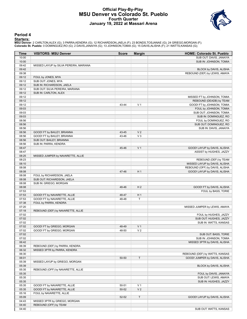### **Official Play-By-Play MSU Denver vs Colorado St. Pueblo Fourth Quarter January 19, 2022 at Massari Arena**



### **Period 4**

#### **Starters:**

**MSU Denver**: 2 CARLTON,ALEX (G); 3 PARRA,KENDRA (G); 12 RICHARDSON,JAELA (F); 23 BONDS,TOSJANAE (G); 24 GRIEGO,MORGAN (F);<br>**Colorado St. Pueblo**: 0 DOMINGUEZ,RO (G); 2 DAVIS,JANAIYA (G); 13 JOHNSON,TOMIA (G); 15 DAVIS,ALI

| Time           | <b>VISITORS: MSU Denver</b>                                  | <b>Score</b> | <b>Margin</b>  | <b>HOME: Colorado St. Pueblo</b>                |
|----------------|--------------------------------------------------------------|--------------|----------------|-------------------------------------------------|
| 10:00          |                                                              |              |                | SUB OUT: DAVIS, JANAIYA                         |
| 10:00          |                                                              |              |                | SUB IN: JOHNSON, TOMIA                          |
| 09:42          | MISSED LAYUP by SILVA PEREIRA, MARIANA                       |              |                |                                                 |
| 09:42          |                                                              |              |                | BLOCK by DAVIS, ALISHA                          |
| 09:38          |                                                              |              |                | REBOUND (DEF) by LEWIS, AMAYA                   |
| 09:12          | FOUL by JONES, MYA                                           |              |                |                                                 |
| 09:12          | SUB OUT: JONES, MYA                                          |              |                |                                                 |
| 09:12          | SUB IN: RICHARDSON, JAELA                                    |              |                |                                                 |
| 09:12<br>09:12 | SUB OUT: SILVA PEREIRA, MARIANA<br>SUB IN: CARLTON, ALEX     |              |                |                                                 |
| 09:12          |                                                              |              |                | MISSED FT by JOHNSON, TOMIA                     |
| 09:12          |                                                              |              |                | REBOUND (DEADB) by TEAM                         |
| 09:12          |                                                              | 43-44        | V <sub>1</sub> | GOOD! FT by JOHNSON, TOMIA                      |
| 09:03          |                                                              |              |                | FOUL by JOHNSON, TOMIA                          |
| 09:03          |                                                              |              |                | SUB OUT: JOHNSON, TOMIA                         |
| 09:03          |                                                              |              |                | SUB IN: DOMINGUEZ, RO                           |
| 08:56          |                                                              |              |                | FOUL by DOMINGUEZ, RO                           |
| 08:56          |                                                              |              |                | SUB OUT: DOMINGUEZ, RO                          |
| 08:56          |                                                              |              |                | SUB IN: DAVIS, JANAIYA                          |
| 08:56          | GOOD! FT by BAILEY, BRIANNA                                  | 43-45        | V <sub>2</sub> |                                                 |
| 08:56          | GOOD! FT by BAILEY, BRIANNA                                  | 43-46        | $V_3$          |                                                 |
| 08:56          | SUB OUT: BAILEY, BRIANNA                                     |              |                |                                                 |
| 08:56          | SUB IN: PARRA, KENDRA                                        |              |                |                                                 |
| 08:47          |                                                              | 45-46        | V <sub>1</sub> | GOOD! LAYUP by DAVIS, ALISHA                    |
| 08:47          |                                                              |              |                | ASSIST by HUGHES, JAZZY                         |
| 08:25          | MISSED JUMPER by NAVARETTE, ALLIE                            |              |                |                                                 |
| 08:23          |                                                              |              |                | REBOUND (DEF) by TEAM                           |
| 08:10          |                                                              |              |                | MISSED LAYUP by DAVIS, ALISHA                   |
| 08:08          |                                                              |              |                | REBOUND (OFF) by DAVIS, ALISHA                  |
| 08:08          |                                                              | 47-46        | H <sub>1</sub> | GOOD! LAYUP by DAVIS, ALISHA                    |
| 08:08          | FOUL by RICHARDSON, JAELA                                    |              |                |                                                 |
| 08:08          | SUB OUT: RICHARDSON, JAELA                                   |              |                |                                                 |
| 08:08<br>08:08 | SUB IN: GRIEGO, MORGAN                                       | 48-46        | H <sub>2</sub> | GOOD! FT by DAVIS, ALISHA                       |
| 07:53          |                                                              |              |                | FOUL by BASS, TORIE                             |
| 07:53          | GOOD! FT by NAVARETTE, ALLIE                                 | 48-47        | H <sub>1</sub> |                                                 |
| 07:53          | GOOD! FT by NAVARETTE, ALLIE                                 | 48-48        | T              |                                                 |
| 07:38          | FOUL by PARRA, KENDRA                                        |              |                |                                                 |
| 07:20          |                                                              |              |                | MISSED JUMPER by LEWIS, AMAYA                   |
| 07:18          | REBOUND (DEF) by NAVARETTE, ALLIE                            |              |                |                                                 |
| 07:02          |                                                              |              |                | FOUL by HUGHES, JAZZY                           |
| 07:02          |                                                              |              |                | SUB OUT: HUGHES, JAZZY                          |
| 07:02          |                                                              |              |                | SUB IN: WATTS, KANSAS                           |
| 07:02          | GOOD! FT by GRIEGO, MORGAN                                   | 48-49        | V <sub>1</sub> |                                                 |
| 07:02          | GOOD! FT by GRIEGO, MORGAN                                   | 48-50        | V <sub>2</sub> |                                                 |
| 07:02          |                                                              |              |                | SUB OUT: BASS, TORIE                            |
| 07:02          |                                                              |              |                | SUB IN: JOHNSON, TOMIA                          |
| 06:42          |                                                              |              |                | MISSED 3PTR by DAVIS, ALISHA                    |
| 06:39          | REBOUND (DEF) by PARRA, KENDRA                               |              |                |                                                 |
| 06:32          | MISSED 3PTR by PARRA, KENDRA                                 |              |                |                                                 |
| 06:30          |                                                              |              |                | REBOUND (DEF) by WATTS, KANSAS                  |
| 06:01          |                                                              | 50-50        | $\mathsf T$    | GOOD! JUMPER by DAVIS, ALISHA                   |
| 05:39          | MISSED LAYUP by GRIEGO, MORGAN                               |              |                |                                                 |
| 05:39          |                                                              |              |                | BLOCK by DAVIS, ALISHA                          |
| 05:35          | REBOUND (OFF) by NAVARETTE, ALLIE                            |              |                |                                                 |
| 05:35          |                                                              |              |                | FOUL by DAVIS, JANAIYA<br>SUB OUT: LEWIS, AMAYA |
| 05:35          |                                                              |              |                |                                                 |
| 05:35<br>05:35 |                                                              | 50-51        | V <sub>1</sub> | SUB IN: HUGHES, JAZZY                           |
| 05:35          | GOOD! FT by NAVARETTE, ALLIE<br>GOOD! FT by NAVARETTE, ALLIE | 50-52        | V <sub>2</sub> |                                                 |
| 05:16          | FOUL by NAVARETTE, ALLIE                                     |              |                |                                                 |
| 05:09          |                                                              | 52-52        | Τ              | GOOD! LAYUP by DAVIS, ALISHA                    |
| 04:43          | MISSED 3PTR by GRIEGO, MORGAN                                |              |                |                                                 |
| 04:40          | REBOUND (OFF) by TEAM                                        |              |                |                                                 |
| 04:40          |                                                              |              |                | SUB OUT: WATTS, KANSAS                          |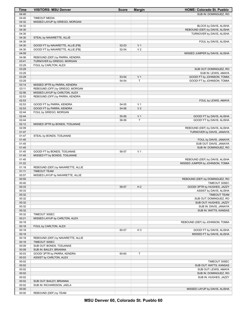| Time           | <b>VISITORS: MSU Denver</b>                              | <b>Score</b> | <b>Margin</b>  | <b>HOME: Colorado St. Pueblo</b>                         |
|----------------|----------------------------------------------------------|--------------|----------------|----------------------------------------------------------|
| 04:40          |                                                          |              |                | SUB IN: DOMINGUEZ, RO                                    |
| 04:40          | <b>TIMEOUT MEDIA</b>                                     |              |                |                                                          |
| 04:32          | MISSED LAYUP by GRIEGO, MORGAN                           |              |                |                                                          |
| 04:32<br>04:30 |                                                          |              |                | BLOCK by DAVIS, ALISHA<br>REBOUND (DEF) by DAVIS, ALISHA |
| 04:30          |                                                          |              |                | TURNOVER by DAVIS, ALISHA                                |
| 04:30          | STEAL by NAVARETTE, ALLIE                                |              |                |                                                          |
| 04:30          |                                                          |              |                | FOUL by DAVIS, ALISHA                                    |
| 04:30          | GOOD! FT by NAVARETTE, ALLIE [FB]                        | 52-53        | V <sub>1</sub> |                                                          |
| 04:30          | GOOD! FT by NAVARETTE, ALLIE [FB]                        | 52-54        | V <sub>2</sub> |                                                          |
| 04:09<br>04:06 | REBOUND (DEF) by PARRA, KENDRA                           |              |                | MISSED JUMPER by DAVIS, ALISHA                           |
| 03:41          | TURNOVER by GRIEGO, MORGAN                               |              |                |                                                          |
| 03:29          | FOUL by CARLTON, ALEX                                    |              |                |                                                          |
| 03:29          |                                                          |              |                | SUB OUT: DOMINGUEZ, RO                                   |
| 03:29          |                                                          |              |                | SUB IN: LEWIS, AMAYA                                     |
| 03:29          |                                                          | 53-54        | V <sub>1</sub> | GOOD! FT by JOHNSON, TOMIA                               |
| 03:29<br>03:14 | MISSED 3PTR by PARRA, KENDRA                             | 54-54        | Τ              | GOOD! FT by JOHNSON, TOMIA                               |
| 03:11          | REBOUND (OFF) by GRIEGO, MORGAN                          |              |                |                                                          |
| 02:56          | MISSED LAYUP by CARLTON, ALEX                            |              |                |                                                          |
| 02:53          | REBOUND (OFF) by PARRA, KENDRA                           |              |                |                                                          |
| 02:53          |                                                          |              |                | FOUL by LEWIS, AMAYA                                     |
| 02:53          | GOOD! FT by PARRA, KENDRA                                | 54-55        | V <sub>1</sub> |                                                          |
| 02:53<br>02:44 | GOOD! FT by PARRA, KENDRA                                | 54-56        | V <sub>2</sub> |                                                          |
| 02:44          | FOUL by GRIEGO, MORGAN                                   | 55-56        | V <sub>1</sub> | GOOD! FT by DAVIS, ALISHA                                |
| 02:44          |                                                          | 56-56        | T              | GOOD! FT by DAVIS, ALISHA                                |
| 02:12          | MISSED 3PTR by BONDS, TOSJANAE                           |              |                |                                                          |
| 02:09          |                                                          |              |                | REBOUND (DEF) by DAVIS, ALISHA                           |
| 01:47          |                                                          |              |                | TURNOVER by DAVIS, JANAIYA                               |
| 01:47          | STEAL by BONDS, TOSJANAE                                 |              |                |                                                          |
| 01:45<br>01:45 |                                                          |              |                | FOUL by DAVIS, JANAIYA<br>SUB OUT: DAVIS, JANAIYA        |
| 01:45          |                                                          |              |                | SUB IN: DOMINGUEZ, RO                                    |
| 01:45          | GOOD! FT by BONDS, TOSJANAE                              | 56-57        | V <sub>1</sub> |                                                          |
| 01:45          | MISSED FT by BONDS, TOSJANAE                             |              |                |                                                          |
| 01:45          |                                                          |              |                | REBOUND (DEF) by DAVIS, ALISHA                           |
| 01:22          |                                                          |              |                | MISSED JUMPER by JOHNSON, TOMIA                          |
| 01:18<br>01:11 | REBOUND (DEF) by NAVARETTE, ALLIE<br><b>TIMEOUT TEAM</b> |              |                |                                                          |
| 00:57          | MISSED LAYUP by NAVARETTE, ALLIE                         |              |                |                                                          |
| 00:55          |                                                          |              |                | REBOUND (DEF) by DOMINGUEZ, RO                           |
| 00:40          |                                                          |              |                | TIMEOUT 30SEC                                            |
| 00:33          |                                                          | 59-57        | H <sub>2</sub> | GOOD! 3PTR by HUGHES, JAZZY                              |
| 00:33          |                                                          |              |                | ASSIST by DAVIS, ALISHA                                  |
| 00:32<br>00:32 |                                                          |              |                | <b>TIMEOUT TEAM</b><br>SUB OUT: DOMINGUEZ, RO            |
| 00:32          |                                                          |              |                | SUB OUT: HUGHES, JAZZY                                   |
| 00:32          |                                                          |              |                | SUB IN: DAVIS, JANAIYA                                   |
| 00:32          |                                                          |              |                | SUB IN: WATTS, KANSAS                                    |
| 00:32          | TIMEOUT 30SEC                                            |              |                |                                                          |
| 00:21<br>00:18 | MISSED LAYUP by CARLTON, ALEX                            |              |                | REBOUND (DEF) by JOHNSON, TOMIA                          |
| 00:18          | FOUL by CARLTON, ALEX                                    |              |                |                                                          |
| 00:18          |                                                          | 60-57        | $H_3$          | GOOD! FT by DAVIS, ALISHA                                |
| 00:18          |                                                          |              |                | MISSED FT by DAVIS, ALISHA                               |
| 00:18          | REBOUND (DEF) by NAVARETTE, ALLIE                        |              |                |                                                          |
| 00:18          | TIMEOUT 30SEC                                            |              |                |                                                          |
| 00:09          | SUB OUT: BONDS, TOSJANAE                                 |              |                |                                                          |
| 00:09<br>00:03 | SUB IN: BAILEY, BRIANNA<br>GOOD! 3PTR by PARRA, KENDRA   | 60-60        | T              |                                                          |
| 00:03          | ASSIST by CARLTON, ALEX                                  |              |                |                                                          |
| 00:02          |                                                          |              |                | TIMEOUT 30SEC                                            |
| 00:02          |                                                          |              |                | SUB OUT: WATTS, KANSAS                                   |
| 00:02          |                                                          |              |                | SUB OUT: LEWIS, AMAYA                                    |
| 00:02<br>00:02 |                                                          |              |                | SUB IN: DOMINGUEZ, RO<br>SUB IN: HUGHES, JAZZY           |
| 00:02          | SUB OUT: BAILEY, BRIANNA                                 |              |                |                                                          |
| 00:02          | SUB IN: RICHARDSON, JAELA                                |              |                |                                                          |
| 00:00          |                                                          |              |                | MISSED LAYUP by DAVIS, ALISHA                            |
| 00:00          | REBOUND (DEF) by TEAM                                    |              |                |                                                          |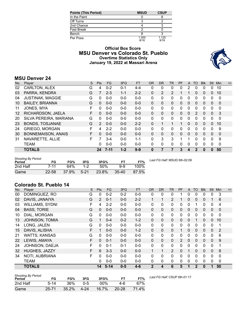| Points (This Period) | <b>MSUD</b>   | <b>CSUP</b>   |
|----------------------|---------------|---------------|
| In the Paint         |               |               |
| Off Turns            |               |               |
| 2nd Chance           |               |               |
| Fast Break           |               |               |
| Bench                |               |               |
| Per Poss             | 1.000<br>8/16 | 1.125<br>9/16 |

# **Official Box Score MSU Denver vs Colorado St. Pueblo Overtime Statistics Only January 19, 2022 at Massari Arena**



# **MSU Denver 24**

| No. | Plaver                  | S  | <b>Pts</b>     | <b>FG</b> | 3FG     | <b>FT</b> | 0R       | <b>DR</b> | <b>TR</b> | PF | A              | <b>TO</b>    | <b>Blk</b> | <b>Stl</b>   | Min          | $+/-$ |
|-----|-------------------------|----|----------------|-----------|---------|-----------|----------|-----------|-----------|----|----------------|--------------|------------|--------------|--------------|-------|
| 02  | CARLTON, ALEX           | G  | 4              | $0 - 2$   | $0 - 1$ | $4 - 4$   | 0        | 0         | 0         | 0  | $\overline{2}$ | 0            | 0          | 0            | 10           |       |
| 03  | PARRA, KENDRA           | G  |                | $2 - 3$   | $1 - 1$ | $2 - 2$   | $\Omega$ | 2         | 2         |    |                | $\Omega$     | $\Omega$   | $\mathbf{0}$ | 10           |       |
| 04  | <b>JUSTINAK, MAGGIE</b> | G  | 0              | $0 - 0$   | $0 - 0$ | $0 - 0$   | $\Omega$ | 0         | 0         | 0  | 0              | 0            | 0          | 0            | $\mathbf{0}$ |       |
| 10  | <b>BAILEY, BRIANNA</b>  | G  | 0              | $0 - 0$   | $0 - 0$ | $0 - 0$   | $\Omega$ | 0         | 0         | 0  | 0              | $\Omega$     | $\Omega$   | $\Omega$     | $\Omega$     |       |
| 11  | JONES, MYA              | F  | 0              | $0 - 0$   | $0 - 0$ | $0 - 0$   | $\Omega$ | 0         | 0         | 0  | 0              | 0            | 0          | 0            | 0            |       |
| 12  | RICHARDSON, JAELA       | F  | 0              | $0 - 0$   | $0 - 0$ | $0 - 0$   | $\Omega$ | 0         | 0         | 0  | $\mathbf{0}$   | 2            | 0          | $\mathbf{0}$ | -3           |       |
| 20  | SILVA PEREIRA, MARIANA  | G  | 0              | $0 - 0$   | $0 - 0$ | $0 - 0$   | $\Omega$ | 0         | 0         | 0  | 0              | 0            | 0          | 0            | $\Omega$     |       |
| 23  | BONDS, TOSJANAE         | G  | $\overline{2}$ | $0 - 0$   | $0 - 0$ | $2 - 2$   | $\Omega$ |           | 1         | 1  | $\mathbf{0}$   | $\Omega$     | $\Omega$   | $\mathbf{0}$ | 10           |       |
| 24  | <b>GRIEGO, MORGAN</b>   | F  | 4              | $2 - 2$   | $0 - 0$ | $0 - 0$   | $\Omega$ | 0         | 0         | 0  | 0              | 0            | 0          | $\Omega$     | 9            |       |
| 30  | BONNEMAISON, ANAIS      | F. | 0              | $0 - 0$   | $0 - 0$ | $0 - 0$   | $\Omega$ | 0         | 0         | 0  | $\mathbf{0}$   | $\mathbf{0}$ | 0          | $\Omega$     | 0            |       |
| 31  | NAVARETTE, ALLIE        | F  |                | $3 - 4$   | $0 - 0$ | $1 - 1$   | $\Omega$ | 3         | 3         |    |                | 0            | 0          | 0            | 9            |       |
|     | <b>TEAM</b>             |    | 0              | $0 - 0$   | $0 - 0$ | $0 - 0$   | $\Omega$ | 0         | 0         | 0  | $\Omega$       | 0            | 0          | $\Omega$     | $\mathbf 0$  |       |
|     | <b>TOTALS</b>           |    | 24             | $7 - 11$  | $1 - 2$ | $9-9$     | $\bf{0}$ |           |           | 3  | 4              | 2            | 0          | $\bf{0}$     | 50           |       |

| <b>Shooting By Period</b><br>Period | FG        | FG%   | 3FG      | 3FG%  | FT        | FT%   | Last FG Half: MSUD 6th-02:09 |
|-------------------------------------|-----------|-------|----------|-------|-----------|-------|------------------------------|
| 2nd Half                            | 7-11      | 64%   | $1-2$    | 50%   | 9-9       | 100%  |                              |
| Game                                | $22 - 58$ | 37.9% | $5 - 21$ | 23.8% | $35 - 40$ | 87.5% |                              |

# **Colorado St. Pueblo 14**

| No. | Player                 | S  | Pts      | FG.      | 3FG     | <b>FT</b> | <b>OR</b>    | <b>DR</b>    | TR           | PF             | A            | <b>TO</b>    | <b>Blk</b>   | <b>Stl</b>   | Min         | $+/-$ |
|-----|------------------------|----|----------|----------|---------|-----------|--------------|--------------|--------------|----------------|--------------|--------------|--------------|--------------|-------------|-------|
| 00  | DOMINGUEZ, RO          | G  | 0        | $0 - 2$  | $0 - 2$ | $0 - 0$   | 0            | 0            | 0            |                | 0            | $\Omega$     | 0            | 0            | 3           |       |
| 02  | DAVIS, JANAIYA         | G  | 2        | $0 - 1$  | $0 - 0$ | $2 - 2$   |              | 1            | 2            |                | 0            | $\Omega$     | 0            |              | 6           |       |
| 03  | <b>WILLIAMS, SYDNI</b> | F  | 4        | $2 - 2$  | $0 - 0$ | $0-0$     | $\mathbf{0}$ | $\mathbf{0}$ | 0            | 0              | 0            |              | 0            | 0            | 4           |       |
| 04  | <b>BASS, TORIE</b>     | G  | $\Omega$ | $0 - 0$  | $0 - 0$ | $0 - 0$   | $\Omega$     | $\Omega$     | $\mathbf{0}$ | 0              | $\mathbf{0}$ | $\Omega$     | 0            | 0            | $\Omega$    |       |
| 10  | DIAL, MORGAN           | G  | 0        | $0 - 0$  | $0 - 0$ | $0-0$     | 0            | 0            | $\mathbf{0}$ | 0              | 0            | 0            | 0            | 0            | $\mathbf 0$ |       |
| 13  | <b>JOHNSON, TOMIA</b>  | G  |          | $0 - 4$  | $0 - 2$ | $1 - 2$   | $\Omega$     | $\mathbf{0}$ | $\mathbf 0$  | 0              | $\mathbf{0}$ |              | 0            | $\mathbf{0}$ | 10          |       |
| 14  | LONG, JALEN            | G  | 0        | $0 - 0$  | $0 - 0$ | $0 - 0$   | 0            | 0            | $\mathbf{0}$ | 0              | 0            | 0            | 0            | 0            | 1           |       |
| 15  | DAVIS, ALISHA          | F  |          | $0 - 0$  | $0 - 0$ | $1 - 2$   | 0            | $\Omega$     | $\Omega$     | 1              | 0            | $\Omega$     | 0            | $\mathbf{0}$ | 2           |       |
| 21  | <b>WATTS, KANSAS</b>   | G  | 0        | $0 - 0$  | $0 - 0$ | $0-0$     | $\mathbf{0}$ | $\mathbf{0}$ | 0            | 0              | 0            | 0            | 0            | $\mathbf{0}$ | 6           |       |
| 22  | LEWIS, AMAYA           | F  | $\Omega$ | $0 - 1$  | $0 - 0$ | $0 - 0$   | $\Omega$     | $\Omega$     | $\mathbf{0}$ | $\overline{2}$ | $\mathbf{0}$ | $\Omega$     | 0            | $\mathbf{0}$ | 9           |       |
| 24  | JOHNSON, DAEJA         | F  | 0        | $0 - 1$  | $0 - 1$ | $0-0$     | 0            | 0            | 0            | 0              | 0            | $\Omega$     | 0            | 0            | 1           |       |
| 32  | HUGHES, JAZZY          | F. | 6        | $3 - 3$  | $0 - 0$ | $0-0$     | $\mathbf{1}$ | 1            | 2            | 0              |              | $\Omega$     | $\mathbf{0}$ | $\mathbf{0}$ | 8           |       |
| 34  | NOTI, AUBRIANA         | F  | 0        | $0 - 0$  | $0 - 0$ | $0-0$     | $\Omega$     | $\Omega$     | $\mathbf{0}$ | 0              | 0            | $\Omega$     | 0            | 0            | $\mathbf 0$ |       |
|     | <b>TEAM</b>            |    | 0        | $0 - 0$  | $0 - 0$ | $0 - 0$   | 0            | 0            | 0            | 0              | 0            | 0            | 0            | 0            | $\mathbf 0$ |       |
|     | <b>TOTALS</b>          |    | 14       | $5 - 14$ | $0 - 5$ | $4 - 6$   | $\mathbf{2}$ | 4            | 6            | 5              |              | $\mathbf{2}$ | 0            | 1            | 50          |       |

| <b>Shooting By Period</b><br>Period | FG        | FG%   | 3FG      | 3FG%   | FТ        | FT%   | La |
|-------------------------------------|-----------|-------|----------|--------|-----------|-------|----|
| 2nd Half                            | $5-14$    | 36%   | $0 - 5$  | $00\%$ | 4-6       | 67%   |    |
| Game                                | $25 - 71$ | 35.2% | $4 - 24$ | 16.7%  | $20 - 28$ | 71.4% |    |

*Last FG Half:* CSUP 6th-01:17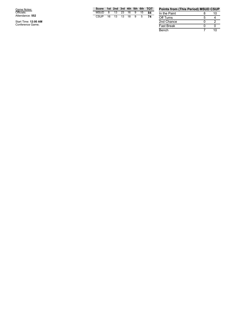| Game Notes:<br>Officials:<br>Attendance: 552 | м<br>C: |
|----------------------------------------------|---------|
| Start Time: 12:00 AM<br>Conference Game;     |         |

Start Time: 12:00 AM<br>Conference Game;

| Score 1st 2nd 3rd 4th 5th 6th TOT |  |  |  |  |
|-----------------------------------|--|--|--|--|
| MSUD 8 13 23 16 9 15 84           |  |  |  |  |
| CSUP 16 13 13 18 9 5 74           |  |  |  |  |

| <b>Points from (This Period) MSUD CSUP</b> |   |    |
|--------------------------------------------|---|----|
| In the Paint                               | 8 | 10 |
| Off Turns                                  | 5 |    |
| 2nd Chance                                 |   |    |
| <b>Fast Break</b>                          | 0 |    |
| Bench                                      |   | 10 |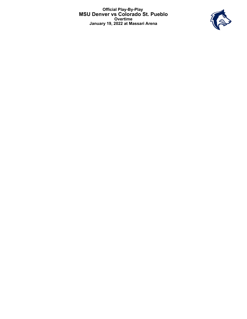**Official Play-By-Play MSU Denver vs Colorado St. Pueblo Overtime January 19, 2022 at Massari Arena**

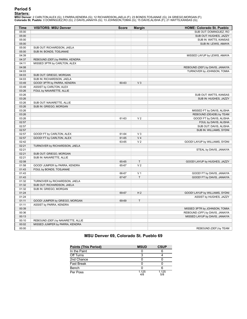# **Period 5**

**<u>Starters:</u>**<br>MSU Denver: 2 CARLTON,ALEX (G); 3 PARRA,KENDRA (G); 12 RICHARDSON,JAELA (F); 23 BONDS,TOSJANAE (G); 24 GRIEGO,MORGAN (F);<br>Colorado St. Pueblo: 0 DOMINGUEZ,RO (G); 2 DAVIS,JANAIYA (G); 13 JOHNSON,TOMIA (G); 15

| Time  | <b>VISITORS: MSU Denver</b>       | <b>Score</b> | <b>Margin</b>  | <b>HOME: Colorado St. Pueblo</b> |
|-------|-----------------------------------|--------------|----------------|----------------------------------|
| 05:00 |                                   |              |                | SUB OUT: DOMINGUEZ, RO           |
| 05:00 |                                   |              |                | SUB OUT: HUGHES, JAZZY           |
| 05:00 |                                   |              |                | SUB IN: WATTS, KANSAS            |
| 05:00 |                                   |              |                | SUB IN: LEWIS, AMAYA             |
| 05:00 | SUB OUT: RICHARDSON, JAELA        |              |                |                                  |
| 05:00 | SUB IN: BONDS, TOSJANAE           |              |                |                                  |
| 04:39 |                                   |              |                | MISSED LAYUP by LEWIS, AMAYA     |
| 04:37 | REBOUND (DEF) by PARRA, KENDRA    |              |                |                                  |
| 04:11 | MISSED 3PTR by CARLTON, ALEX      |              |                |                                  |
| 04:08 |                                   |              |                | REBOUND (DEF) by DAVIS, JANAIYA  |
| 04:03 |                                   |              |                | TURNOVER by JOHNSON, TOMIA       |
| 04:03 | SUB OUT: GRIEGO, MORGAN           |              |                |                                  |
| 04:03 | SUB IN: RICHARDSON, JAELA         |              |                |                                  |
| 03:49 | GOOD! 3PTR by PARRA, KENDRA       | 60-63        | V <sub>3</sub> |                                  |
| 03:49 | ASSIST by CARLTON, ALEX           |              |                |                                  |
| 03:26 | FOUL by NAVARETTE, ALLIE          |              |                |                                  |
| 03:26 |                                   |              |                | SUB OUT: WATTS, KANSAS           |
| 03:26 |                                   |              |                | SUB IN: HUGHES, JAZZY            |
| 03:26 | SUB OUT: NAVARETTE, ALLIE         |              |                |                                  |
| 03:26 | SUB IN: GRIEGO, MORGAN            |              |                |                                  |
| 03:26 |                                   |              |                | MISSED FT by DAVIS, ALISHA       |
| 03:26 |                                   |              |                | REBOUND (DEADB) by TEAM          |
| 03:26 |                                   | 61-63        | V <sub>2</sub> | GOOD! FT by DAVIS, ALISHA        |
| 02:57 |                                   |              |                | FOUL by DAVIS, ALISHA            |
| 02:57 |                                   |              |                | SUB OUT: DAVIS, ALISHA           |
| 02:57 |                                   |              |                | SUB IN: WILLIAMS, SYDNI          |
| 02:57 | GOOD! FT by CARLTON, ALEX         | 61-64        | $V_3$          |                                  |
| 02:57 | GOOD! FT by CARLTON, ALEX         | 61-65        | V <sub>4</sub> |                                  |
| 02:42 |                                   | 63-65        | V <sub>2</sub> | GOOD! LAYUP by WILLIAMS, SYDNI   |
| 02:21 | TURNOVER by RICHARDSON, JAELA     |              |                |                                  |
| 02:21 |                                   |              |                | STEAL by DAVIS, JANAIYA          |
| 02:21 | SUB OUT: GRIEGO, MORGAN           |              |                |                                  |
| 02:21 | SUB IN: NAVARETTE, ALLIE          |              |                |                                  |
| 02:08 |                                   | 65-65        | $\top$         | GOOD! LAYUP by HUGHES, JAZZY     |
| 01:58 | GOOD! JUMPER by PARRA, KENDRA     | 65-67        | V <sub>2</sub> |                                  |
| 01:43 | FOUL by BONDS, TOSJANAE           |              |                |                                  |
| 01:43 |                                   | 66-67        | V <sub>1</sub> | GOOD! FT by DAVIS, JANAIYA       |
| 01:43 |                                   | 67-67        | T.             | GOOD! FT by DAVIS, JANAIYA       |
| 01:32 | TURNOVER by RICHARDSON, JAELA     |              |                |                                  |
| 01:32 | SUB OUT: RICHARDSON, JAELA        |              |                |                                  |
| 01:32 | SUB IN: GRIEGO, MORGAN            |              |                |                                  |
| 01:24 |                                   | 69-67        | H <sub>2</sub> | GOOD! LAYUP by WILLIAMS, SYDNI   |
| 01:24 |                                   |              |                | ASSIST by HUGHES, JAZZY          |
| 01:11 | GOOD! JUMPER by GRIEGO, MORGAN    | 69-69        | T              |                                  |
| 01:11 | ASSIST by PARRA, KENDRA           |              |                |                                  |
| 00:39 |                                   |              |                | MISSED 3PTR by JOHNSON, TOMIA    |
| 00:36 |                                   |              |                | REBOUND (OFF) by DAVIS, JANAIYA  |
| 00:13 |                                   |              |                | MISSED LAYUP by DAVIS, JANAIYA   |
| 00:10 | REBOUND (DEF) by NAVARETTE, ALLIE |              |                |                                  |
| 00:02 | MISSED JUMPER by PARRA, KENDRA    |              |                |                                  |
| 00:00 |                                   |              |                | REBOUND (DEF) by TEAM            |

# **MSU Denver 69, Colorado St. Pueblo 69**

| <b>Points (This Period)</b> | <b>MSUD</b>  | <b>CSUP</b>  |
|-----------------------------|--------------|--------------|
| In the Paint                |              |              |
| Off Turns                   |              |              |
| 2nd Chance                  |              |              |
| <b>Fast Break</b>           |              |              |
| Bench                       |              |              |
| Per Poss                    | 1.125<br>4/8 | 1.125<br>5/8 |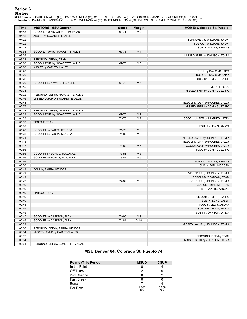# **Period 6**

**<u>Starters:</u>**<br>MSU Denver: 2 CARLTON,ALEX (G); 3 PARRA,KENDRA (G); 12 RICHARDSON,JAELA (F); 23 BONDS,TOSJANAE (G); 24 GRIEGO,MORGAN (F);<br>Colorado St. Pueblo: 0 DOMINGUEZ,RO (G); 2 DAVIS,JANAIYA (G); 13 JOHNSON,TOMIA (G); 15

| <b>Time</b> | <b>VISITORS: MSU Denver</b>       | <b>Score</b> | <b>Margin</b>  | <b>HOME: Colorado St. Pueblo</b> |
|-------------|-----------------------------------|--------------|----------------|----------------------------------|
| 04:48       | GOOD! LAYUP by GRIEGO, MORGAN     | 69-71        | V <sub>2</sub> |                                  |
| 04:48       | ASSIST by NAVARETTE, ALLIE        |              |                |                                  |
| 04:22       |                                   |              |                | TURNOVER by WILLIAMS, SYDNI      |
| 04:22       |                                   |              |                | SUB OUT: WILLIAMS, SYDNI         |
| 04:22       |                                   |              |                | SUB IN: WATTS, KANSAS            |
| 03:54       | GOOD! LAYUP by NAVARETTE, ALLIE   | 69-73        | V <sub>4</sub> |                                  |
| 03:35       |                                   |              |                | MISSED 3PTR by JOHNSON, TOMIA    |
| 03:32       | REBOUND (DEF) by TEAM             |              |                |                                  |
| 03:20       | GOOD! LAYUP by NAVARETTE, ALLIE   | 69-75        | $V_6$          |                                  |
| 03:20       | ASSIST by CARLTON, ALEX           |              |                |                                  |
| 03:20       |                                   |              |                | FOUL by DAVIS, JANAIYA           |
| 03:20       |                                   |              |                | SUB OUT: DAVIS, JANAIYA          |
| 03:20       |                                   |              |                | SUB IN: DOMINGUEZ, RO            |
| 03:20       | GOOD! FT by NAVARETTE, ALLIE      | 69-76        | V <sub>7</sub> |                                  |
| 03:15       |                                   |              |                | TIMEOUT 30SEC                    |
| 03:04       |                                   |              |                | MISSED 3PTR by DOMINGUEZ, RO     |
| 03:02       | REBOUND (DEF) by NAVARETTE, ALLIE |              |                |                                  |
| 02:46       | MISSED LAYUP by NAVARETTE, ALLIE  |              |                |                                  |
| 02:44       |                                   |              |                | REBOUND (DEF) by HUGHES, JAZZY   |
| 02:37       |                                   |              |                | MISSED 3PTR by DOMINGUEZ, RO     |
| 02:34       | REBOUND (DEF) by NAVARETTE, ALLIE |              |                |                                  |
| 02:09       | GOOD! LAYUP by NAVARETTE, ALLIE   | 69-78        | V <sub>9</sub> |                                  |
| 01:53       |                                   | 71-78        | V <sub>7</sub> | GOOD! JUMPER by HUGHES, JAZZY    |
| 01:33       | <b>TIMEOUT TEAM</b>               |              |                |                                  |
| 01:28       |                                   |              |                | FOUL by LEWIS, AMAYA             |
| 01:28       | GOOD! FT by PARRA, KENDRA         | 71-79        | V8             |                                  |
| 01:28       | GOOD! FT by PARRA, KENDRA         | 71-80        | V <sub>9</sub> |                                  |
| 01:21       |                                   |              |                | MISSED LAYUP by JOHNSON, TOMIA   |
| 01:18       |                                   |              |                | REBOUND (OFF) by HUGHES, JAZZY   |
| 01:17       |                                   | 73-80        | V <sub>7</sub> | GOOD! LAYUP by HUGHES, JAZZY     |
| 00:56       |                                   |              |                | FOUL by DOMINGUEZ, RO            |
| 00:56       | GOOD! FT by BONDS, TOSJANAE       | 73-81        | V8             |                                  |
| 00:56       | GOOD! FT by BONDS, TOSJANAE       | 73-82        | V <sub>9</sub> |                                  |
| 00:56       |                                   |              |                | SUB OUT: WATTS, KANSAS           |
| 00:56       |                                   |              |                | SUB IN: DIAL, MORGAN             |
| 00:49       | FOUL by PARRA, KENDRA             |              |                |                                  |
| 00:49       |                                   |              |                | MISSED FT by JOHNSON, TOMIA      |
| 00:49       |                                   |              |                | REBOUND (DEADB) by TEAM          |
| 00:49       |                                   | 74-82        | V8             | GOOD! FT by JOHNSON, TOMIA       |
| 00:49       |                                   |              |                | SUB OUT: DIAL, MORGAN            |
| 00:49       |                                   |              |                | SUB IN: WATTS, KANSAS            |
| 00:49       | <b>TIMEOUT TEAM</b>               |              |                |                                  |
| 00:49       |                                   |              |                | SUB OUT: DOMINGUEZ, RO           |
| 00:49       |                                   |              |                | SUB IN: LONG, JALEN              |
| 00:45       |                                   |              |                | FOUL by LEWIS, AMAYA             |
| 00:45       |                                   |              |                | SUB OUT: LEWIS, AMAYA            |
| 00:45       |                                   |              |                | SUB IN: JOHNSON, DAEJA           |
| 00:45       | GOOD! FT by CARLTON, ALEX         | 74-83        | V <sub>9</sub> |                                  |
| 00:45       | GOOD! FT by CARLTON, ALEX         | 74-84        | $V$ 10         |                                  |
| 00:39       |                                   |              |                | MISSED LAYUP by JOHNSON, TOMIA   |
| 00:36       | REBOUND (DEF) by PARRA, KENDRA    |              |                |                                  |
| 00:14       | MISSED LAYUP by CARLTON, ALEX     |              |                |                                  |
| 00:12       |                                   |              |                | REBOUND (DEF) by TEAM            |
| 00:04       |                                   |              |                | MISSED 3PTR by JOHNSON, DAEJA    |
| 00:01       | REBOUND (DEF) by BONDS, TOSJANAE  |              |                |                                  |

# **MSU Denver 84, Colorado St. Pueblo 74**

| <b>Points (This Period)</b> | <b>MSUD</b>  | <b>CSUP</b>  |
|-----------------------------|--------------|--------------|
| In the Paint                |              |              |
| Off Turns                   |              |              |
| 2nd Chance                  |              |              |
| <b>Fast Break</b>           |              |              |
| Bench                       |              |              |
| Per Poss                    | 1.667<br>8/9 | 0.556<br>3/9 |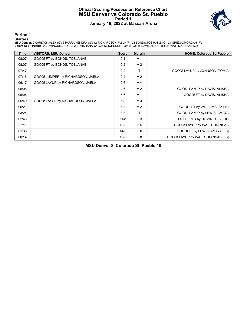### **Official Scoring/Possession Reference Chart MSU Denver vs Colorado St. Pueblo Period 1 January 19, 2022 at Massari Arena**



**Period 1**

#### **Starters:**

**MSU Denver**: 2 CARLTON,ALEX (G); 3 PARRA,KENDRA (G); 12 RICHARDSON,JAELA (F); 23 BONDS,TOSJANAE (G); 24 GRIEGO,MORGAN (F);<br>**Colorado St. Pueblo**: 0 DOMINGUEZ,RO (G); 2 DAVIS,JANAIYA (G); 13 JOHNSON,TOMIA (G); 15 DAVIS,ALI

| <b>Time</b> | <b>VISITORS: MSU Denver</b>       | <b>Score</b> | <b>Margin</b>  | <b>HOME: Colorado St. Pueblo</b>  |
|-------------|-----------------------------------|--------------|----------------|-----------------------------------|
| 08:07       | GOOD! FT by BONDS, TOSJANAE       | $0 - 1$      | V <sub>1</sub> |                                   |
| 08:07       | GOOD! FT by BONDS, TOSJANAE       | $0 - 2$      | V <sub>2</sub> |                                   |
| 07:47       |                                   | $2 - 2$      | т              | GOOD! LAYUP by JOHNSON, TOMIA     |
| 07:16       | GOOD! JUMPER by RICHARDSON, JAELA | $2 - 4$      | V <sub>2</sub> |                                   |
| 06:17       | GOOD! LAYUP by RICHARDSON, JAELA  | $2 - 6$      | V <sub>4</sub> |                                   |
| 06:06       |                                   | $4-6$        | V <sub>2</sub> | GOOD! LAYUP by DAVIS, ALISHA      |
| 06:06       |                                   | $5-6$        | V <sub>1</sub> | GOOD! FT by DAVIS, ALISHA         |
| 05:49       | GOOD! LAYUP by RICHARDSON, JAELA  | $5 - 8$      | V <sub>3</sub> |                                   |
| 05:21       |                                   | $6 - 8$      | V <sub>2</sub> | GOOD! FT by WILLIAMS, SYDNI       |
| 03:24       |                                   | $8 - 8$      | Τ              | GOOD! LAYUP by LEWIS, AMAYA       |
| 02:48       |                                   | $11 - 8$     | $H_3$          | GOOD! 3PTR by DOMINGUEZ, RO       |
| 02:11       |                                   | $13 - 8$     | H <sub>5</sub> | GOOD! LAYUP by WATTS, KANSAS      |
| 01:35       |                                   | $14 - 8$     | H <sub>6</sub> | GOOD! FT by LEWIS, AMAYA [FB]     |
| 00:14       |                                   | $16 - 8$     | H 8            | GOOD! LAYUP by WATTS, KANSAS [FB] |

**MSU Denver 8, Colorado St. Pueblo 16**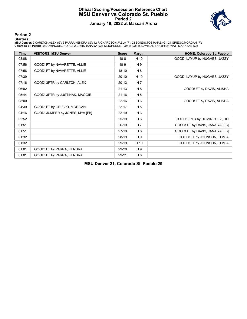### **Official Scoring/Possession Reference Chart MSU Denver vs Colorado St. Pueblo Period 2 January 19, 2022 at Massari Arena**



### **Period 2**

#### **Starters:**

**MSU Denver**: 2 CARLTON,ALEX (G); 3 PARRA,KENDRA (G); 12 RICHARDSON,JAELA (F); 23 BONDS,TOSJANAE (G); 24 GRIEGO,MORGAN (F);<br>**Colorado St. Pueblo**: 0 DOMINGUEZ,RO (G); 2 DAVIS,JANAIYA (G); 13 JOHNSON,TOMIA (G); 15 DAVIS,ALI

| <b>Time</b> | <b>VISITORS: MSU Denver</b>     | <b>Score</b> | <b>Margin</b>  | <b>HOME: Colorado St. Pueblo</b> |
|-------------|---------------------------------|--------------|----------------|----------------------------------|
| 08:08       |                                 | $18 - 8$     | H 10           | GOOD! LAYUP by HUGHES, JAZZY     |
| 07:56       | GOOD! FT by NAVARETTE, ALLIE    | $18-9$       | H 9            |                                  |
| 07:56       | GOOD! FT by NAVARETTE, ALLIE    | $18 - 10$    | H <sub>8</sub> |                                  |
| 07:39       |                                 | $20-10$      | H 10           | GOOD! LAYUP by HUGHES, JAZZY     |
| 07:16       | GOOD! 3PTR by CARLTON, ALEX     | $20-13$      | H 7            |                                  |
| 06:02       |                                 | $21 - 13$    | H <sub>8</sub> | GOOD! FT by DAVIS, ALISHA        |
| 05:44       | GOOD! 3PTR by JUSTINAK, MAGGIE  | $21 - 16$    | H <sub>5</sub> |                                  |
| 05:00       |                                 | $22 - 16$    | H 6            | GOOD! FT by DAVIS, ALISHA        |
| 04:39       | GOOD! FT by GRIEGO, MORGAN      | $22 - 17$    | H <sub>5</sub> |                                  |
| 04:16       | GOOD! JUMPER by JONES, MYA [FB] | $22 - 19$    | $H_3$          |                                  |
| 02:52       |                                 | $25-19$      | H 6            | GOOD! 3PTR by DOMINGUEZ, RO      |
| 01:51       |                                 | $26-19$      | H <sub>7</sub> | GOOD! FT by DAVIS, JANAIYA [FB]  |
| 01:51       |                                 | $27-19$      | H 8            | GOOD! FT by DAVIS, JANAIYA [FB]  |
| 01:32       |                                 | 28-19        | H 9            | GOOD! FT by JOHNSON, TOMIA       |
| 01:32       |                                 | 29-19        | H 10           | GOOD! FT by JOHNSON, TOMIA       |
| 01:01       | GOOD! FT by PARRA, KENDRA       | 29-20        | H 9            |                                  |
| 01:01       | GOOD! FT by PARRA, KENDRA       | 29-21        | H 8            |                                  |

**MSU Denver 21, Colorado St. Pueblo 29**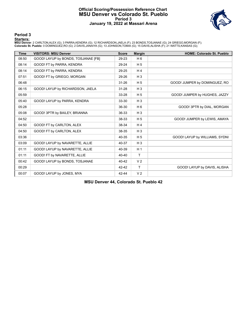### **Official Scoring/Possession Reference Chart MSU Denver vs Colorado St. Pueblo Period 3 January 19, 2022 at Massari Arena**



**Period 3**

#### **Starters:**

**MSU Denver**: 2 CARLTON,ALEX (G); 3 PARRA,KENDRA (G); 12 RICHARDSON,JAELA (F); 23 BONDS,TOSJANAE (G); 24 GRIEGO,MORGAN (F);<br>**Colorado St. Pueblo**: 0 DOMINGUEZ,RO (G); 2 DAVIS,JANAIYA (G); 13 JOHNSON,TOMIA (G); 15 DAVIS,ALI

| <b>Time</b> | <b>VISITORS: MSU Denver</b>         | <b>Score</b> | <b>Margin</b>  | <b>HOME: Colorado St. Pueblo</b> |
|-------------|-------------------------------------|--------------|----------------|----------------------------------|
| 08:50       | GOOD! LAYUP by BONDS, TOSJANAE [FB] | 29-23        | H <sub>6</sub> |                                  |
| 08:14       | GOOD! FT by PARRA, KENDRA           | 29-24        | H <sub>5</sub> |                                  |
| 08:14       | GOOD! FT by PARRA, KENDRA           | 29-25        | H <sub>4</sub> |                                  |
| 07:51       | GOOD! FT by GRIEGO, MORGAN          | 29-26        | $H_3$          |                                  |
| 06:48       |                                     | 31-26        | H <sub>5</sub> | GOOD! JUMPER by DOMINGUEZ, RO    |
| 06:15       | GOOD! LAYUP by RICHARDSON, JAELA    | 31-28        | $H_3$          |                                  |
| 05:59       |                                     | 33-28        | H <sub>5</sub> | GOOD! JUMPER by HUGHES, JAZZY    |
| 05:40       | GOOD! LAYUP by PARRA, KENDRA        | 33-30        | $H_3$          |                                  |
| 05:28       |                                     | 36-30        | H <sub>6</sub> | GOOD! 3PTR by DIAL, MORGAN       |
| 05:08       | GOOD! 3PTR by BAILEY, BRIANNA       | 36-33        | $H_3$          |                                  |
| 04:52       |                                     | 38-33        | H <sub>5</sub> | GOOD! JUMPER by LEWIS, AMAYA     |
| 04:50       | GOOD! FT by CARLTON, ALEX           | 38-34        | H <sub>4</sub> |                                  |
| 04:50       | GOOD! FT by CARLTON, ALEX           | 38-35        | $H_3$          |                                  |
| 03:36       |                                     | 40-35        | H <sub>5</sub> | GOOD! LAYUP by WILLIAMS, SYDNI   |
| 03:09       | GOOD! LAYUP by NAVARETTE, ALLIE     | 40-37        | $H_3$          |                                  |
| 01:11       | GOOD! LAYUP by NAVARETTE, ALLIE     | 40-39        | H <sub>1</sub> |                                  |
| 01:11       | GOOD! FT by NAVARETTE, ALLIE        | 40-40        | T              |                                  |
| 00:42       | GOOD! LAYUP by BONDS, TOSJANAE      | 40-42        | V <sub>2</sub> |                                  |
| 00:29       |                                     | $42 - 42$    | T              | GOOD! LAYUP by DAVIS, ALISHA     |
| 00:07       | GOOD! LAYUP by JONES, MYA           | 42-44        | V <sub>2</sub> |                                  |

**MSU Denver 44, Colorado St. Pueblo 42**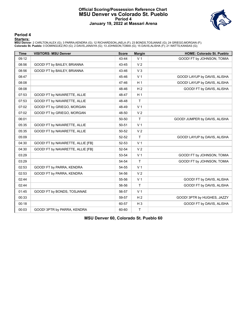### **Official Scoring/Possession Reference Chart MSU Denver vs Colorado St. Pueblo Period 4 January 19, 2022 at Massari Arena**



### **Period 4**

#### **Starters:**

**MSU Denver**: 2 CARLTON,ALEX (G); 3 PARRA,KENDRA (G); 12 RICHARDSON,JAELA (F); 23 BONDS,TOSJANAE (G); 24 GRIEGO,MORGAN (F);<br>**Colorado St. Pueblo**: 0 DOMINGUEZ,RO (G); 2 DAVIS,JANAIYA (G); 13 JOHNSON,TOMIA (G); 15 DAVIS,ALI

| <b>Time</b> | <b>VISITORS: MSU Denver</b>       | <b>Score</b> | <b>Margin</b>  | <b>HOME: Colorado St. Pueblo</b> |
|-------------|-----------------------------------|--------------|----------------|----------------------------------|
| 09:12       |                                   | 43-44        | V <sub>1</sub> | GOOD! FT by JOHNSON, TOMIA       |
| 08:56       | GOOD! FT by BAILEY, BRIANNA       | 43-45        | V <sub>2</sub> |                                  |
| 08:56       | GOOD! FT by BAILEY, BRIANNA       | 43-46        | V <sub>3</sub> |                                  |
| 08:47       |                                   | 45-46        | V <sub>1</sub> | GOOD! LAYUP by DAVIS, ALISHA     |
| 08:08       |                                   | 47-46        | H <sub>1</sub> | GOOD! LAYUP by DAVIS, ALISHA     |
| 08:08       |                                   | 48-46        | H <sub>2</sub> | GOOD! FT by DAVIS, ALISHA        |
| 07:53       | GOOD! FT by NAVARETTE, ALLIE      | 48-47        | H <sub>1</sub> |                                  |
| 07:53       | GOOD! FT by NAVARETTE, ALLIE      | 48-48        | $\mathsf{T}$   |                                  |
| 07:02       | GOOD! FT by GRIEGO, MORGAN        | 48-49        | V <sub>1</sub> |                                  |
| 07:02       | GOOD! FT by GRIEGO, MORGAN        | 48-50        | V <sub>2</sub> |                                  |
| 06:01       |                                   | 50-50        | $\mathsf{T}$   | GOOD! JUMPER by DAVIS, ALISHA    |
| 05:35       | GOOD! FT by NAVARETTE, ALLIE      | 50-51        | V <sub>1</sub> |                                  |
| 05:35       | GOOD! FT by NAVARETTE, ALLIE      | 50-52        | V <sub>2</sub> |                                  |
| 05:09       |                                   | $52 - 52$    | T              | GOOD! LAYUP by DAVIS, ALISHA     |
| 04:30       | GOOD! FT by NAVARETTE, ALLIE [FB] | 52-53        | V <sub>1</sub> |                                  |
| 04:30       | GOOD! FT by NAVARETTE, ALLIE [FB] | 52-54        | V <sub>2</sub> |                                  |
| 03:29       |                                   | 53-54        | V <sub>1</sub> | GOOD! FT by JOHNSON, TOMIA       |
| 03:29       |                                   | 54-54        | $\mathsf{T}$   | GOOD! FT by JOHNSON, TOMIA       |
| 02:53       | GOOD! FT by PARRA, KENDRA         | 54-55        | V <sub>1</sub> |                                  |
| 02:53       | GOOD! FT by PARRA, KENDRA         | 54-56        | V <sub>2</sub> |                                  |
| 02:44       |                                   | 55-56        | V <sub>1</sub> | GOOD! FT by DAVIS, ALISHA        |
| 02:44       |                                   | 56-56        | T              | GOOD! FT by DAVIS, ALISHA        |
| 01:45       | GOOD! FT by BONDS, TOSJANAE       | 56-57        | V <sub>1</sub> |                                  |
| 00:33       |                                   | 59-57        | H <sub>2</sub> | GOOD! 3PTR by HUGHES, JAZZY      |
| 00:18       |                                   | 60-57        | $H_3$          | GOOD! FT by DAVIS, ALISHA        |
| 00:03       | GOOD! 3PTR by PARRA, KENDRA       | 60-60        | T.             |                                  |

**MSU Denver 60, Colorado St. Pueblo 60**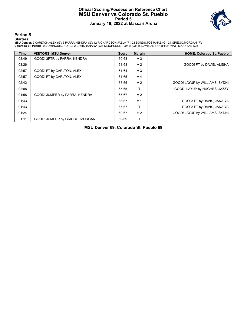### **Official Scoring/Possession Reference Chart MSU Denver vs Colorado St. Pueblo Period 5 January 19, 2022 at Massari Arena**



**Period 5**

#### **Starters:**

**MSU Denver**: 2 CARLTON,ALEX (G); 3 PARRA,KENDRA (G); 12 RICHARDSON,JAELA (F); 23 BONDS,TOSJANAE (G); 24 GRIEGO,MORGAN (F);<br>**Colorado St. Pueblo**: 0 DOMINGUEZ,RO (G); 2 DAVIS,JANAIYA (G); 13 JOHNSON,TOMIA (G); 15 DAVIS,ALI

| <b>Time</b> | <b>VISITORS: MSU Denver</b>    | <b>Score</b> | <b>Margin</b>  | <b>HOME: Colorado St. Pueblo</b> |
|-------------|--------------------------------|--------------|----------------|----------------------------------|
| 03:49       | GOOD! 3PTR by PARRA, KENDRA    | 60-63        | V3             |                                  |
| 03:26       |                                | 61-63        | V <sub>2</sub> | GOOD! FT by DAVIS, ALISHA        |
| 02:57       | GOOD! FT by CARLTON, ALEX      | 61-64        | $V_3$          |                                  |
| 02:57       | GOOD! FT by CARLTON, ALEX      | 61-65        | V <sub>4</sub> |                                  |
| 02:42       |                                | 63-65        | V <sub>2</sub> | GOOD! LAYUP by WILLIAMS, SYDNI   |
| 02:08       |                                | 65-65        | т              | GOOD! LAYUP by HUGHES, JAZZY     |
| 01:58       | GOOD! JUMPER by PARRA, KENDRA  | 65-67        | V <sub>2</sub> |                                  |
| 01:43       |                                | 66-67        | V <sub>1</sub> | GOOD! FT by DAVIS, JANAIYA       |
| 01:43       |                                | 67-67        | т              | GOOD! FT by DAVIS, JANAIYA       |
| 01:24       |                                | 69-67        | H <sub>2</sub> | GOOD! LAYUP by WILLIAMS, SYDNI   |
| 01:11       | GOOD! JUMPER by GRIEGO, MORGAN | 69-69        |                |                                  |

**MSU Denver 69, Colorado St. Pueblo 69**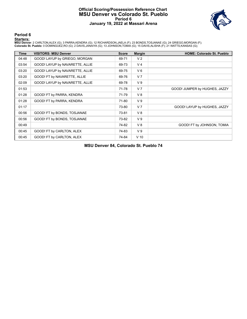### **Official Scoring/Possession Reference Chart MSU Denver vs Colorado St. Pueblo Period 6 January 19, 2022 at Massari Arena**



**Period 6**

#### **Starters:**

**MSU Denver**: 2 CARLTON,ALEX (G); 3 PARRA,KENDRA (G); 12 RICHARDSON,JAELA (F); 23 BONDS,TOSJANAE (G); 24 GRIEGO,MORGAN (F);<br>**Colorado St. Pueblo**: 0 DOMINGUEZ,RO (G); 2 DAVIS,JANAIYA (G); 13 JOHNSON,TOMIA (G); 15 DAVIS,ALI

| <b>Time</b> | <b>VISITORS: MSU Denver</b>     | <b>Score</b> | <b>Margin</b>  | <b>HOME: Colorado St. Pueblo</b> |
|-------------|---------------------------------|--------------|----------------|----------------------------------|
| 04:48       | GOOD! LAYUP by GRIEGO, MORGAN   | 69-71        | V <sub>2</sub> |                                  |
| 03:54       | GOOD! LAYUP by NAVARETTE, ALLIE | 69-73        | V <sub>4</sub> |                                  |
| 03:20       | GOOD! LAYUP by NAVARETTE, ALLIE | 69-75        | $V_6$          |                                  |
| 03:20       | GOOD! FT by NAVARETTE, ALLIE    | 69-76        | V <sub>7</sub> |                                  |
| 02:09       | GOOD! LAYUP by NAVARETTE, ALLIE | 69-78        | V <sub>9</sub> |                                  |
| 01:53       |                                 | 71-78        | V <sub>7</sub> | GOOD! JUMPER by HUGHES, JAZZY    |
| 01:28       | GOOD! FT by PARRA, KENDRA       | 71-79        | V8             |                                  |
| 01:28       | GOOD! FT by PARRA, KENDRA       | 71-80        | V <sub>9</sub> |                                  |
| 01:17       |                                 | 73-80        | V <sub>7</sub> | GOOD! LAYUP by HUGHES, JAZZY     |
| 00:56       | GOOD! FT by BONDS, TOSJANAE     | 73-81        | V8             |                                  |
| 00:56       | GOOD! FT by BONDS, TOSJANAE     | 73-82        | V <sub>9</sub> |                                  |
| 00:49       |                                 | 74-82        | V8             | GOOD! FT by JOHNSON, TOMIA       |
| 00:45       | GOOD! FT by CARLTON, ALEX       | 74-83        | V <sub>9</sub> |                                  |
| 00:45       | GOOD! FT by CARLTON, ALEX       | 74-84        | $V$ 10         |                                  |

**MSU Denver 84, Colorado St. Pueblo 74**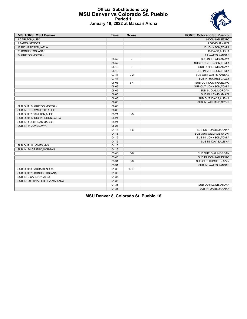## **Official Substitutions Log MSU Denver vs Colorado St. Pueblo Period 1 January 19, 2022 at Massari Arena**



| <b>VISITORS: MSU Denver</b>       | <b>Time</b> | <b>Score</b>             | <b>HOME: Colorado St. Pueblo</b> |
|-----------------------------------|-------------|--------------------------|----------------------------------|
| 2 CARLTON, ALEX                   |             |                          | 0 DOMINGUEZ, RO                  |
| 3 PARRA, KENDRA                   |             |                          | 2 DAVIS, JANAIYA                 |
| 12 RICHARDSON, JAELA              |             |                          | 13 JOHNSON, TOMIA                |
| 23 BONDS, TOSJANAE                |             |                          | 15 DAVIS, ALISHA                 |
| 24 GRIEGO, MORGAN                 |             |                          | 21 WATTS, KANSAS                 |
|                                   | 08:52       | $\overline{\phantom{a}}$ | SUB IN: LEWIS, AMAYA             |
|                                   | 08:52       |                          | SUB OUT: JOHNSON, TOMIA          |
|                                   | 08:19       | $\overline{\phantom{a}}$ | SUB OUT: LEWIS, AMAYA            |
|                                   | 08:19       |                          | SUB IN: JOHNSON, TOMIA           |
|                                   | 07:41       | $2 - 2$                  | SUB OUT: WATTS, KANSAS           |
|                                   | 07:41       |                          | SUB IN: HUGHES, JAZZY            |
|                                   | 06:06       | $6 - 4$                  | SUB OUT: DOMINGUEZ, RO           |
|                                   | 06:06       |                          | SUB OUT: JOHNSON, TOMIA          |
|                                   | 06:06       |                          | SUB IN: DIAL, MORGAN             |
|                                   | 06:06       |                          | SUB IN: LEWIS, AMAYA             |
|                                   | 06:06       |                          | SUB OUT: DAVIS, ALISHA           |
|                                   | 06:06       |                          | SUB IN: WILLIAMS, SYDNI          |
| SUB OUT: 24 GRIEGO, MORGAN        | 06:06       |                          |                                  |
| SUB IN: 31 NAVARETTE, ALLIE       | 06:06       |                          |                                  |
| SUB OUT: 2 CARLTON, ALEX          | 05:21       | $8 - 5$                  |                                  |
| SUB OUT: 12 RICHARDSON, JAELA     | 05:21       |                          |                                  |
| SUB IN: 4 JUSTINAK.MAGGIE         | 05:21       |                          |                                  |
| SUB IN: 11 JONES, MYA             | 05:21       |                          |                                  |
|                                   | 04:16       | $8-6$                    | SUB OUT: DAVIS, JANAIYA          |
|                                   | 04:16       |                          | SUB OUT: WILLIAMS, SYDNI         |
|                                   | 04:16       |                          | SUB IN: JOHNSON, TOMIA           |
|                                   | 04:16       |                          | SUB IN: DAVIS, ALISHA            |
| SUB OUT: 11 JONES, MYA            | 04:16       |                          |                                  |
| SUB IN: 24 GRIEGO, MORGAN         | 04:16       |                          |                                  |
|                                   | 03:48       | $8-6$                    | SUB OUT: DIAL, MORGAN            |
|                                   | 03:48       |                          | SUB IN: DOMINGUEZ, RO            |
|                                   | 03:31       | $8-6$                    | SUB OUT: HUGHES, JAZZY           |
|                                   | 03:31       |                          | SUB IN: WATTS, KANSAS            |
| SUB OUT: 3 PARRA, KENDRA          | 01:35       | $8 - 13$                 |                                  |
| SUB OUT: 23 BONDS, TOSJANAE       | 01:35       |                          |                                  |
| SUB IN: 2 CARLTON, ALEX           | 01:35       |                          |                                  |
| SUB IN: 20 SILVA PEREIRA, MARIANA | 01:35       |                          |                                  |
|                                   | 01:35       |                          | SUB OUT: LEWIS, AMAYA            |
|                                   | 01:35       |                          | SUB IN: DAVIS, JANAIYA           |

**MSU Denver 8, Colorado St. Pueblo 16**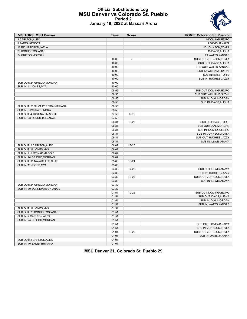### **Official Substitutions Log MSU Denver vs Colorado St. Pueblo Period 2 January 19, 2022 at Massari Arena**

| <b>VISITORS: MSU Denver</b>        | Time           | <b>Score</b>             | <b>HOME: Colorado St. Pueblo</b> |
|------------------------------------|----------------|--------------------------|----------------------------------|
| 2 CARLTON, ALEX                    |                |                          | 0 DOMINGUEZ.RO                   |
| 3 PARRA.KENDRA                     |                |                          | 2 DAVIS, JANAIYA                 |
| 12 RICHARDSON, JAELA               |                |                          | 13 JOHNSON, TOMIA                |
| 23 BONDS, TOSJANAE                 |                |                          | 15 DAVIS, ALISHA                 |
| 24 GRIEGO, MORGAN                  |                |                          | 21 WATTS, KANSAS                 |
|                                    | 10:00          | $\overline{a}$           | SUB OUT: JOHNSON, TOMIA          |
|                                    | 10:00          |                          | SUB OUT: DAVIS, ALISHA           |
|                                    | 10:00          |                          | SUB OUT: WATTS, KANSAS           |
|                                    | 10:00          |                          | SUB IN: WILLIAMS, SYDNI          |
|                                    | 10:00          |                          | SUB IN: BASS, TORIE              |
|                                    | 10:00          |                          | SUB IN: HUGHES, JAZZY            |
| SUB OUT: 24 GRIEGO, MORGAN         | 10:00          |                          |                                  |
| SUB IN: 11 JONES, MYA              | 10:00          |                          |                                  |
|                                    | 08:56          | $\overline{\phantom{a}}$ | SUB OUT: DOMINGUEZ, RO           |
|                                    | 08:56          |                          | SUB OUT: WILLIAMS, SYDNI         |
|                                    | 08:56          |                          | SUB IN: DIAL, MORGAN             |
|                                    | 08:56          |                          | SUB IN: DAVIS, ALISHA            |
| SUB OUT: 20 SILVA PEREIRA, MARIANA | 08:56          |                          |                                  |
| SUB IN: 3 PARRA, KENDRA            | 08:56          |                          |                                  |
| SUB OUT: 4 JUSTINAK, MAGGIE        | 07:56          | $8 - 18$                 |                                  |
| SUB IN: 23 BONDS, TOSJANAE         | 07:56          |                          |                                  |
|                                    | 06:31          | 13-20                    | SUB OUT: BASS, TORIE             |
|                                    | 06:31          |                          | SUB OUT: DIAL, MORGAN            |
|                                    | 06:31          |                          | SUB IN: DOMINGUEZ, RO            |
|                                    | 06:31          |                          | SUB IN: JOHNSON, TOMIA           |
|                                    | 06:31          |                          | SUB OUT: HUGHES, JAZZY           |
|                                    | 06:31          |                          | SUB IN: LEWIS, AMAYA             |
| SUB OUT: 2 CARLTON, ALEX           | 06:02          | 13-20                    |                                  |
| SUB OUT: 11 JONES, MYA             | 06:02          |                          |                                  |
| SUB IN: 4 JUSTINAK, MAGGIE         | 06:02          |                          |                                  |
| SUB IN: 24 GRIEGO, MORGAN          | 06:02          |                          |                                  |
| SUB OUT: 31 NAVARETTE, ALLIE       | 05:00          | 16-21                    |                                  |
| SUB IN: 11 JONES, MYA              | 05:00          |                          |                                  |
|                                    | 04:39          | 17-22                    | SUB OUT: LEWIS, AMAYA            |
|                                    | 04:39          |                          | SUB IN: HUGHES, JAZZY            |
|                                    | 03:32          | 19-22                    | SUB OUT: JOHNSON, TOMIA          |
|                                    | 03:32          |                          | SUB IN: LEWIS, AMAYA             |
| SUB OUT: 24 GRIEGO, MORGAN         | 03:32          |                          |                                  |
| SUB IN: 30 BONNEMAISON, ANAIS      | 03:32          |                          |                                  |
|                                    | 01:51          | 19-25                    | SUB OUT: DOMINGUEZ, RO           |
|                                    | 01:51          |                          | SUB OUT: DAVIS, ALISHA           |
|                                    | 01:51          |                          | SUB IN: DIAL, MORGAN             |
|                                    | 01:51          |                          | SUB IN: WATTS, KANSAS            |
| SUB OUT: 11 JONES, MYA             | 01:51          |                          |                                  |
| SUB OUT: 23 BONDS, TOSJANAE        | 01:51          |                          |                                  |
| SUB IN: 2 CARLTON, ALEX            | 01:51          |                          |                                  |
| SUB IN: 24 GRIEGO, MORGAN          | 01:51          |                          |                                  |
|                                    | 01:51          |                          | SUB OUT: DAVIS, JANAIYA          |
|                                    | 01:51          |                          | SUB IN: JOHNSON, TOMIA           |
|                                    | 01:01          | 19-29                    | SUB OUT: JOHNSON, TOMIA          |
| SUB OUT: 2 CARLTON, ALEX           | 01:01          |                          | SUB IN: DAVIS, JANAIYA           |
| SUB IN: 10 BAILEY, BRIANNA         | 01:01<br>01:01 |                          |                                  |
|                                    |                |                          |                                  |

**MSU Denver 21, Colorado St. Pueblo 29**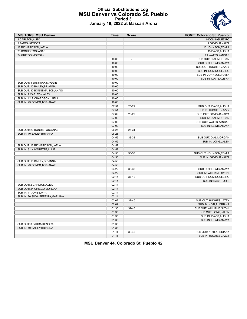### **Official Substitutions Log MSU Denver vs Colorado St. Pueblo Period 3 January 19, 2022 at Massari Arena**



| <b>VISITORS: MSU Denver</b>       | Time           | <b>Score</b>   | <b>HOME: Colorado St. Pueblo</b>              |
|-----------------------------------|----------------|----------------|-----------------------------------------------|
| 2 CARLTON, ALEX                   |                |                | 0 DOMINGUEZ, RO                               |
| 3 PARRA, KENDRA                   |                |                | 2 DAVIS, JANAIYA                              |
| 12 RICHARDSON, JAELA              |                |                | 13 JOHNSON, TOMIA                             |
| 23 BONDS, TOSJANAE                |                |                | 15 DAVIS, ALISHA                              |
| 24 GRIEGO, MORGAN                 |                |                | 21 WATTS, KANSAS                              |
|                                   | 10:00          | $\overline{a}$ | SUB OUT: DIAL, MORGAN                         |
|                                   | 10:00          |                | SUB OUT: LEWIS, AMAYA                         |
|                                   | 10:00          |                | SUB OUT: HUGHES, JAZZY                        |
|                                   | 10:00          |                | SUB IN: DOMINGUEZ,RO                          |
|                                   | 10:00          |                | SUB IN: JOHNSON, TOMIA                        |
|                                   | 10:00          |                | SUB IN: DAVIS, ALISHA                         |
| SUB OUT: 4 JUSTINAK, MAGGIE       | 10:00          |                |                                               |
| SUB OUT: 10 BAILEY.BRIANNA        | 10:00          |                |                                               |
| SUB OUT: 30 BONNEMAISON, ANAIS    | 10:00          |                |                                               |
| SUB IN: 2 CARLTON, ALEX           | 10:00          |                |                                               |
| SUB IN: 12 RICHARDSON, JAELA      | 10:00          |                |                                               |
| SUB IN: 23 BONDS, TOSJANAE        | 10:00          |                |                                               |
|                                   | 07:51          | 25-29          | SUB OUT: DAVIS, ALISHA                        |
|                                   | 07:51          |                | SUB IN: HUGHES, JAZZY                         |
|                                   | 07:09          | 26-29          | SUB OUT: DAVIS, JANAIYA                       |
|                                   | 07:09          |                | SUB IN: DIAL, MORGAN                          |
|                                   | 07:09          |                | SUB OUT: WATTS, KANSAS                        |
|                                   | 07:09          |                | SUB IN: LEWIS, AMAYA                          |
| SUB OUT: 23 BONDS, TOSJANAE       | 06:25          | 26-31          |                                               |
| SUB IN: 10 BAILEY, BRIANNA        | 06:25          |                |                                               |
|                                   | 04:52          | 33-38          | SUB OUT: DIAL, MORGAN                         |
|                                   | 04:52          |                | SUB IN: LONG, JALEN                           |
| SUB OUT: 12 RICHARDSON, JAELA     | 04:52          |                |                                               |
| SUB IN: 31 NAVARETTE, ALLIE       | 04:52          |                |                                               |
|                                   | 04:50          | 33-38          | SUB OUT: JOHNSON, TOMIA                       |
|                                   | 04:50          |                | SUB IN: DAVIS, JANAIYA                        |
| SUB OUT: 10 BAILEY, BRIANNA       | 04:50          |                |                                               |
| SUB IN: 23 BONDS, TOSJANAE        | 04:50          |                |                                               |
|                                   | 04:22          | 35-38          | SUB OUT: LEWIS, AMAYA                         |
|                                   | 04:22          |                | SUB IN: WILLIAMS, SYDNI                       |
|                                   | 02:14          | 37-40          | SUB OUT: DOMINGUEZ, RO                        |
|                                   | 02:14          |                | SUB IN: BASS, TORIE                           |
| SUB OUT: 2 CARLTON, ALEX          | 02:14          |                |                                               |
| SUB OUT: 24 GRIEGO, MORGAN        | 02:14          |                |                                               |
| SUB IN: 11 JONES, MYA             | 02:14          |                |                                               |
| SUB IN: 20 SILVA PEREIRA, MARIANA | 02:14          |                |                                               |
|                                   | 02:02          | 37-40          | SUB OUT: HUGHES, JAZZY                        |
|                                   | 02:02          |                | SUB IN: NOTI, AUBRIANA                        |
|                                   | 01:35          |                | SUB OUT: WILLIAMS, SYDNI                      |
|                                   |                | 37-40          |                                               |
|                                   | 01:35<br>01:35 |                | SUB OUT: LONG, JALEN<br>SUB IN: DAVIS, ALISHA |
|                                   |                |                |                                               |
|                                   | 01:35          |                | SUB IN: LEWIS, AMAYA                          |
| SUB OUT: 3 PARRA, KENDRA          | 01:35          |                |                                               |
| SUB IN: 10 BAILEY, BRIANNA        | 01:35          |                |                                               |
|                                   | 01:11          | 39-40          | SUB OUT: NOTI.AUBRIANA                        |
|                                   | 01:11          |                | SUB IN: HUGHES, JAZZY                         |

**MSU Denver 44, Colorado St. Pueblo 42**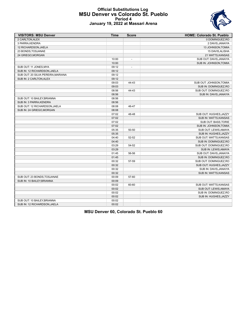## **Official Substitutions Log MSU Denver vs Colorado St. Pueblo Period 4 January 19, 2022 at Massari Arena**



| <b>VISITORS: MSU Denver</b>        | <b>Time</b> | <b>Score</b>             | <b>HOME: Colorado St. Pueblo</b> |
|------------------------------------|-------------|--------------------------|----------------------------------|
| 2 CARLTON, ALEX                    |             |                          | 0 DOMINGUEZ.RO                   |
| 3 PARRA, KENDRA                    |             |                          | 2 DAVIS, JANAIYA                 |
| 12 RICHARDSON, JAELA               |             |                          | 13 JOHNSON, TOMIA                |
| 23 BONDS, TOSJANAE                 |             |                          | 15 DAVIS, ALISHA                 |
| 24 GRIEGO, MORGAN                  |             |                          | 21 WATTS, KANSAS                 |
|                                    | 10:00       | $\overline{\phantom{a}}$ | SUB OUT: DAVIS, JANAIYA          |
|                                    | 10:00       |                          | SUB IN: JOHNSON, TOMIA           |
| SUB OUT: 11 JONES, MYA             | 09:12       | $\overline{\phantom{a}}$ |                                  |
| SUB IN: 12 RICHARDSON, JAELA       | 09:12       |                          |                                  |
| SUB OUT: 20 SILVA PEREIRA, MARIANA | 09:12       |                          |                                  |
| SUB IN: 2 CARLTON, ALEX            | 09:12       |                          |                                  |
|                                    | 09:03       | 44-43                    | SUB OUT: JOHNSON, TOMIA          |
|                                    | 09:03       |                          | SUB IN: DOMINGUEZ, RO            |
|                                    | 08:56       | 44-43                    | SUB OUT: DOMINGUEZ, RO           |
|                                    | 08:56       |                          | SUB IN: DAVIS, JANAIYA           |
| SUB OUT: 10 BAILEY, BRIANNA        | 08:56       |                          |                                  |
| SUB IN: 3 PARRA, KENDRA            | 08:56       |                          |                                  |
| SUB OUT: 12 RICHARDSON, JAELA      | 08:08       | 46-47                    |                                  |
| SUB IN: 24 GRIEGO, MORGAN          | 08:08       |                          |                                  |
|                                    | 07:02       | 48-48                    | SUB OUT: HUGHES, JAZZY           |
|                                    | 07:02       |                          | SUB IN: WATTS, KANSAS            |
|                                    | 07:02       |                          | <b>SUB OUT: BASS, TORIE</b>      |
|                                    | 07:02       |                          | SUB IN: JOHNSON, TOMIA           |
|                                    | 05:35       | 50-50                    | SUB OUT: LEWIS, AMAYA            |
|                                    | 05:35       |                          | SUB IN: HUGHES, JAZZY            |
|                                    | 04:40       | 52-52                    | SUB OUT: WATTS, KANSAS           |
|                                    | 04:40       |                          | SUB IN: DOMINGUEZ, RO            |
|                                    | 03:29       | 54-52                    | SUB OUT: DOMINGUEZ, RO           |
|                                    | 03:29       |                          | SUB IN: LEWIS, AMAYA             |
|                                    | 01:45       | 56-56                    | SUB OUT: DAVIS, JANAIYA          |
|                                    | 01:45       |                          | SUB IN: DOMINGUEZ, RO            |
|                                    | 00:32       | 57-59                    | SUB OUT: DOMINGUEZ, RO           |
|                                    | 00:32       |                          | SUB OUT: HUGHES, JAZZY           |
|                                    | 00:32       |                          | SUB IN: DAVIS, JANAIYA           |
|                                    | 00:32       |                          | SUB IN: WATTS, KANSAS            |
| SUB OUT: 23 BONDS, TOSJANAE        | 00:09       | 57-60                    |                                  |
| SUB IN: 10 BAILEY BRIANNA          | 00:09       |                          |                                  |
|                                    | 00:02       | 60-60                    | SUB OUT: WATTS, KANSAS           |
|                                    | 00:02       |                          | SUB OUT: LEWIS, AMAYA            |
|                                    | 00:02       |                          | SUB IN: DOMINGUEZ,RO             |
|                                    | 00:02       |                          | SUB IN: HUGHES, JAZZY            |
| SUB OUT: 10 BAILEY, BRIANNA        | 00:02       |                          |                                  |
| SUB IN: 12 RICHARDSON, JAELA       | 00:02       |                          |                                  |
|                                    |             |                          |                                  |

# **MSU Denver 60, Colorado St. Pueblo 60**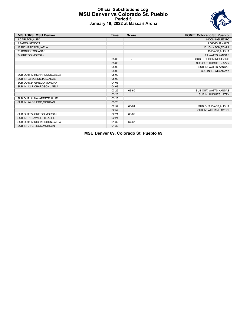## **Official Substitutions Log MSU Denver vs Colorado St. Pueblo Period 5 January 19, 2022 at Massari Arena**



| <b>VISITORS: MSU Denver</b>   | <b>Time</b> | <b>Score</b>             | <b>HOME: Colorado St. Pueblo</b> |
|-------------------------------|-------------|--------------------------|----------------------------------|
| 2 CARLTON, ALEX               |             |                          | 0 DOMINGUEZ, RO                  |
| 3 PARRA, KENDRA               |             |                          | 2 DAVIS, JANAIYA                 |
| 12 RICHARDSON, JAELA          |             |                          | 13 JOHNSON, TOMIA                |
| 23 BONDS, TOSJANAE            |             |                          | 15 DAVIS, ALISHA                 |
| 24 GRIEGO, MORGAN             |             |                          | 21 WATTS, KANSAS                 |
|                               | 05:00       | $\blacksquare$           | SUB OUT: DOMINGUEZ, RO           |
|                               | 05:00       |                          | SUB OUT: HUGHES, JAZZY           |
|                               | 05:00       |                          | SUB IN: WATTS, KANSAS            |
|                               | 05:00       |                          | SUB IN: LEWIS, AMAYA             |
| SUB OUT: 12 RICHARDSON, JAELA | 05:00       |                          |                                  |
| SUB IN: 23 BONDS, TOSJANAE    | 05:00       |                          |                                  |
| SUB OUT: 24 GRIEGO, MORGAN    | 04:03       | $\overline{\phantom{a}}$ |                                  |
| SUB IN: 12 RICHARDSON, JAELA  | 04:03       |                          |                                  |
|                               | 03:26       | 63-60                    | SUB OUT: WATTS, KANSAS           |
|                               | 03:26       |                          | SUB IN: HUGHES, JAZZY            |
| SUB OUT: 31 NAVARETTE, ALLIE  | 03:26       |                          |                                  |
| SUB IN: 24 GRIEGO, MORGAN     | 03:26       |                          |                                  |
|                               | 02:57       | 63-61                    | SUB OUT: DAVIS, ALISHA           |
|                               | 02:57       |                          | SUB IN: WILLIAMS, SYDNI          |
| SUB OUT: 24 GRIEGO, MORGAN    | 02:21       | 65-63                    |                                  |
| SUB IN: 31 NAVARETTE, ALLIE   | 02:21       |                          |                                  |
| SUB OUT: 12 RICHARDSON, JAELA | 01:32       | 67-67                    |                                  |
| SUB IN: 24 GRIEGO, MORGAN     | 01:32       |                          |                                  |

**MSU Denver 69, Colorado St. Pueblo 69**